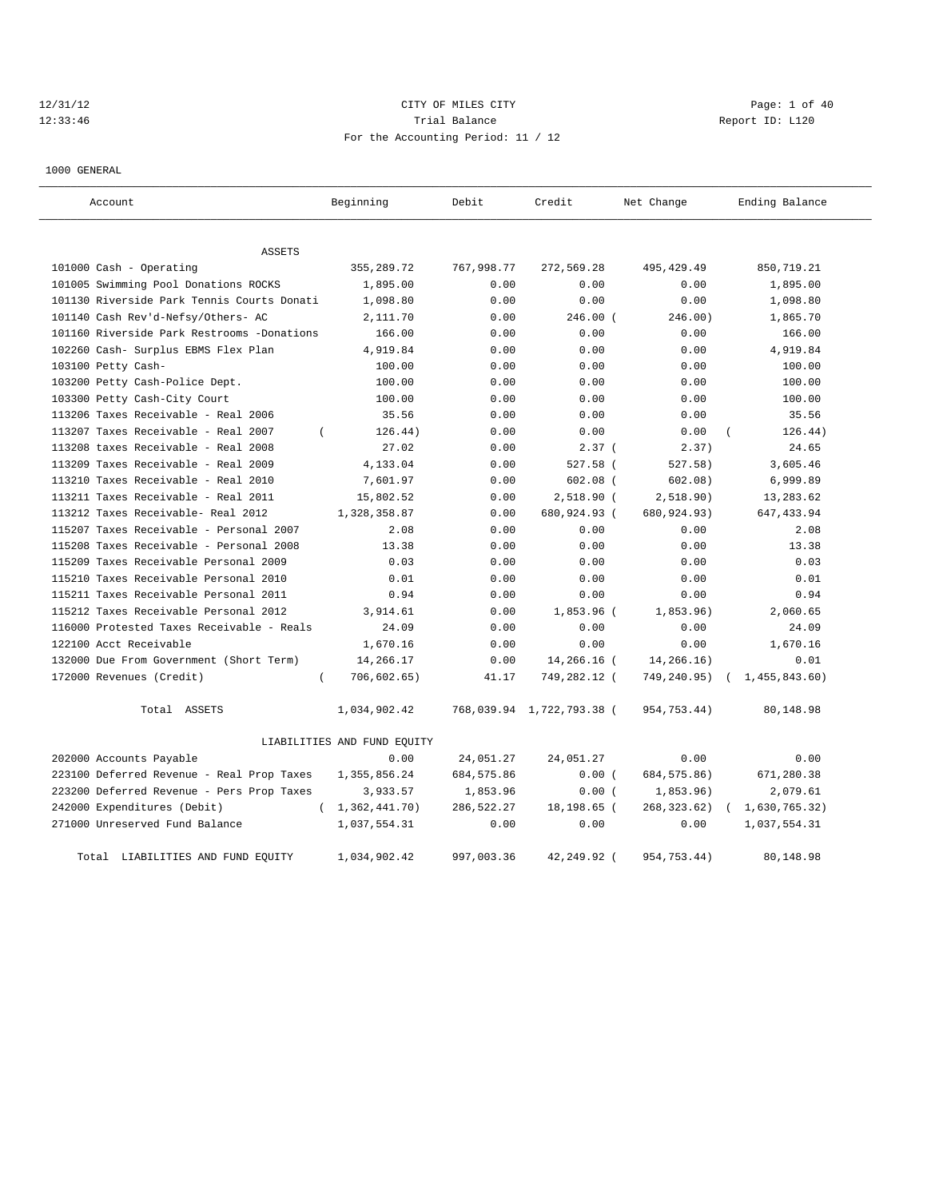# 12/31/12 CITY OF MILES CITY Page: 1 of 40 12:33:46 Trial Balance Trial Balance Report ID: L120 For the Accounting Period: 11 / 12

1000 GENERAL

| Account                                    | Beginning                   | Debit       | Credit                    | Net Change   | Ending Balance              |
|--------------------------------------------|-----------------------------|-------------|---------------------------|--------------|-----------------------------|
| ASSETS                                     |                             |             |                           |              |                             |
| 101000 Cash - Operating                    | 355, 289. 72                | 767,998.77  | 272,569.28                | 495, 429.49  | 850,719.21                  |
| 101005 Swimming Pool Donations ROCKS       | 1,895.00                    | 0.00        | 0.00                      | 0.00         | 1,895.00                    |
| 101130 Riverside Park Tennis Courts Donati | 1,098.80                    | 0.00        | 0.00                      | 0.00         | 1,098.80                    |
| 101140 Cash Rev'd-Nefsy/Others- AC         | 2,111.70                    | 0.00        | $246.00$ (                | 246.00)      | 1,865.70                    |
| 101160 Riverside Park Restrooms -Donations | 166.00                      | 0.00        | 0.00                      | 0.00         | 166.00                      |
| 102260 Cash- Surplus EBMS Flex Plan        | 4,919.84                    | 0.00        | 0.00                      | 0.00         | 4,919.84                    |
| 103100 Petty Cash-                         | 100.00                      | 0.00        | 0.00                      | 0.00         | 100.00                      |
| 103200 Petty Cash-Police Dept.             | 100.00                      | 0.00        | 0.00                      | 0.00         | 100.00                      |
| 103300 Petty Cash-City Court               | 100.00                      | 0.00        | 0.00                      | 0.00         | 100.00                      |
| 113206 Taxes Receivable - Real 2006        | 35.56                       | 0.00        | 0.00                      | 0.00         | 35.56                       |
| 113207 Taxes Receivable - Real 2007        | 126.44)                     | 0.00        | 0.00                      | 0.00         | 126.44)                     |
| 113208 taxes Receivable - Real 2008        | 27.02                       | 0.00        | 2.37(                     | 2.37)        | 24.65                       |
| 113209 Taxes Receivable - Real 2009        | 4,133.04                    | 0.00        | 527.58 (                  | 527.58)      | 3,605.46                    |
| 113210 Taxes Receivable - Real 2010        | 7,601.97                    | 0.00        | $602.08$ (                | 602.08)      | 6,999.89                    |
| 113211 Taxes Receivable - Real 2011        | 15,802.52                   | 0.00        | $2,518.90$ (              | 2,518.90)    | 13,283.62                   |
| 113212 Taxes Receivable- Real 2012         | 1,328,358.87                | 0.00        | 680,924.93 (              | 680,924.93)  | 647, 433.94                 |
| 115207 Taxes Receivable - Personal 2007    | 2.08                        | 0.00        | 0.00                      | 0.00         | 2.08                        |
| 115208 Taxes Receivable - Personal 2008    | 13.38                       | 0.00        | 0.00                      | 0.00         | 13.38                       |
| 115209 Taxes Receivable Personal 2009      | 0.03                        | 0.00        | 0.00                      | 0.00         | 0.03                        |
| 115210 Taxes Receivable Personal 2010      | 0.01                        | 0.00        | 0.00                      | 0.00         | 0.01                        |
| 115211 Taxes Receivable Personal 2011      | 0.94                        | 0.00        | 0.00                      | 0.00         | 0.94                        |
| 115212 Taxes Receivable Personal 2012      | 3,914.61                    | 0.00        | 1,853.96 (                | 1,853.96)    | 2,060.65                    |
| 116000 Protested Taxes Receivable - Reals  | 24.09                       | 0.00        | 0.00                      | 0.00         | 24.09                       |
| 122100 Acct Receivable                     | 1,670.16                    | 0.00        | 0.00                      | 0.00         | 1,670.16                    |
| 132000 Due From Government (Short Term)    | 14,266.17                   | 0.00        | 14,266.16 (               | 14,266.16)   | 0.01                        |
| 172000 Revenues (Credit)<br>$\left($       | 706,602.65)                 | 41.17       | 749,282.12 (              | 749,240.95)  | 1,455,843.60)<br>$\sqrt{2}$ |
| Total ASSETS                               | 1,034,902.42                |             | 768,039.94 1,722,793.38 ( | 954,753.44)  | 80,148.98                   |
|                                            | LIABILITIES AND FUND EQUITY |             |                           |              |                             |
| 202000 Accounts Payable                    | 0.00                        | 24,051.27   | 24,051.27                 | 0.00         | 0.00                        |
| 223100 Deferred Revenue - Real Prop Taxes  | 1,355,856.24                | 684, 575.86 | 0.00(                     | 684, 575.86) | 671,280.38                  |
| 223200 Deferred Revenue - Pers Prop Taxes  | 3,933.57                    | 1,853.96    | 0.00(                     | 1,853.96)    | 2,079.61                    |
| 242000 Expenditures (Debit)<br>$\left($    | 1,362,441.70)               | 286,522.27  | 18,198.65 (               | 268, 323.62) | 1,630,765.32)               |
| 271000 Unreserved Fund Balance             | 1,037,554.31                | 0.00        | 0.00                      | 0.00         | 1,037,554.31                |
| Total LIABILITIES AND FUND EQUITY          | 1,034,902.42                | 997,003.36  | $42.249.92$ (             | 954,753.44)  | 80,148.98                   |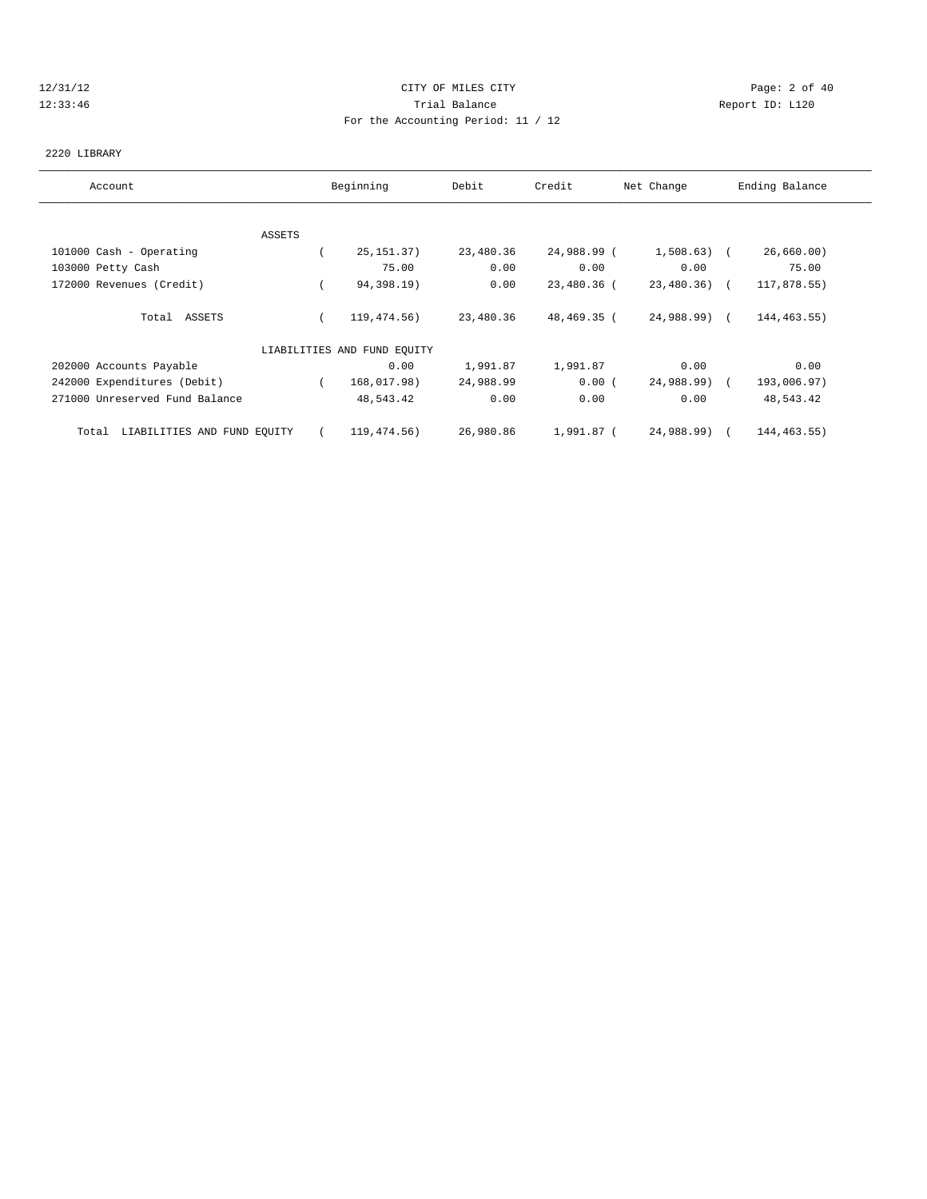# 12/31/12 CITY OF MILES CITY Page: 2 of 40 12:33:46 Trial Balance Report ID: L120 For the Accounting Period: 11 / 12

#### 2220 LIBRARY

| Account                           | Beginning                   | Debit     | Credit      | Net Change    | Ending Balance |
|-----------------------------------|-----------------------------|-----------|-------------|---------------|----------------|
|                                   |                             |           |             |               |                |
| ASSETS                            |                             |           |             |               |                |
| 101000 Cash - Operating           | 25, 151. 37)                | 23,480.36 | 24,988.99 ( | $1,508.63$ (  | 26,660.00)     |
| 103000 Petty Cash                 | 75.00                       | 0.00      | 0.00        | 0.00          | 75.00          |
| 172000 Revenues (Credit)          | 94,398.19)                  | 0.00      | 23,480.36 ( | $23,480.36$ ( | 117,878.55)    |
| Total ASSETS                      | 119,474.56)                 | 23,480.36 | 48,469.35 ( | 24,988.99) (  | 144,463.55)    |
|                                   | LIABILITIES AND FUND EQUITY |           |             |               |                |
| 202000 Accounts Payable           | 0.00                        | 1,991.87  | 1,991.87    | 0.00          | 0.00           |
| 242000 Expenditures (Debit)       | 168,017.98)                 | 24,988.99 | 0.00(       | 24,988.99) (  | 193,006.97)    |
| 271000 Unreserved Fund Balance    | 48,543.42                   | 0.00      | 0.00        | 0.00          | 48,543.42      |
| Total LIABILITIES AND FUND EQUITY | 119,474.56)                 | 26,980.86 | 1,991.87 (  | 24,988.99) (  | 144, 463.55)   |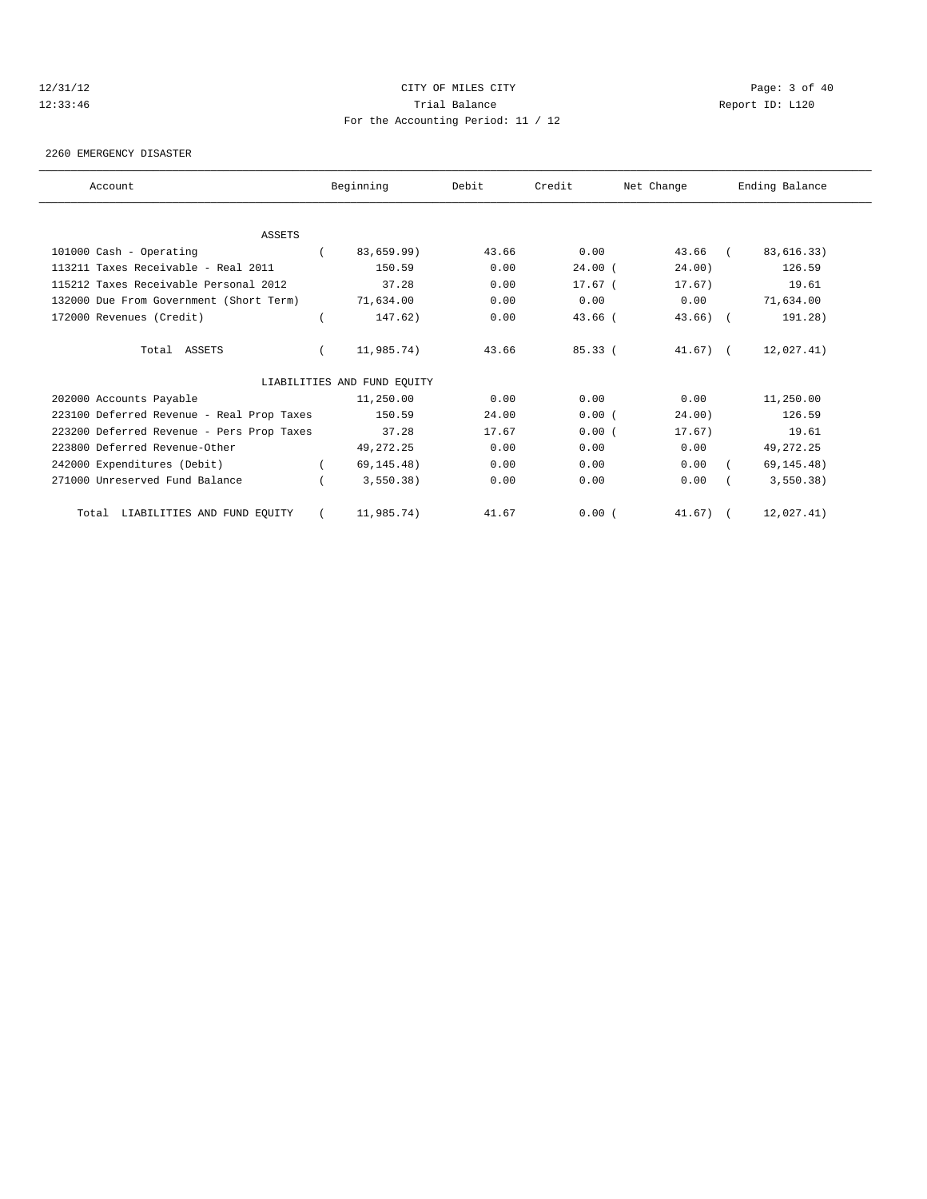#### 12/31/12 CITY OF MILES CITY Page: 3 of 40 12:33:46 Trial Balance Report ID: L120 For the Accounting Period: 11 / 12

#### 2260 EMERGENCY DISASTER

| Account                                   | Beginning                   | Debit | Credit             | Net Change  | Ending Balance |
|-------------------------------------------|-----------------------------|-------|--------------------|-------------|----------------|
|                                           |                             |       |                    |             |                |
| <b>ASSETS</b>                             |                             |       |                    |             |                |
| 101000 Cash - Operating                   | 83,659.99)                  | 43.66 | 0.00               | 43.66 (     | 83,616.33)     |
| 113211 Taxes Receivable - Real 2011       | 150.59                      | 0.00  | $24.00$ (          | 24.00)      | 126.59         |
| 115212 Taxes Receivable Personal 2012     | 37.28                       | 0.00  | 17.67 <sub>0</sub> | 17.67)      | 19.61          |
| 132000 Due From Government (Short Term)   | 71,634.00                   | 0.00  | 0.00               | 0.00        | 71,634.00      |
| 172000 Revenues (Credit)                  | 147.62)                     | 0.00  | $43.66$ (          | $43.66$ ) ( | 191.28)        |
| Total ASSETS                              | 11,985.74)                  | 43.66 | 85.33(             | $41.67$ ) ( | 12,027.41)     |
|                                           | LIABILITIES AND FUND EQUITY |       |                    |             |                |
| 202000 Accounts Payable                   | 11,250.00                   | 0.00  | 0.00               | 0.00        | 11,250.00      |
| 223100 Deferred Revenue - Real Prop Taxes | 150.59                      | 24.00 | 0.00(              | 24.00)      | 126.59         |
| 223200 Deferred Revenue - Pers Prop Taxes | 37.28                       | 17.67 | 0.00(              | 17.67)      | 19.61          |
| 223800 Deferred Revenue-Other             | 49, 272. 25                 | 0.00  | 0.00               | 0.00        | 49, 272. 25    |
| 242000 Expenditures (Debit)               | 69, 145.48)                 | 0.00  | 0.00               | 0.00        | 69, 145.48)    |
| 271000 Unreserved Fund Balance            | 3,550.38)                   | 0.00  | 0.00               | 0.00        | 3,550.38)      |
| LIABILITIES AND FUND EQUITY<br>Total      | 11,985.74)                  | 41.67 | 0.00(              | $41.67$ ) ( | 12,027.41)     |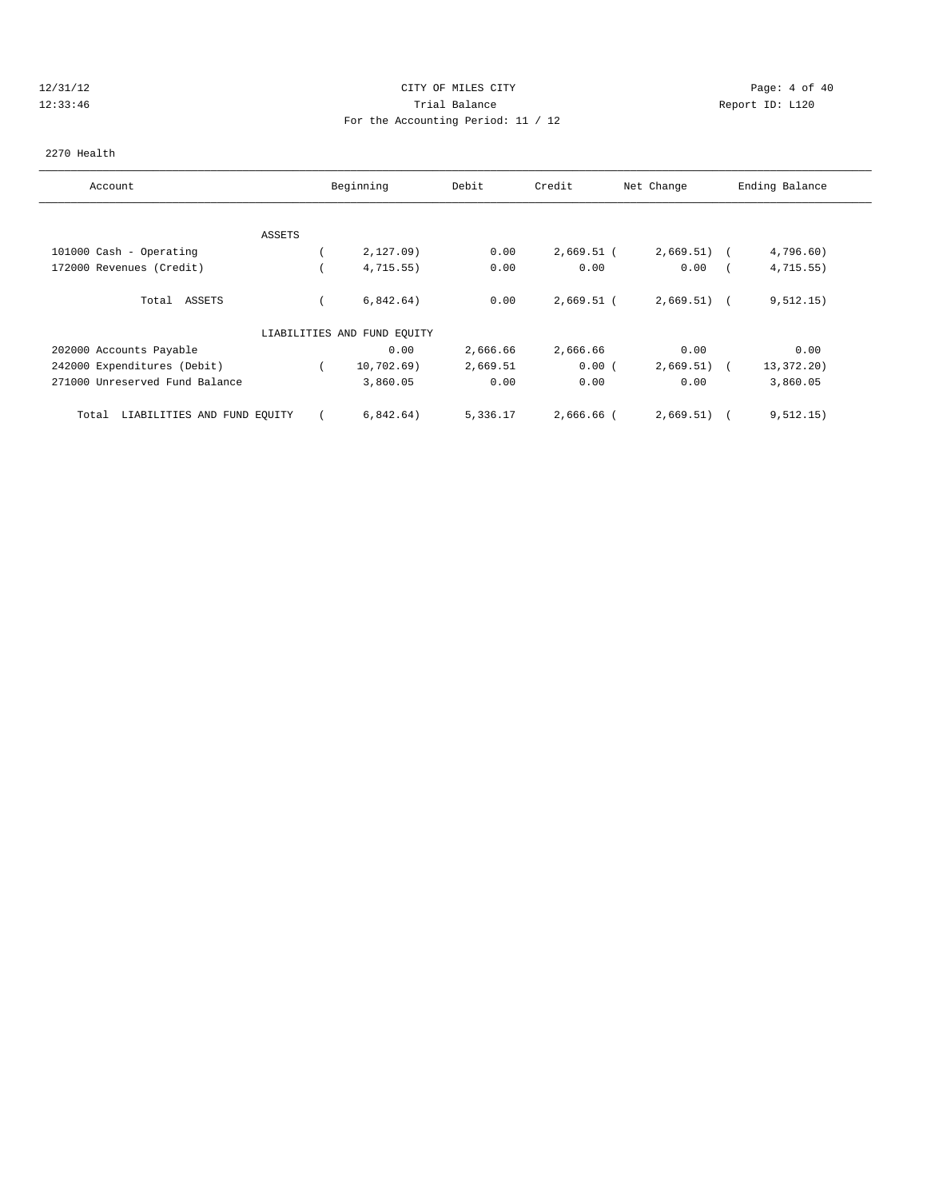# 12/31/12 CITY OF MILES CITY Page: 4 of 40 12:33:46 Trial Balance Report ID: L120 For the Accounting Period: 11 / 12

#### 2270 Health

| Account                              | Beginning                   | Debit    | Credit       | Net Change    | Ending Balance           |  |
|--------------------------------------|-----------------------------|----------|--------------|---------------|--------------------------|--|
|                                      |                             |          |              |               |                          |  |
| <b>ASSETS</b>                        |                             |          |              |               |                          |  |
| 101000 Cash - Operating              | 2,127.09                    | 0.00     | $2,669.51$ ( | 2,669.51)     | 4,796.60)                |  |
| 172000 Revenues (Credit)             | 4,715.55)                   | 0.00     | 0.00         | 0.00          | 4, 715.55)               |  |
| Total ASSETS                         | 6,842.64)                   | 0.00     | $2,669.51$ ( | $2,669.51)$ ( | 9,512.15)                |  |
|                                      | LIABILITIES AND FUND EQUITY |          |              |               |                          |  |
| 202000 Accounts Payable              | 0.00                        | 2,666.66 | 2,666.66     | 0.00          | 0.00                     |  |
| 242000 Expenditures (Debit)          | 10,702.69)                  | 2,669.51 | 0.00(        | 2,669.51)     | 13,372.20)<br>$\sqrt{2}$ |  |
| 271000 Unreserved Fund Balance       | 3,860.05                    | 0.00     | 0.00         | 0.00          | 3,860.05                 |  |
| LIABILITIES AND FUND EQUITY<br>Total | 6,842.64)                   | 5,336.17 | 2,666.66 (   | 2,669.51)     | 9,512.15)                |  |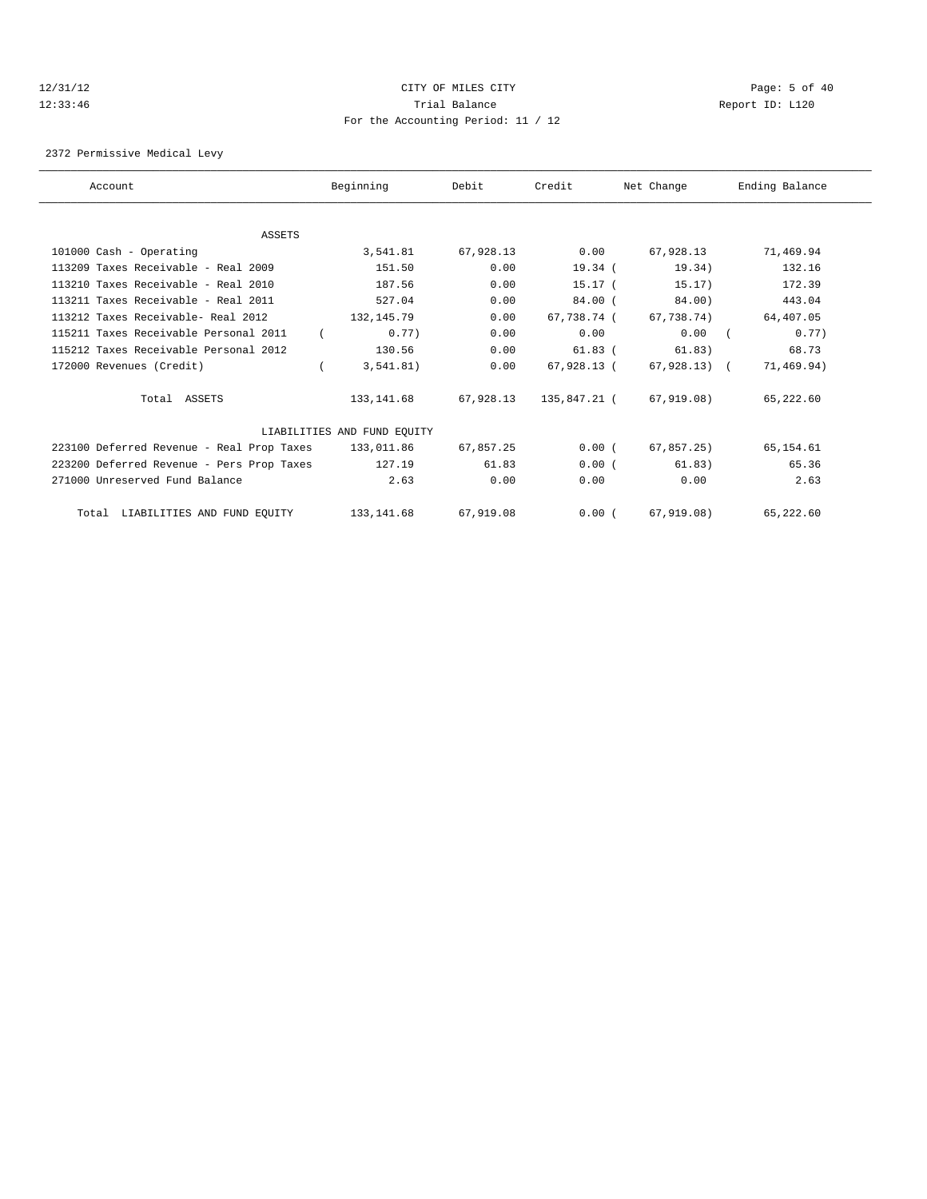# 12/31/12 CITY OF MILES CITY Page: 5 of 40 12:33:46 Trial Balance Report ID: L120 For the Accounting Period: 11 / 12

2372 Permissive Medical Levy

| Account                                   | Beginning                   | Debit     | Credit       | Net Change   | Ending Balance |
|-------------------------------------------|-----------------------------|-----------|--------------|--------------|----------------|
|                                           |                             |           |              |              |                |
| <b>ASSETS</b>                             |                             |           |              |              |                |
| 101000 Cash - Operating                   | 3,541.81                    | 67,928.13 | 0.00         | 67,928.13    | 71,469.94      |
| 113209 Taxes Receivable - Real 2009       | 151.50                      | 0.00      | 19.34 (      | 19.34)       | 132.16         |
| 113210 Taxes Receivable - Real 2010       | 187.56                      | 0.00      | $15.17-$     | 15.17)       | 172.39         |
| 113211 Taxes Receivable - Real 2011       | 527.04                      | 0.00      | $84.00$ (    | 84.00)       | 443.04         |
| 113212 Taxes Receivable- Real 2012        | 132, 145. 79                | 0.00      | 67,738.74 (  | 67.738.74)   | 64,407.05      |
| 115211 Taxes Receivable Personal 2011     | 0.77)                       | 0.00      | 0.00         | 0.00         | 0.77)          |
| 115212 Taxes Receivable Personal 2012     | 130.56                      | 0.00      | $61.83$ (    | 61.83)       | 68.73          |
| 172000 Revenues (Credit)                  | 3,541.81)                   | 0.00      | 67,928.13 (  | 67,928.13) ( | 71,469.94)     |
| Total ASSETS                              | 133,141.68                  | 67,928.13 | 135,847.21 ( | 67,919.08)   | 65,222.60      |
|                                           | LIABILITIES AND FUND EQUITY |           |              |              |                |
| 223100 Deferred Revenue - Real Prop Taxes | 133,011.86                  | 67,857.25 | 0.00(        | 67,857.25)   | 65,154.61      |
| 223200 Deferred Revenue - Pers Prop Taxes | 127.19                      | 61.83     | 0.00(        | 61.83)       | 65.36          |
| 271000 Unreserved Fund Balance            | 2.63                        | 0.00      | 0.00         | 0.00         | 2.63           |
| Total LIABILITIES AND FUND EQUITY         | 133, 141.68                 | 67,919.08 | 0.00(        | 67,919.08)   | 65,222.60      |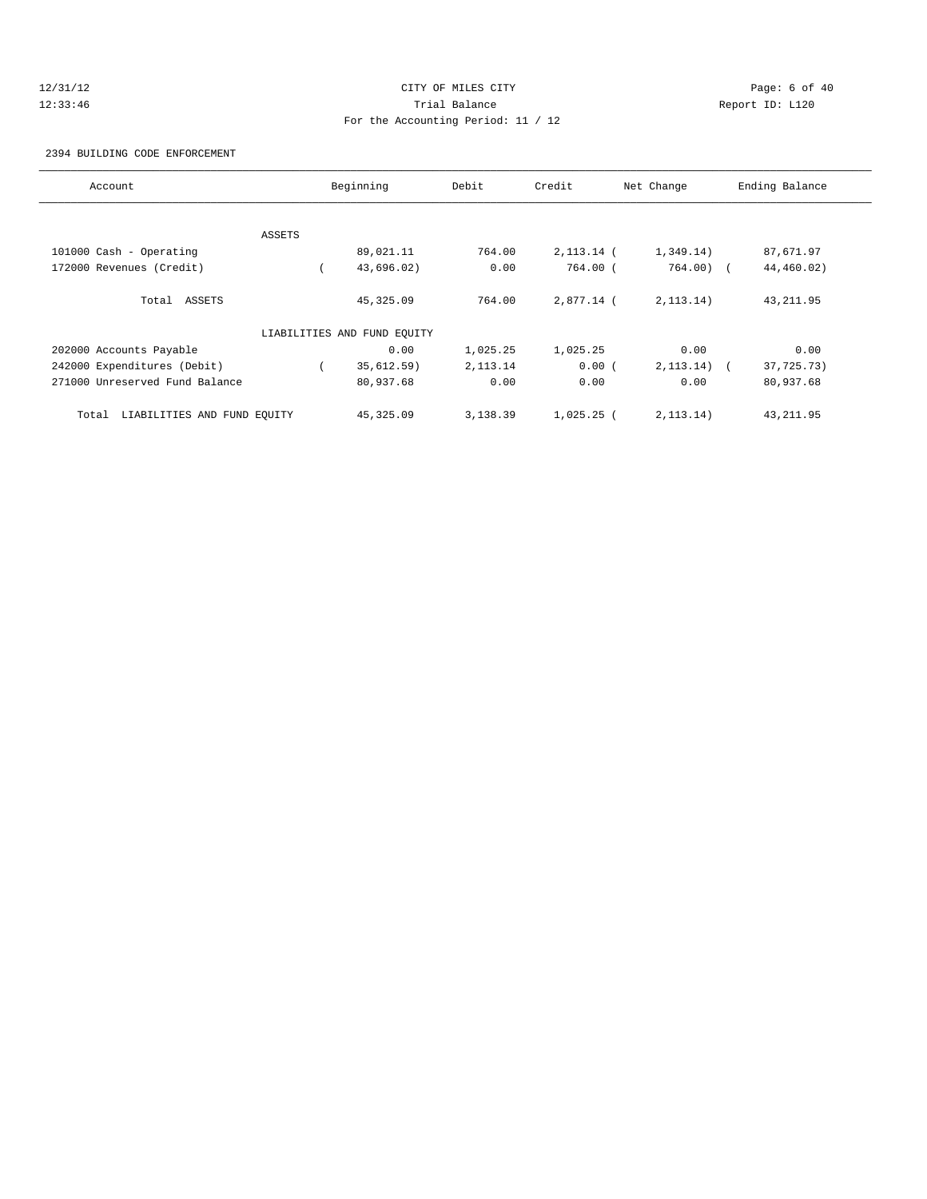# 12/31/12 CITY OF MILES CITY Page: 6 of 40 12:33:46 Trial Balance Report ID: L120 For the Accounting Period: 11 / 12

#### 2394 BUILDING CODE ENFORCEMENT

| Account                              |        | Beginning                   | Debit      | Credit       | Net Change  | Ending Balance           |
|--------------------------------------|--------|-----------------------------|------------|--------------|-------------|--------------------------|
|                                      |        |                             |            |              |             |                          |
|                                      | ASSETS |                             |            |              |             |                          |
| 101000 Cash - Operating              |        | 89,021.11                   | 764.00     | 2,113.14 (   | 1,349.14)   | 87,671.97                |
| 172000 Revenues (Credit)             |        | 43,696.02)                  | 0.00       | 764.00 (     | $764.00$ (  | 44,460.02)               |
| Total ASSETS                         |        | 45, 325.09                  | 764.00     | $2.877.14$ ( | 2, 113.14)  | 43, 211.95               |
|                                      |        | LIABILITIES AND FUND EQUITY |            |              |             |                          |
| 202000 Accounts Payable              |        | 0.00                        | 1,025.25   | 1,025.25     | 0.00        | 0.00                     |
| 242000 Expenditures (Debit)          |        | 35,612.59)                  | 2, 113. 14 | 0.00(        | 2, 113.14)  | 37,725.73)<br>$\sqrt{2}$ |
| 271000 Unreserved Fund Balance       |        | 80,937.68                   | 0.00       | 0.00         | 0.00        | 80,937.68                |
| LIABILITIES AND FUND EOUITY<br>Total |        | 45, 325.09                  | 3,138.39   | $1,025.25$ ( | 2, 113, 14) | 43, 211.95               |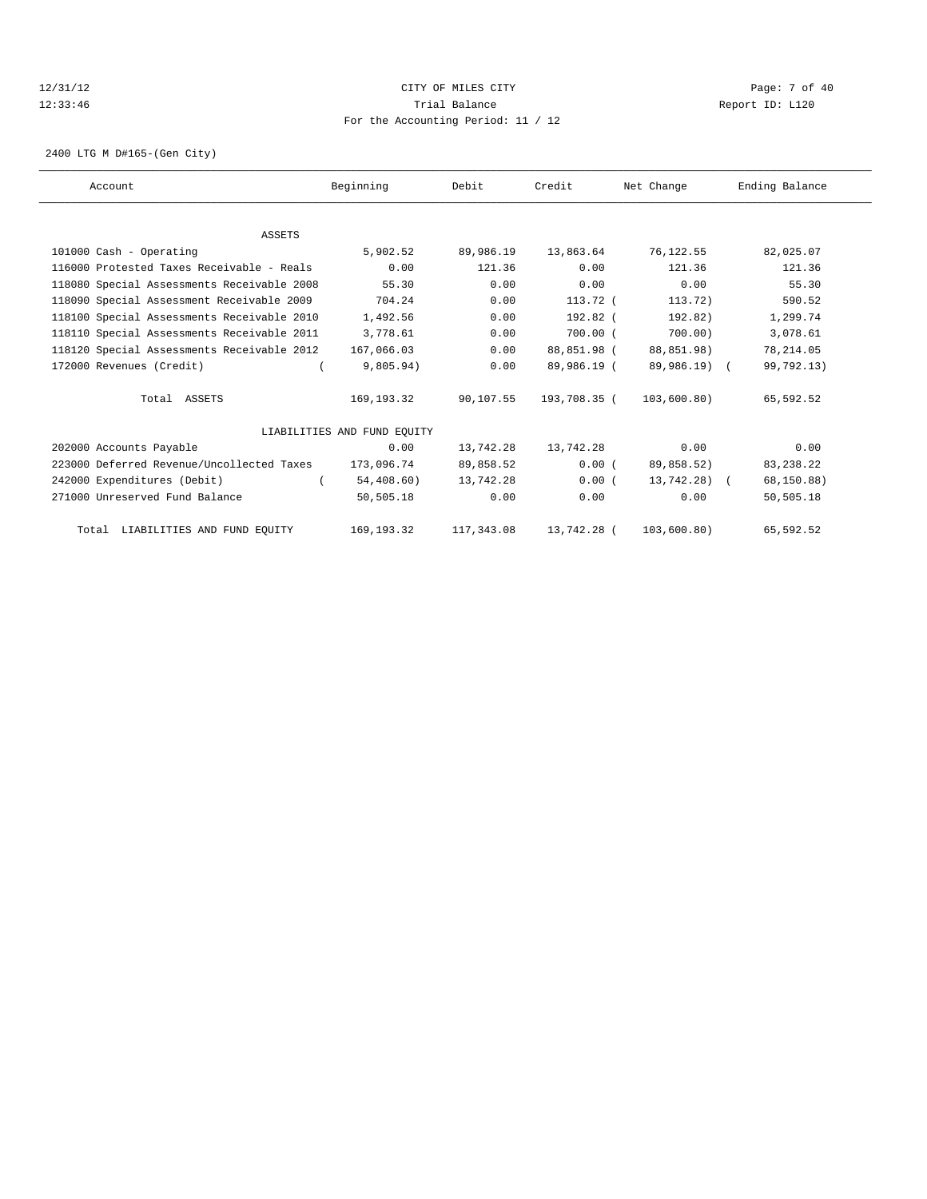# 12/31/12 CITY OF MILES CITY Page: 7 of 40 12:33:46 Trial Balance Report ID: L120 For the Accounting Period: 11 / 12

2400 LTG M D#165-(Gen City)

| Account                                    |               | Beginning                   | Debit      | Credit       | Net Change   | Ending Balance |  |
|--------------------------------------------|---------------|-----------------------------|------------|--------------|--------------|----------------|--|
|                                            |               |                             |            |              |              |                |  |
|                                            | <b>ASSETS</b> |                             |            |              |              |                |  |
| 101000 Cash - Operating                    |               | 5,902.52                    | 89,986.19  | 13,863.64    | 76,122.55    | 82,025.07      |  |
| 116000 Protested Taxes Receivable - Reals  |               | 0.00                        | 121.36     | 0.00         | 121.36       | 121.36         |  |
| 118080 Special Assessments Receivable 2008 |               | 55.30                       | 0.00       | 0.00         | 0.00         | 55.30          |  |
| 118090 Special Assessment Receivable 2009  |               | 704.24                      | 0.00       | 113.72 (     | 113.72)      | 590.52         |  |
| 118100 Special Assessments Receivable 2010 |               | 1,492.56                    | 0.00       | $192.82$ (   | 192.82)      | 1,299.74       |  |
| 118110 Special Assessments Receivable 2011 |               | 3,778.61                    | 0.00       | $700.00$ $($ | 700.00       | 3,078.61       |  |
| 118120 Special Assessments Receivable 2012 |               | 167,066.03                  | 0.00       | 88,851.98 (  | 88,851.98)   | 78, 214.05     |  |
| 172000 Revenues (Credit)                   |               | 9,805.94)                   | 0.00       | 89,986.19 (  | 89,986.19) ( | 99,792.13)     |  |
| Total ASSETS                               |               | 169, 193. 32                | 90,107.55  | 193,708.35 ( | 103,600.80)  | 65,592.52      |  |
|                                            |               | LIABILITIES AND FUND EOUITY |            |              |              |                |  |
| 202000 Accounts Payable                    |               | 0.00                        | 13,742.28  | 13,742.28    | 0.00         | 0.00           |  |
| 223000 Deferred Revenue/Uncollected Taxes  |               | 173,096.74                  | 89,858.52  | 0.00(        | 89,858.52)   | 83, 238. 22    |  |
| 242000 Expenditures (Debit)                |               | 54, 408.60)                 | 13,742.28  | 0.00(        | 13,742.28) ( | 68,150.88)     |  |
| 271000 Unreserved Fund Balance             |               | 50,505.18                   | 0.00       | 0.00         | 0.00         | 50,505.18      |  |
| Total LIABILITIES AND FUND EQUITY          |               | 169, 193. 32                | 117,343.08 | 13,742.28 (  | 103,600.80)  | 65,592.52      |  |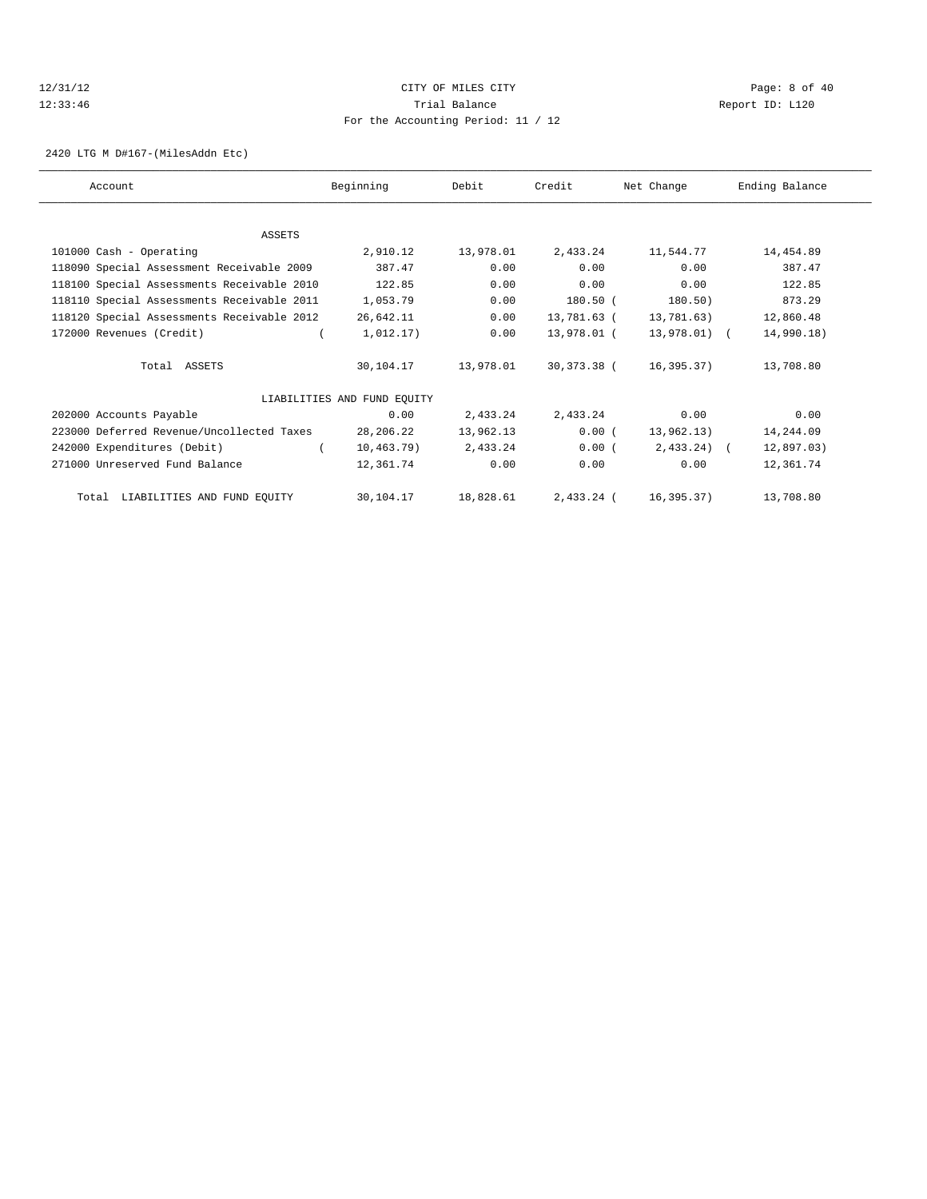# 12/31/12 CITY OF MILES CITY Page: 8 of 40 12:33:46 Trial Balance Report ID: L120 For the Accounting Period: 11 / 12

2420 LTG M D#167-(MilesAddn Etc)

| Account                                    | Beginning                   | Debit     | Credit      | Net Change   | Ending Balance |
|--------------------------------------------|-----------------------------|-----------|-------------|--------------|----------------|
|                                            |                             |           |             |              |                |
| ASSETS                                     |                             |           |             |              |                |
| 101000 Cash - Operating                    | 2,910.12                    | 13,978.01 | 2,433.24    | 11,544.77    | 14,454.89      |
| 118090 Special Assessment Receivable 2009  | 387.47                      | 0.00      | 0.00        | 0.00         | 387.47         |
| 118100 Special Assessments Receivable 2010 | 122.85                      | 0.00      | 0.00        | 0.00         | 122.85         |
| 118110 Special Assessments Receivable 2011 | 1,053.79                    | 0.00      | $180.50$ (  | 180.50)      | 873.29         |
| 118120 Special Assessments Receivable 2012 | 26,642.11                   | 0.00      | 13,781.63 ( | 13,781.63)   | 12,860.48      |
| 172000 Revenues (Credit)                   | 1,012.17)                   | 0.00      | 13,978.01 ( | 13,978.01) ( | 14,990.18)     |
| Total ASSETS                               | 30,104.17                   | 13,978.01 | 30,373.38 ( | 16,395.37)   | 13,708.80      |
|                                            | LIABILITIES AND FUND EQUITY |           |             |              |                |
| 202000 Accounts Payable                    | 0.00                        | 2,433.24  | 2,433.24    | 0.00         | 0.00           |
| 223000 Deferred Revenue/Uncollected Taxes  | 28,206.22                   | 13,962.13 | 0.00(       | 13,962.13)   | 14,244.09      |
| 242000 Expenditures (Debit)                | 10, 463.79)                 | 2,433.24  | 0.00(       | $2,433.24$ ( | 12,897.03)     |
| 271000 Unreserved Fund Balance             | 12,361.74                   | 0.00      | 0.00        | 0.00         | 12,361.74      |
| LIABILITIES AND FUND EQUITY<br>Total       | 30,104.17                   | 18,828.61 | 2,433.24 (  | 16,395.37)   | 13,708.80      |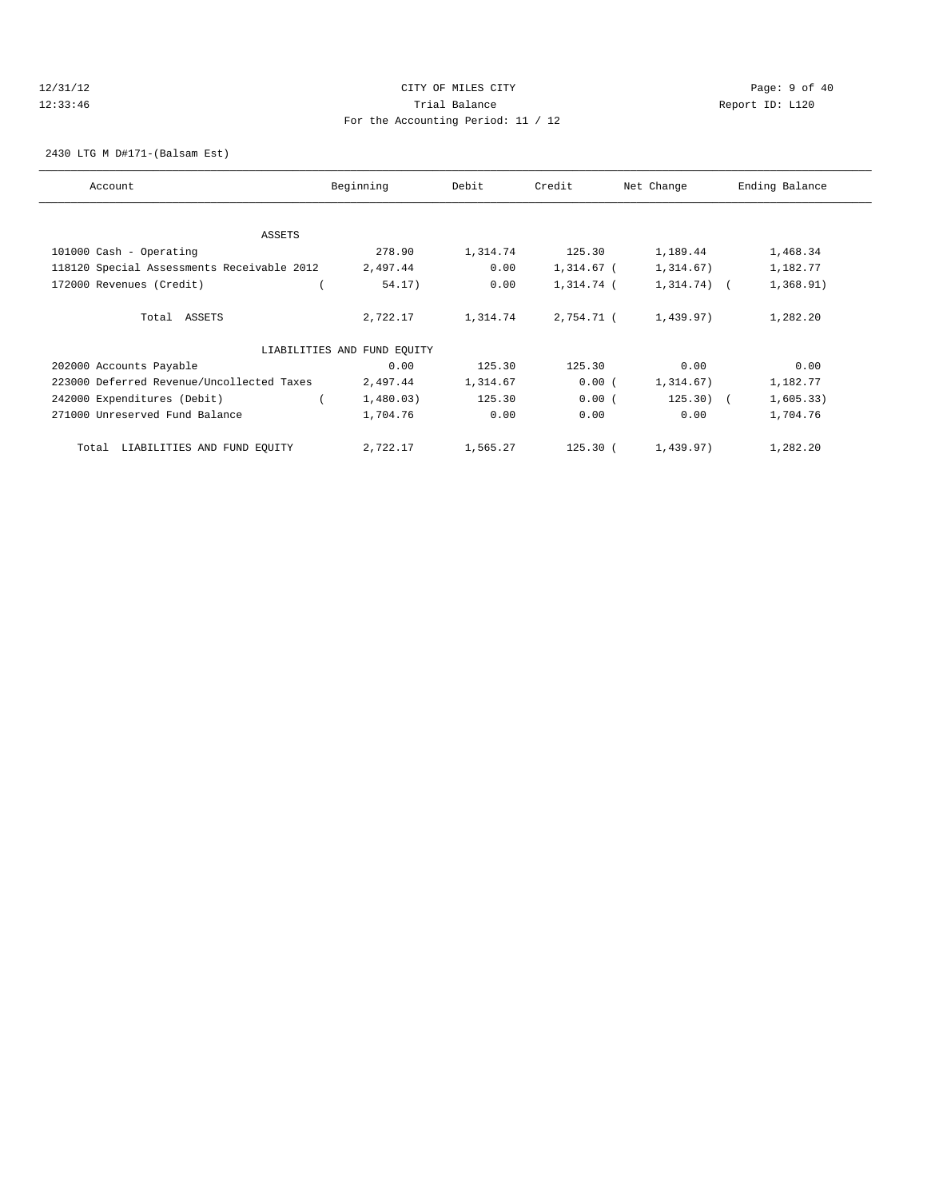# 12/31/12 CITY OF MILES CITY Page: 9 of 40 12:33:46 Trial Balance Report ID: L120 For the Accounting Period: 11 / 12

2430 LTG M D#171-(Balsam Est)

| Account                                    | Beginning                   | Debit    | Credit     | Net Change    | Ending Balance |
|--------------------------------------------|-----------------------------|----------|------------|---------------|----------------|
| <b>ASSETS</b>                              |                             |          |            |               |                |
| 101000 Cash - Operating                    | 278.90                      | 1,314.74 | 125.30     | 1,189.44      | 1,468.34       |
|                                            |                             |          |            |               |                |
| 118120 Special Assessments Receivable 2012 | 2,497.44                    | 0.00     | 1,314.67 ( | 1,314.67)     | 1,182.77       |
| 172000 Revenues (Credit)                   | 54.17)                      | 0.00     | 1,314.74 ( | $1,314.74)$ ( | 1,368.91)      |
| Total ASSETS                               | 2,722.17                    | 1,314.74 | 2,754.71 ( | 1,439.97)     | 1,282.20       |
|                                            | LIABILITIES AND FUND EQUITY |          |            |               |                |
| 202000 Accounts Payable                    | 0.00                        | 125.30   | 125.30     | 0.00          | 0.00           |
| 223000 Deferred Revenue/Uncollected Taxes  | 2,497.44                    | 1,314.67 | 0.00(      | 1,314.67)     | 1,182.77       |
| 242000 Expenditures (Debit)                | 1,480.03)                   | 125.30   | 0.00(      | $125.30$ (    | 1,605.33)      |
| 271000 Unreserved Fund Balance             | 1,704.76                    | 0.00     | 0.00       | 0.00          | 1,704.76       |
| LIABILITIES AND FUND EQUITY<br>Total       | 2,722.17                    | 1,565.27 | $125.30$ ( | 1,439.97)     | 1,282.20       |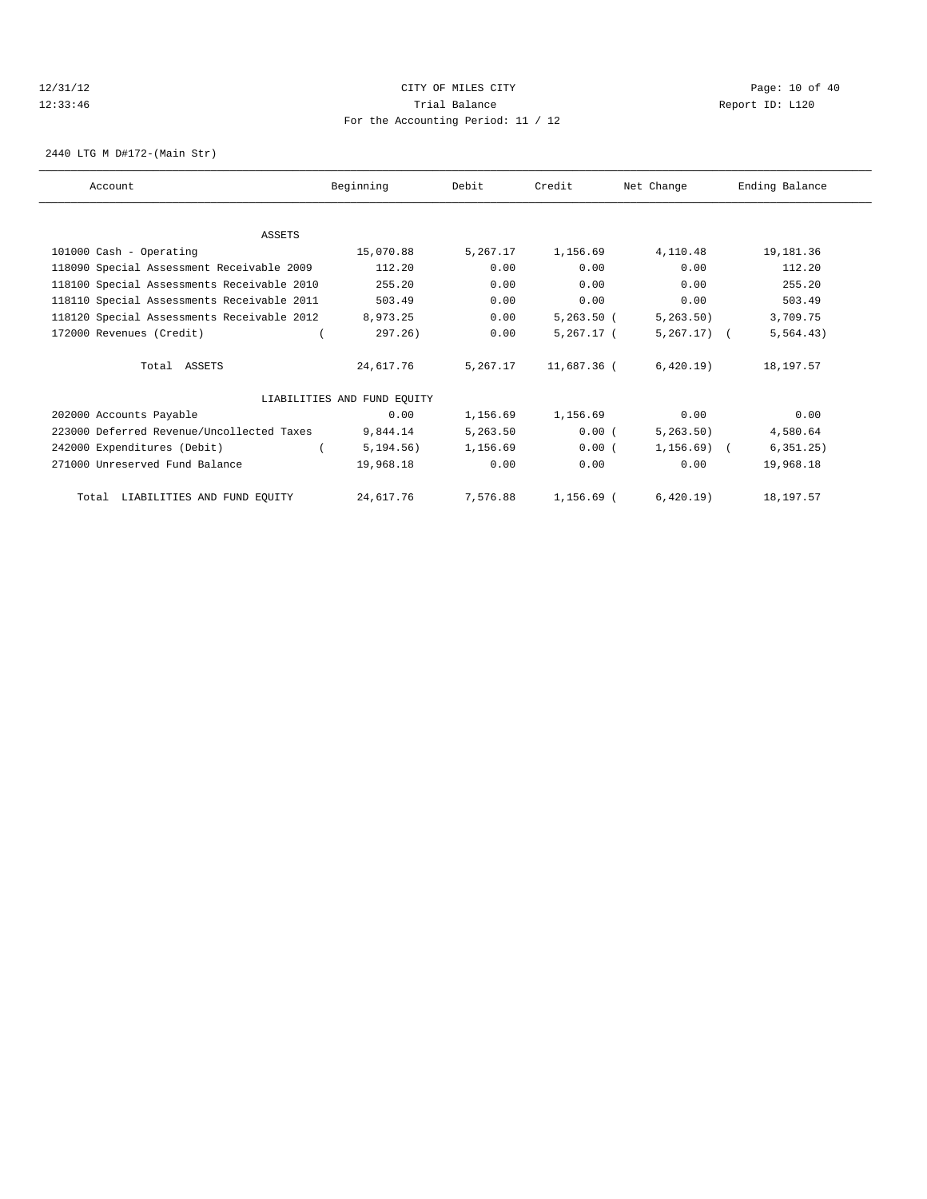# 12/31/12 Page: 10 of 40 12:33:46 Trial Balance Report ID: L120 For the Accounting Period: 11 / 12

2440 LTG M D#172-(Main Str)

| Account                                    | Beginning                   | Debit    | Credit       | Net Change     | Ending Balance |
|--------------------------------------------|-----------------------------|----------|--------------|----------------|----------------|
|                                            |                             |          |              |                |                |
| <b>ASSETS</b>                              |                             |          |              |                |                |
| 101000 Cash - Operating                    | 15,070.88                   | 5,267.17 | 1,156.69     | 4,110.48       | 19,181.36      |
| 118090 Special Assessment Receivable 2009  | 112.20                      | 0.00     | 0.00         | 0.00           | 112.20         |
| 118100 Special Assessments Receivable 2010 | 255.20                      | 0.00     | 0.00         | 0.00           | 255.20         |
| 118110 Special Assessments Receivable 2011 | 503.49                      | 0.00     | 0.00         | 0.00           | 503.49         |
| 118120 Special Assessments Receivable 2012 | 8,973.25                    | 0.00     | $5,263.50$ ( | 5, 263.50      | 3,709.75       |
| 172000 Revenues (Credit)                   | 297.26)                     | 0.00     | 5,267.17 (   | $5,267,17$ ) ( | 5, 564.43)     |
| Total ASSETS                               | 24,617.76                   | 5,267.17 | 11,687.36 (  | 6,420.19)      | 18,197.57      |
|                                            | LIABILITIES AND FUND EQUITY |          |              |                |                |
| 202000 Accounts Payable                    | 0.00                        | 1,156.69 | 1,156.69     | 0.00           | 0.00           |
| 223000 Deferred Revenue/Uncollected Taxes  | 9,844.14                    | 5,263.50 | 0.00(        | 5, 263.50)     | 4,580.64       |
| 242000 Expenditures (Debit)                | 5, 194.56)                  | 1,156.69 | 0.00(        | $1,156.69$ (   | 6, 351.25)     |
| 271000 Unreserved Fund Balance             | 19,968.18                   | 0.00     | 0.00         | 0.00           | 19,968.18      |
| Total LIABILITIES AND FUND EQUITY          | 24,617.76                   | 7,576.88 | 1,156.69 (   | 6.420.19       | 18, 197. 57    |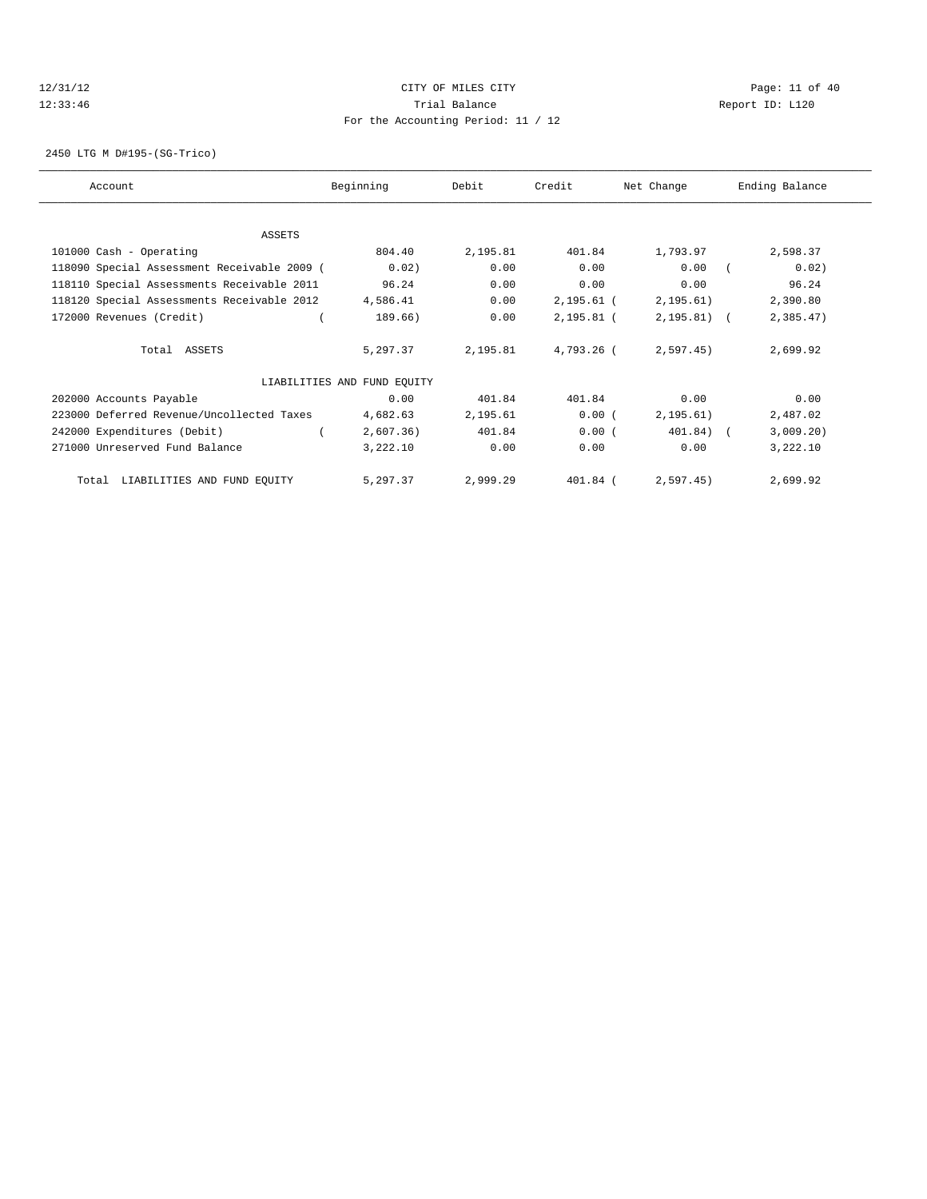# 12/31/12 Page: 11 of 40 12:33:46 Trial Balance Report ID: L120 For the Accounting Period: 11 / 12

2450 LTG M D#195-(SG-Trico)

| Account                                     | Beginning                   | Debit    | Credit       | Net Change   | Ending Balance |
|---------------------------------------------|-----------------------------|----------|--------------|--------------|----------------|
|                                             |                             |          |              |              |                |
| ASSETS                                      |                             |          |              |              |                |
| 101000 Cash - Operating                     | 804.40                      | 2,195.81 | 401.84       | 1,793.97     | 2,598.37       |
| 118090 Special Assessment Receivable 2009 ( | 0.02)                       | 0.00     | 0.00         | 0.00         | 0.02)          |
| 118110 Special Assessments Receivable 2011  | 96.24                       | 0.00     | 0.00         | 0.00         | 96.24          |
| 118120 Special Assessments Receivable 2012  | 4,586.41                    | 0.00     | $2,195.61$ ( | 2, 195.61)   | 2,390.80       |
| 172000 Revenues (Credit)                    | 189.66)                     | 0.00     | $2,195.81$ ( | $2,195.81$ ( | 2,385.47       |
| Total ASSETS                                | 5,297.37                    | 2,195.81 | 4,793.26 (   | 2,597.45)    | 2,699.92       |
|                                             | LIABILITIES AND FUND EQUITY |          |              |              |                |
| 202000 Accounts Payable                     | 0.00                        | 401.84   | 401.84       | 0.00         | 0.00           |
| 223000 Deferred Revenue/Uncollected Taxes   | 4,682.63                    | 2,195.61 | 0.00(        | 2, 195.61)   | 2,487.02       |
| 242000 Expenditures (Debit)                 | 2,607.36)                   | 401.84   | 0.00(        | $401.84$ ) ( | 3,009.20)      |
| 271000 Unreserved Fund Balance              | 3,222.10                    | 0.00     | 0.00         | 0.00         | 3,222.10       |
| Total LIABILITIES AND FUND EQUITY           | 5,297.37                    | 2,999.29 | 401.84 (     | 2,597.45)    | 2,699.92       |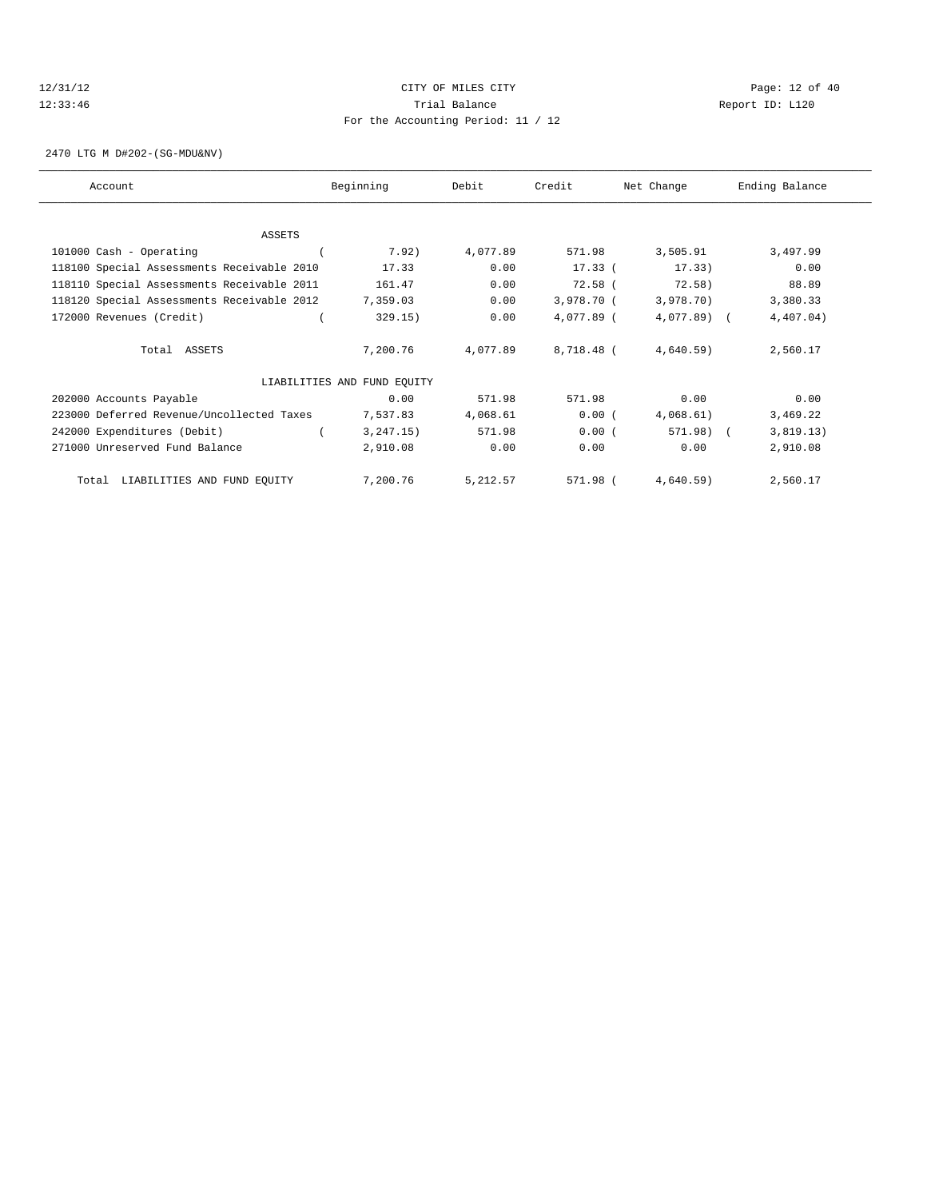# 12/31/12 Page: 12 of 40 12:33:46 Trial Balance Report ID: L120 For the Accounting Period: 11 / 12

2470 LTG M D#202-(SG-MDU&NV)

| Account                                    | Beginning                   | Debit    | Credit     | Net Change   | Ending Balance |
|--------------------------------------------|-----------------------------|----------|------------|--------------|----------------|
|                                            |                             |          |            |              |                |
| ASSETS                                     |                             |          |            |              |                |
| 101000 Cash - Operating                    | 7.92)                       | 4,077.89 | 571.98     | 3,505.91     | 3,497.99       |
| 118100 Special Assessments Receivable 2010 | 17.33                       | 0.00     | $17.33$ (  | 17.33)       | 0.00           |
| 118110 Special Assessments Receivable 2011 | 161.47                      | 0.00     | $72.58$ (  | 72.58)       | 88.89          |
| 118120 Special Assessments Receivable 2012 | 7,359.03                    | 0.00     | 3,978.70 ( | 3,978.70)    | 3,380.33       |
| 172000 Revenues (Credit)                   | 329.15)                     | 0.00     | 4,077.89 ( | $4,077.89$ ( | 4,407.04)      |
| Total ASSETS                               | 7,200.76                    | 4,077.89 | 8,718.48 ( | 4,640.59)    | 2,560.17       |
|                                            | LIABILITIES AND FUND EQUITY |          |            |              |                |
| 202000 Accounts Payable                    | 0.00                        | 571.98   | 571.98     | 0.00         | 0.00           |
| 223000 Deferred Revenue/Uncollected Taxes  | 7,537.83                    | 4,068.61 | 0.00(      | 4,068.61)    | 3,469.22       |
| 242000 Expenditures (Debit)                | 3, 247.15)                  | 571.98   | 0.00(      | 571.98) (    | 3,819.13)      |
| 271000 Unreserved Fund Balance             | 2,910.08                    | 0.00     | 0.00       | 0.00         | 2,910.08       |
| Total LIABILITIES AND FUND EQUITY          | 7,200.76                    | 5,212.57 | 571.98 (   | 4,640.59)    | 2,560.17       |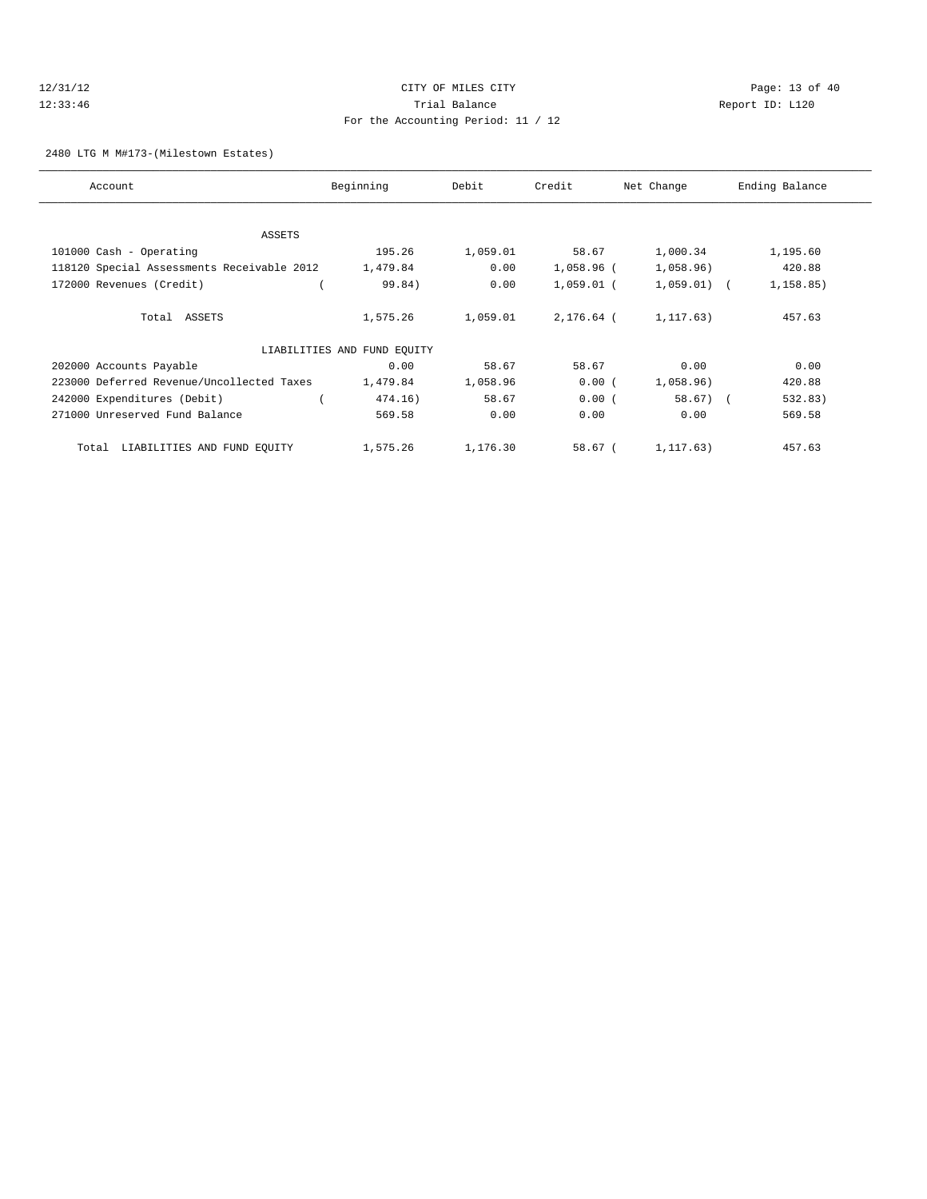# 12/31/12 Page: 13 of 40 12:33:46 Trial Balance Report ID: L120 For the Accounting Period: 11 / 12

#### 2480 LTG M M#173-(Milestown Estates)

| Account                                    | Beginning                   | Debit    | Credit       | Net Change    | Ending Balance |
|--------------------------------------------|-----------------------------|----------|--------------|---------------|----------------|
|                                            |                             |          |              |               |                |
| <b>ASSETS</b>                              |                             |          |              |               |                |
| 101000 Cash - Operating                    | 195.26                      | 1,059.01 | 58.67        | 1,000.34      | 1,195.60       |
| 118120 Special Assessments Receivable 2012 | 1,479.84                    | 0.00     | 1,058.96 (   | 1,058.96)     | 420.88         |
| 172000 Revenues (Credit)                   | 99.84)                      | 0.00     | $1,059.01$ ( | $1,059.01)$ ( | 1, 158.85)     |
| Total ASSETS                               | 1,575.26                    | 1,059.01 | 2,176.64 (   | 1, 117, 63)   | 457.63         |
|                                            | LIABILITIES AND FUND EQUITY |          |              |               |                |
| 202000 Accounts Payable                    | 0.00                        | 58.67    | 58.67        | 0.00          | 0.00           |
| 223000 Deferred Revenue/Uncollected Taxes  | 1,479.84                    | 1,058.96 | 0.00(        | 1,058.96)     | 420.88         |
| 242000 Expenditures (Debit)                | 474.16)                     | 58.67    | 0.00(        | $58.67$ (     | 532.83)        |
| 271000 Unreserved Fund Balance             | 569.58                      | 0.00     | 0.00         | 0.00          | 569.58         |
| LIABILITIES AND FUND EQUITY<br>Total       | 1,575.26                    | 1,176.30 | 58.67 (      | 1,117.63)     | 457.63         |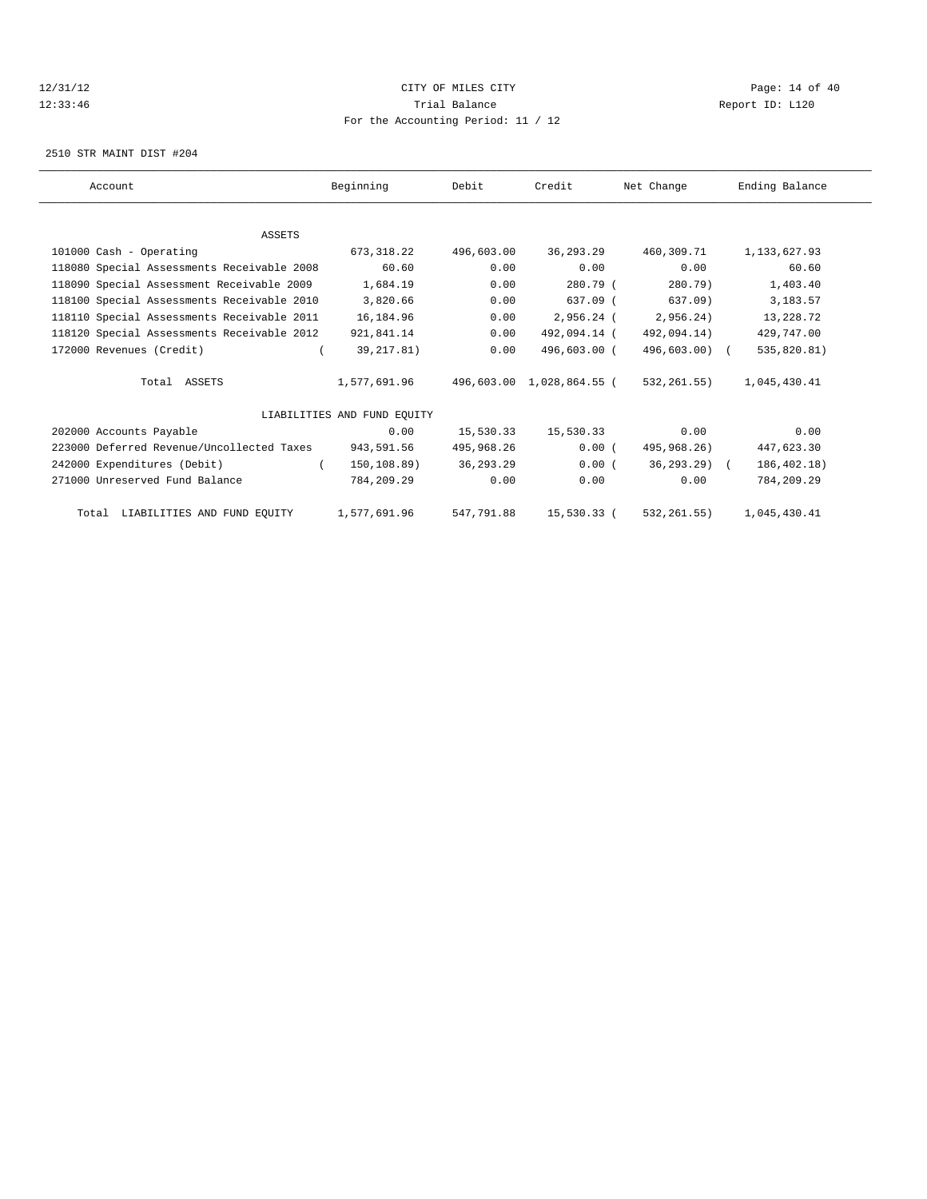#### 12/31/12 **CITY OF MILES CITY CITY CITY Page: 14 of 40** 12:33:46 Trial Balance Report ID: L120 For the Accounting Period: 11 / 12

2510 STR MAINT DIST #204

| Account                                    | Beginning                   | Debit       | Credit                    | Net Change        | Ending Balance |
|--------------------------------------------|-----------------------------|-------------|---------------------------|-------------------|----------------|
|                                            |                             |             |                           |                   |                |
| ASSETS                                     |                             |             |                           |                   |                |
| 101000 Cash - Operating                    | 673, 318, 22                | 496,603.00  | 36, 293, 29               | 460,309.71        | 1, 133, 627.93 |
| 118080 Special Assessments Receivable 2008 | 60.60                       | 0.00        | 0.00                      | 0.00              | 60.60          |
| 118090 Special Assessment Receivable 2009  | 1,684.19                    | 0.00        | 280.79 (                  | 280.79)           | 1,403.40       |
| 118100 Special Assessments Receivable 2010 | 3,820.66                    | 0.00        | 637.09 (                  | 637.09)           | 3,183.57       |
| 118110 Special Assessments Receivable 2011 | 16,184.96                   | 0.00        | $2,956.24$ (              | 2.956.24)         | 13,228.72      |
| 118120 Special Assessments Receivable 2012 | 921,841.14                  | 0.00        | 492,094.14 (              | 492,094.14)       | 429,747.00     |
| 172000 Revenues (Credit)                   | 39, 217.81)                 | 0.00        | 496,603.00 (              | 496,603.00) (     | 535,820.81)    |
| Total ASSETS                               | 1,577,691.96                |             | 496,603.00 1,028,864.55 ( | 532,261.55)       | 1,045,430.41   |
|                                            | LIABILITIES AND FUND EOUITY |             |                           |                   |                |
| 202000 Accounts Payable                    | 0.00                        | 15,530.33   | 15,530.33                 | 0.00              | 0.00           |
| 223000 Deferred Revenue/Uncollected Taxes  | 943,591.56                  | 495,968.26  | 0.00(                     | 495,968.26)       | 447,623.30     |
| 242000 Expenditures (Debit)                | 150,108.89)                 | 36, 293, 29 | 0.00(                     | $36, 293, 29$ $($ | 186,402.18)    |
| 271000 Unreserved Fund Balance             | 784,209.29                  | 0.00        | 0.00                      | 0.00              | 784,209.29     |
| Total LIABILITIES AND FUND EQUITY          | 1,577,691.96                | 547,791.88  | 15,530.33 (               | 532,261.55)       | 1,045,430.41   |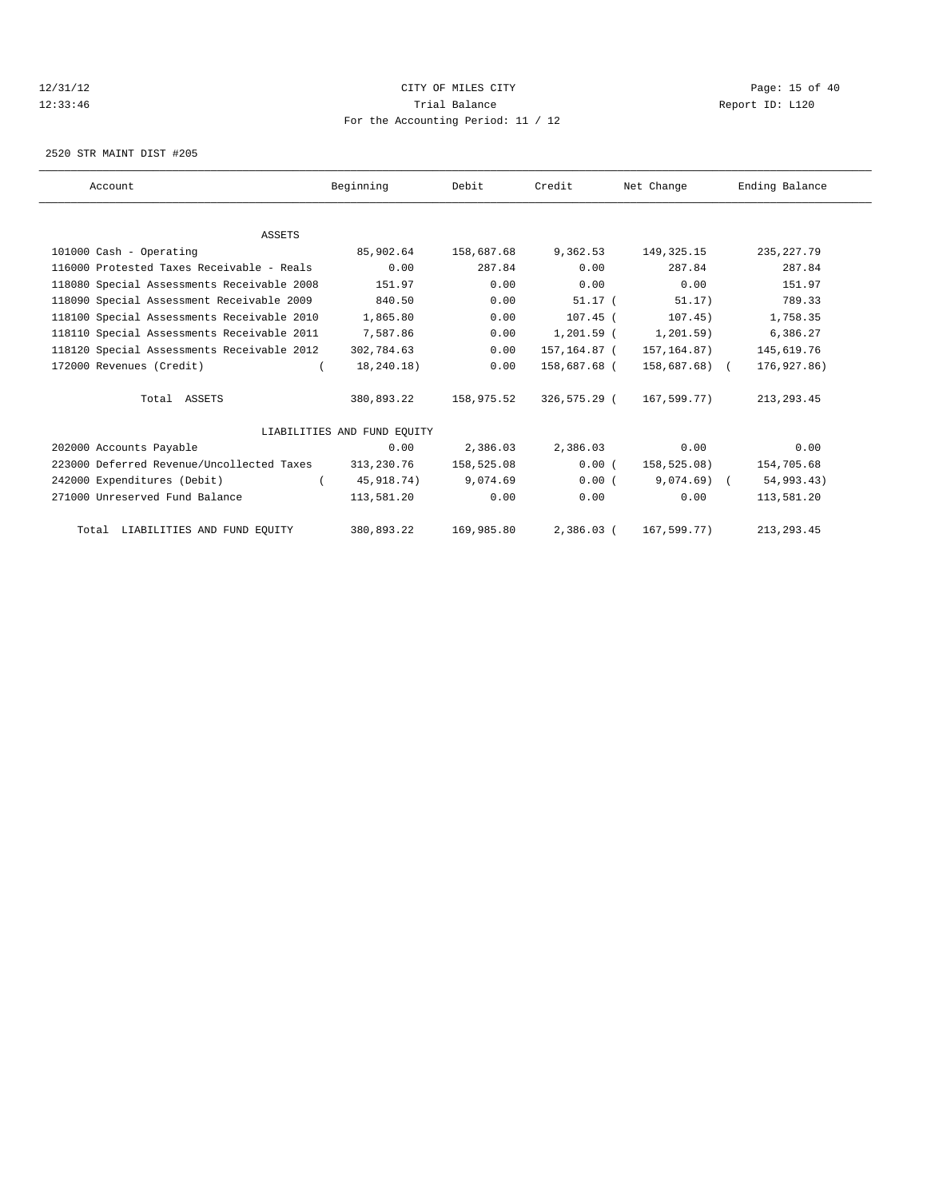# 12/31/12 Page: 15 of 40 12:33:46 Trial Balance Report ID: L120 For the Accounting Period: 11 / 12

2520 STR MAINT DIST #205

| Account |                                            | Beginning                   | Debit      | Credit       | Net Change    | Ending Balance |  |
|---------|--------------------------------------------|-----------------------------|------------|--------------|---------------|----------------|--|
|         |                                            |                             |            |              |               |                |  |
|         | ASSETS                                     |                             |            |              |               |                |  |
|         | 101000 Cash - Operating                    | 85,902.64                   | 158,687.68 | 9,362.53     | 149,325.15    | 235, 227.79    |  |
|         | 116000 Protested Taxes Receivable - Reals  | 0.00                        | 287.84     | 0.00         | 287.84        | 287.84         |  |
|         | 118080 Special Assessments Receivable 2008 | 151.97                      | 0.00       | 0.00         | 0.00          | 151.97         |  |
|         | 118090 Special Assessment Receivable 2009  | 840.50                      | 0.00       | $51.17$ (    | 51.17)        | 789.33         |  |
|         | 118100 Special Assessments Receivable 2010 | 1,865.80                    | 0.00       | $107.45$ (   | 107.45)       | 1,758.35       |  |
|         | 118110 Special Assessments Receivable 2011 | 7,587.86                    | 0.00       | $1,201.59$ ( | 1, 201.59)    | 6,386.27       |  |
|         | 118120 Special Assessments Receivable 2012 | 302,784.63                  | 0.00       | 157,164.87 ( | 157,164.87)   | 145,619.76     |  |
|         | 172000 Revenues (Credit)                   | 18,240.18)                  | 0.00       | 158,687.68 ( | 158,687.68) ( | 176,927.86)    |  |
|         | Total ASSETS                               | 380,893.22                  | 158,975.52 | 326,575.29 ( | 167,599.77)   | 213, 293.45    |  |
|         |                                            | LIABILITIES AND FUND EOUITY |            |              |               |                |  |
|         | 202000 Accounts Payable                    | 0.00                        | 2,386.03   | 2,386.03     | 0.00          | 0.00           |  |
|         | 223000 Deferred Revenue/Uncollected Taxes  | 313,230.76                  | 158,525.08 | 0.00(        | 158,525.08)   | 154,705.68     |  |
|         | 242000 Expenditures (Debit)                | 45,918.74)                  | 9,074.69   | 0.00(        | $9,074.69$ (  | 54,993.43)     |  |
|         | 271000 Unreserved Fund Balance             | 113,581.20                  | 0.00       | 0.00         | 0.00          | 113,581.20     |  |
|         | Total LIABILITIES AND FUND EQUITY          | 380,893.22                  | 169,985.80 | $2,386.03$ ( | 167,599.77)   | 213, 293.45    |  |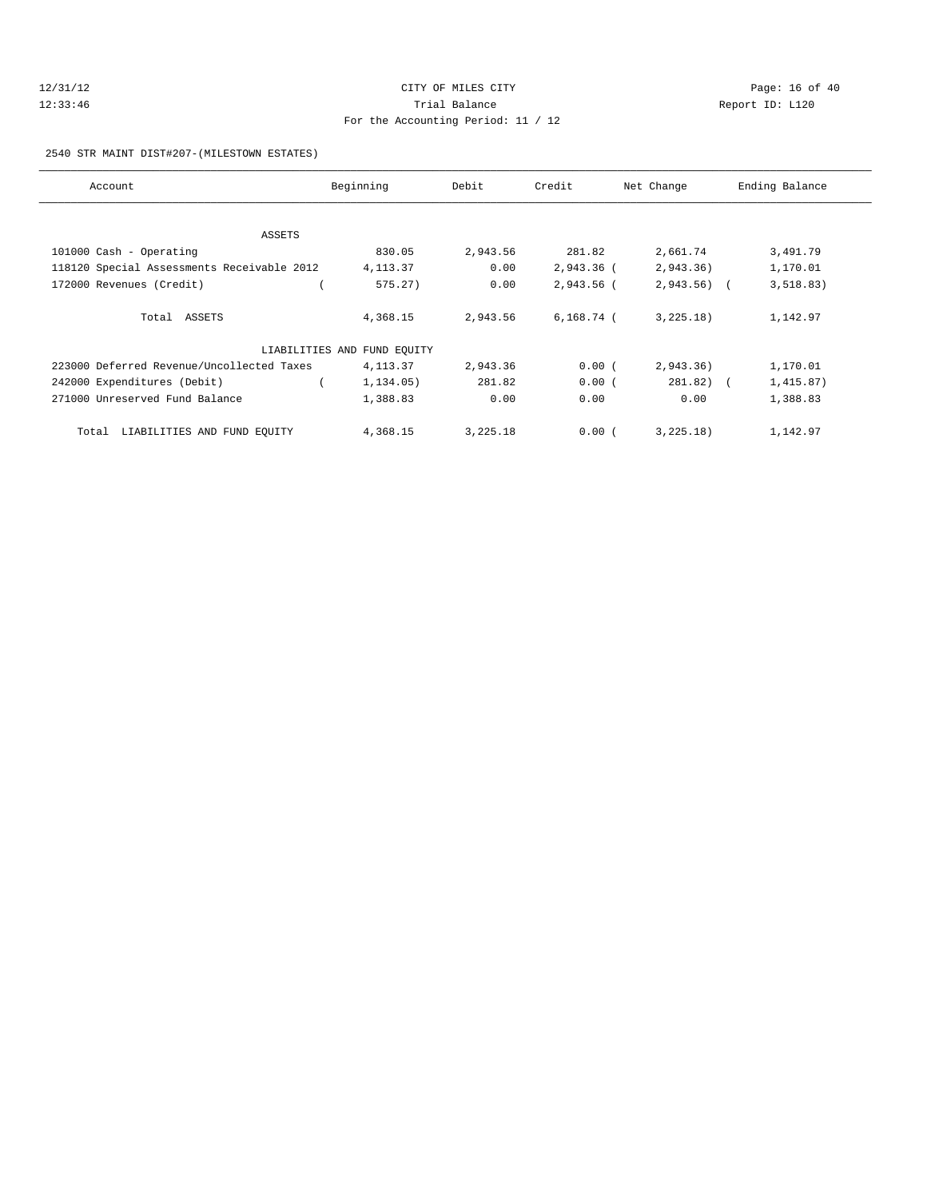# 12/31/12 Page: 16 of 40 12:33:46 Trial Balance Report ID: L120 For the Accounting Period: 11 / 12

#### 2540 STR MAINT DIST#207-(MILESTOWN ESTATES)

| Account                                    | Beginning                   | Debit    | Credit       | Net Change   | Ending Balance |
|--------------------------------------------|-----------------------------|----------|--------------|--------------|----------------|
|                                            |                             |          |              |              |                |
| ASSETS                                     |                             |          |              |              |                |
| 101000 Cash - Operating                    | 830.05                      | 2,943.56 | 281.82       | 2,661.74     | 3,491.79       |
| 118120 Special Assessments Receivable 2012 | 4, 113.37                   | 0.00     | $2,943.36$ ( | 2,943.36)    | 1,170.01       |
| 172000 Revenues (Credit)                   | 575.27)                     | 0.00     | 2,943.56 (   | $2,943.56$ ( | 3, 518.83)     |
| Total ASSETS                               | 4,368.15                    | 2,943.56 | 6,168.74 (   | 3,225.18)    | 1,142.97       |
|                                            |                             |          |              |              |                |
|                                            | LIABILITIES AND FUND EQUITY |          |              |              |                |
| 223000 Deferred Revenue/Uncollected Taxes  | 4, 113.37                   | 2,943.36 | 0.00(        | 2,943.36)    | 1,170.01       |
| 242000 Expenditures (Debit)                | 1,134.05)                   | 281.82   | 0.00(        | $281.82)$ (  | 1,415.87)      |
| 271000 Unreserved Fund Balance             | 1,388.83                    | 0.00     | 0.00         | 0.00         | 1,388.83       |
| Total LIABILITIES AND FUND EQUITY          | 4,368.15                    | 3,225.18 | 0.00(        | 3,225.18)    | 1,142.97       |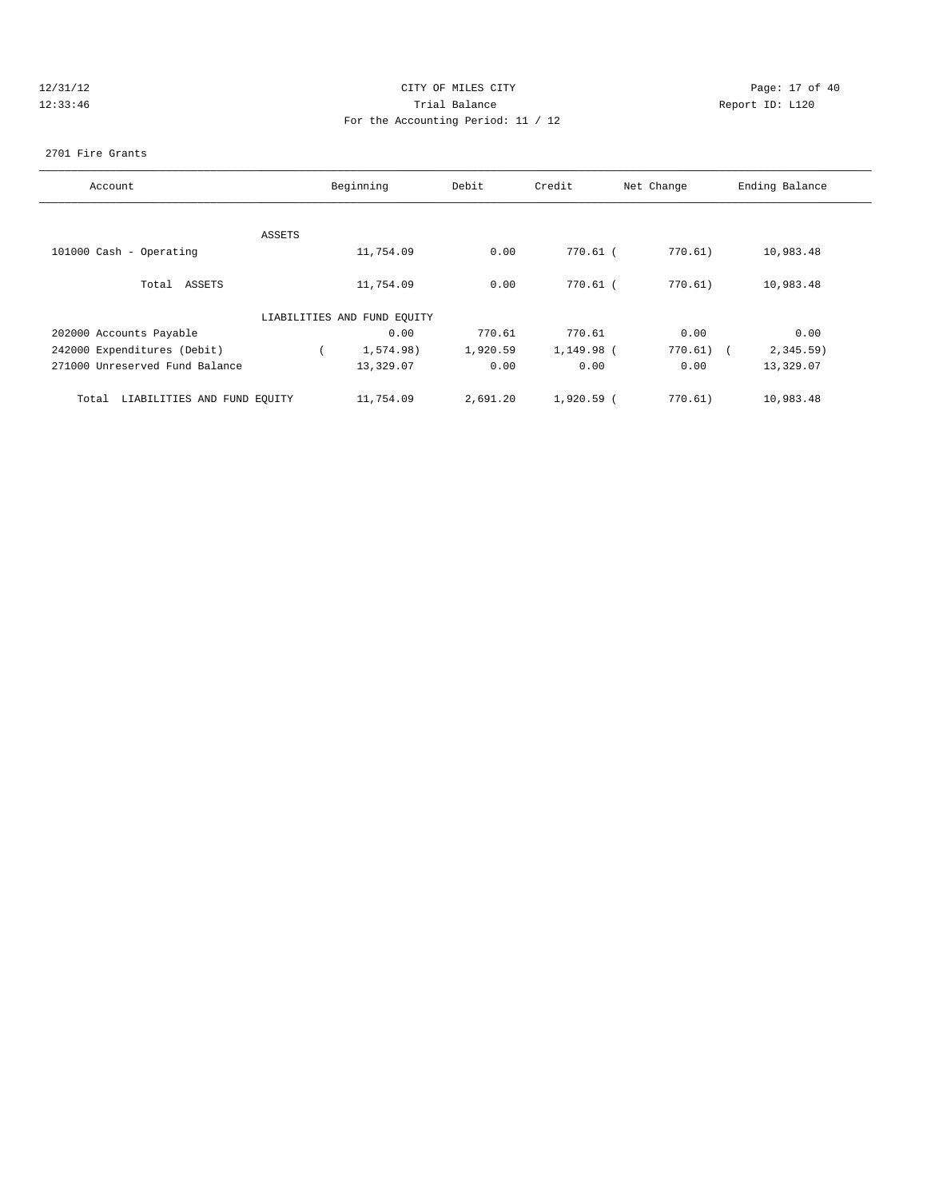# 12/31/12 Page: 17 of 40 12:33:46 Trial Balance Report ID: L120 For the Accounting Period: 11 / 12

#### 2701 Fire Grants

| Account                              |        | Beginning                   | Debit    | Credit       | Net Change  | Ending Balance |
|--------------------------------------|--------|-----------------------------|----------|--------------|-------------|----------------|
|                                      |        |                             |          |              |             |                |
|                                      | ASSETS |                             |          |              |             |                |
| 101000 Cash - Operating              |        | 11,754.09                   | 0.00     | 770.61 (     | 770.61)     | 10,983.48      |
| Total ASSETS                         |        | 11,754.09                   | 0.00     | 770.61 (     | 770.61)     | 10,983.48      |
|                                      |        | LIABILITIES AND FUND EQUITY |          |              |             |                |
| 202000 Accounts Payable              |        | 0.00                        | 770.61   | 770.61       | 0.00        | 0.00           |
| 242000 Expenditures (Debit)          |        | 1.574.98                    | 1,920.59 | 1,149.98 (   | $770.61)$ ( | $2,345.59$ )   |
| 271000 Unreserved Fund Balance       |        | 13,329.07                   | 0.00     | 0.00         | 0.00        | 13,329.07      |
| LIABILITIES AND FUND EQUITY<br>Total |        | 11,754.09                   | 2,691.20 | $1,920.59$ ( | 770.61)     | 10,983.48      |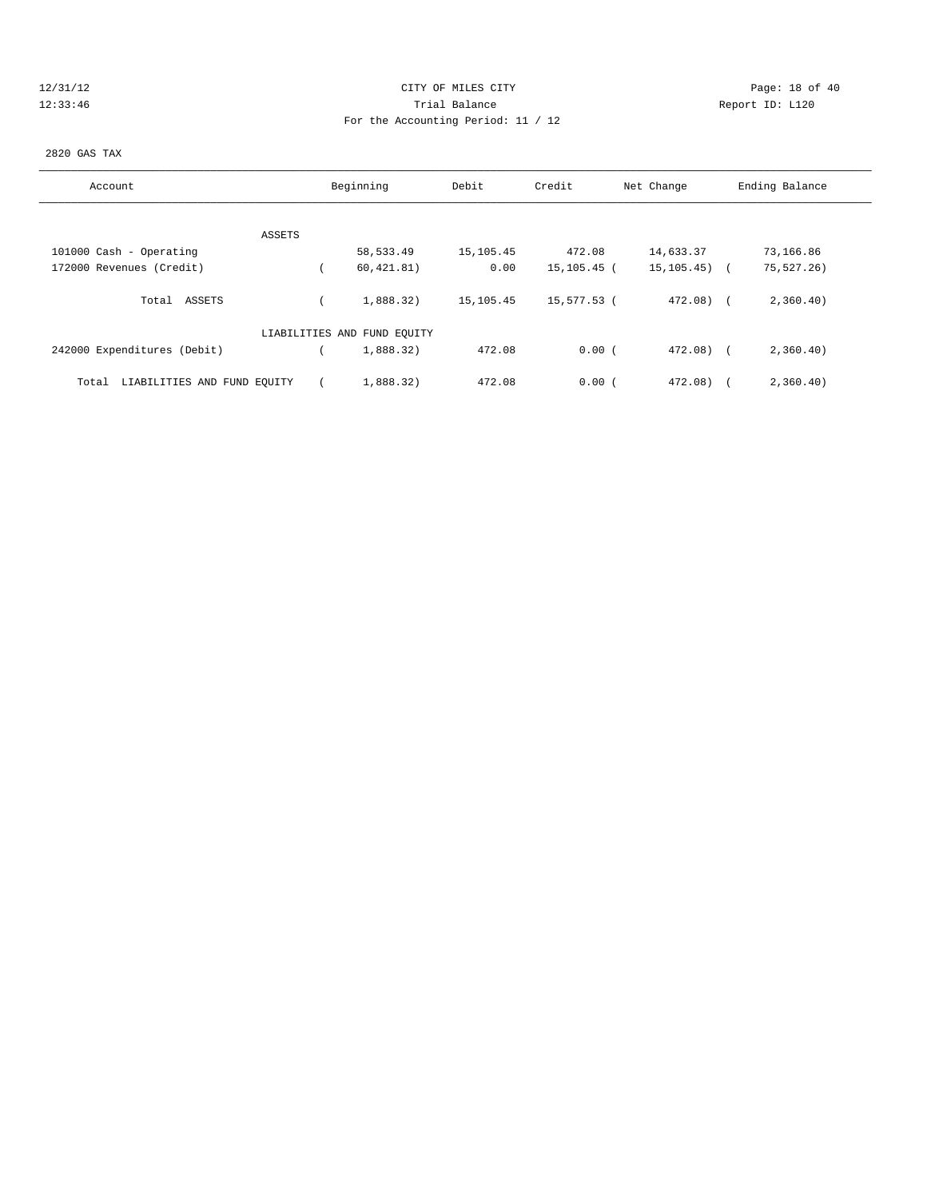# 12/31/12 Page: 18 of 40 12:33:46 Trial Balance Report ID: L120 For the Accounting Period: 11 / 12

#### 2820 GAS TAX

| Account                              | Beginning                   | Debit     | Credit      | Net Change      | Ending Balance      |
|--------------------------------------|-----------------------------|-----------|-------------|-----------------|---------------------|
|                                      |                             |           |             |                 |                     |
| ASSETS                               |                             |           |             |                 |                     |
| 101000 Cash - Operating              | 58,533.49                   | 15,105.45 | 472.08      | 14,633.37       | 73,166.86           |
| 172000 Revenues (Credit)             | 60, 421.81)                 | 0.00      | 15,105.45 ( | $15, 105, 45$ ( | 75,527.26)          |
| Total ASSETS                         | 1,888.32)                   | 15,105.45 | 15,577.53 ( | $472.08$ (      | 2,360.40)           |
|                                      | LIABILITIES AND FUND EQUITY |           |             |                 |                     |
| 242000 Expenditures (Debit)          | 1,888.32)                   | 472.08    | 0.00(       | 472.08)         | 2,360.40)<br>$\sim$ |
| LIABILITIES AND FUND EQUITY<br>Total | 1,888.32)                   | 472.08    | 0.00(       | 472.08)         | 2,360.40)           |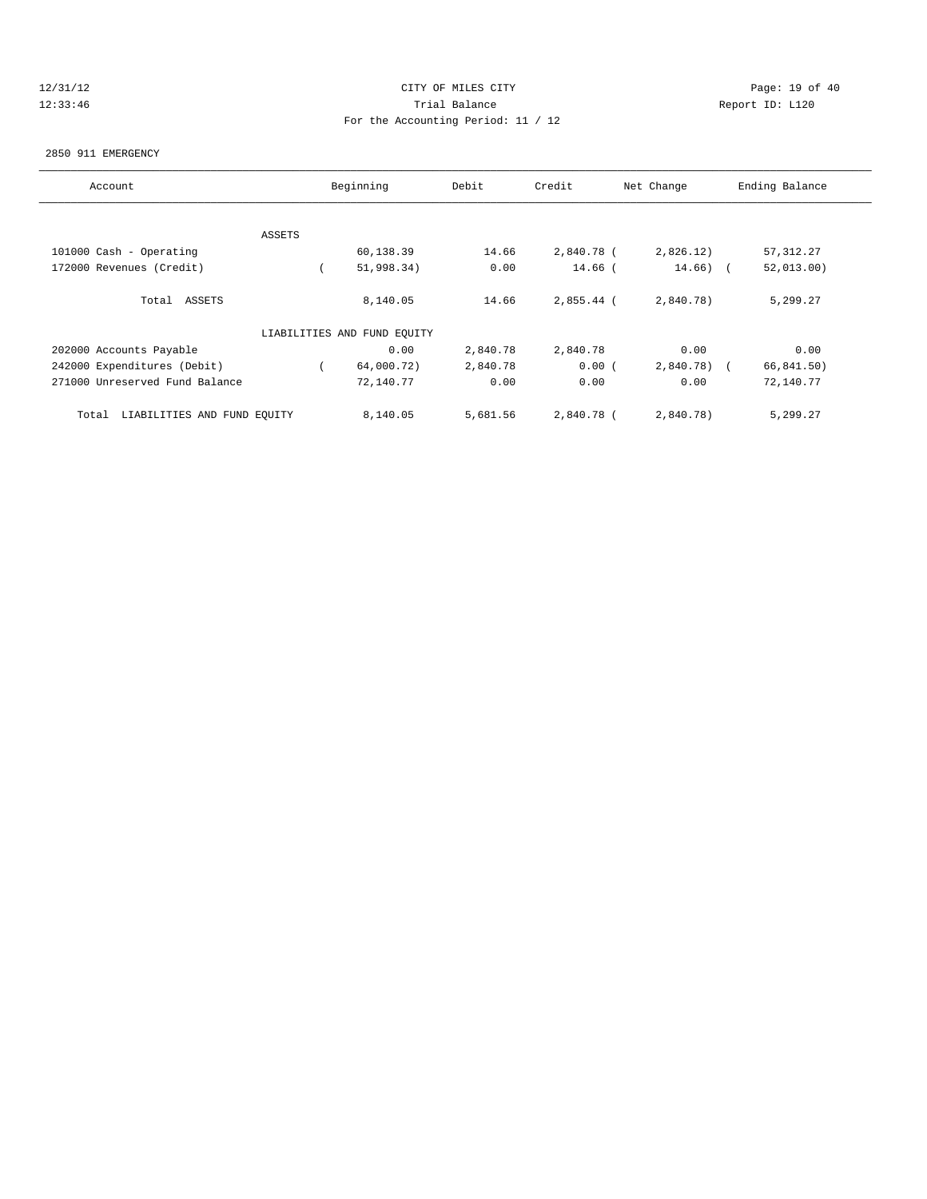# 12/31/12 Page: 19 of 40 12:33:46 Trial Balance Report ID: L120 For the Accounting Period: 11 / 12

#### 2850 911 EMERGENCY

| Account                              |               | Beginning                   | Debit    | Credit     | Net Change | Ending Balance |
|--------------------------------------|---------------|-----------------------------|----------|------------|------------|----------------|
|                                      |               |                             |          |            |            |                |
|                                      | <b>ASSETS</b> |                             |          |            |            |                |
| 101000 Cash - Operating              |               | 60,138.39                   | 14.66    | 2,840.78 ( | 2,826.12)  | 57, 312.27     |
| 172000 Revenues (Credit)             |               | 51,998.34)                  | 0.00     | 14.66 (    | $14.66)$ ( | 52,013.00      |
| Total ASSETS                         |               | 8,140.05                    | 14.66    | 2,855.44 ( | 2,840.78)  | 5,299.27       |
|                                      |               | LIABILITIES AND FUND EQUITY |          |            |            |                |
| 202000 Accounts Payable              |               | 0.00                        | 2,840.78 | 2,840.78   | 0.00       | 0.00           |
| 242000 Expenditures (Debit)          |               | 64,000.72)                  | 2,840.78 | 0.00(      | 2,840.78)  | 66,841.50)     |
| 271000 Unreserved Fund Balance       |               | 72,140.77                   | 0.00     | 0.00       | 0.00       | 72,140.77      |
| LIABILITIES AND FUND EQUITY<br>Total |               | 8,140.05                    | 5,681.56 | 2,840.78 ( | 2,840.78)  | 5,299.27       |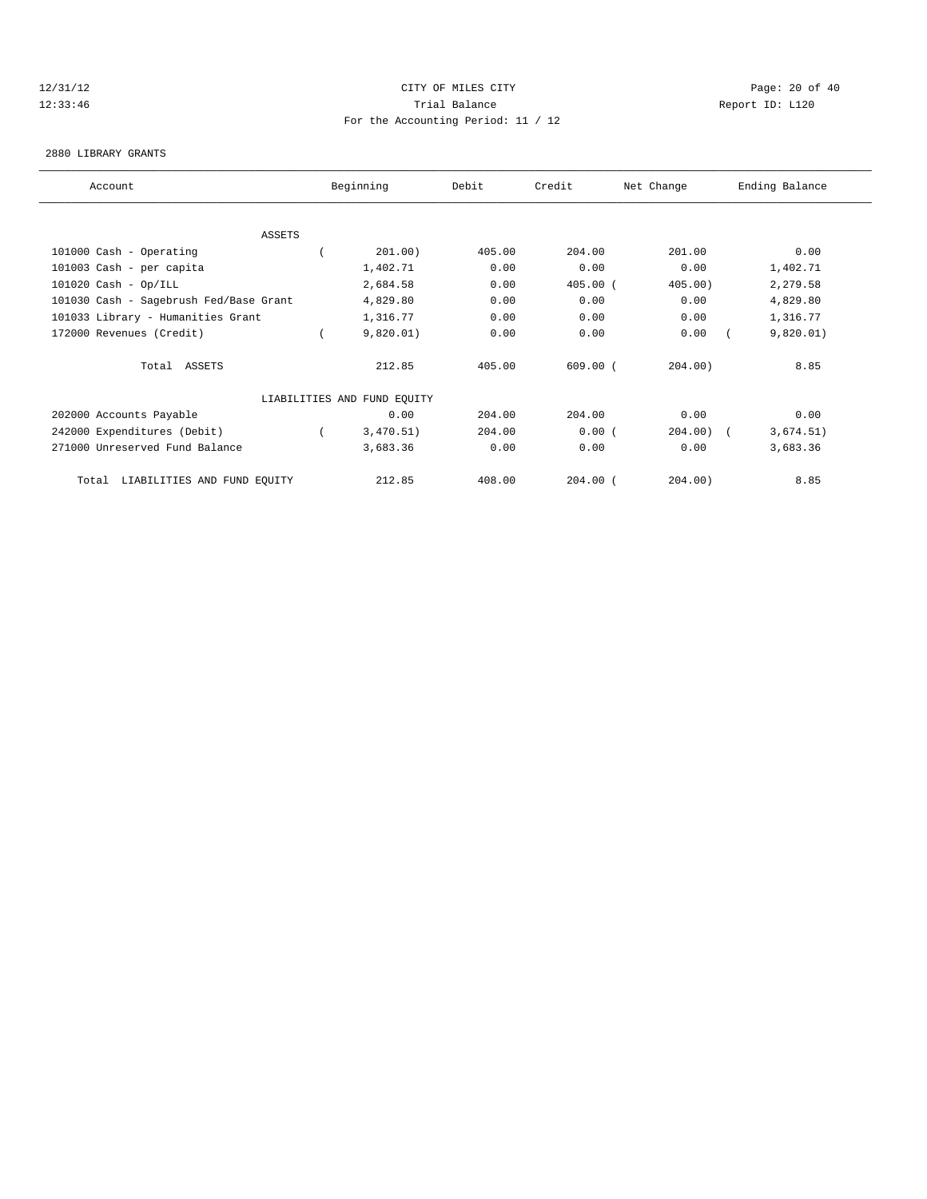# 12/31/12 Page: 20 of 40 12:33:46 Trial Balance Report ID: L120 For the Accounting Period: 11 / 12

#### 2880 LIBRARY GRANTS

| Account                                | Beginning                   | Debit  | Credit     | Net Change | Ending Balance |  |
|----------------------------------------|-----------------------------|--------|------------|------------|----------------|--|
|                                        |                             |        |            |            |                |  |
| ASSETS                                 |                             |        |            |            |                |  |
| 101000 Cash - Operating                | 201.00)                     | 405.00 | 204.00     | 201.00     | 0.00           |  |
| 101003 Cash - per capita               | 1,402.71                    | 0.00   | 0.00       | 0.00       | 1,402.71       |  |
| $101020$ Cash - Op/ILL                 | 2,684.58                    | 0.00   | $405.00$ ( | $405.00$ ) | 2,279.58       |  |
| 101030 Cash - Sagebrush Fed/Base Grant | 4,829.80                    | 0.00   | 0.00       | 0.00       | 4,829.80       |  |
| 101033 Library - Humanities Grant      | 1,316.77                    | 0.00   | 0.00       | 0.00       | 1,316.77       |  |
| 172000 Revenues (Credit)               | 9,820.01)                   | 0.00   | 0.00       | 0.00       | 9,820.01)      |  |
| Total ASSETS                           | 212.85                      | 405.00 | $609.00$ ( | 204.00)    | 8.85           |  |
|                                        | LIABILITIES AND FUND EQUITY |        |            |            |                |  |
| 202000 Accounts Payable                | 0.00                        | 204.00 | 204.00     | 0.00       | 0.00           |  |
| 242000 Expenditures (Debit)            | 3,470.51)                   | 204.00 | 0.00(      | 204.00)    | 3,674.51)      |  |
| 271000 Unreserved Fund Balance         | 3,683.36                    | 0.00   | 0.00       | 0.00       | 3,683.36       |  |
| LIABILITIES AND FUND EQUITY<br>Total   | 212.85                      | 408.00 | $204.00$ ( | 204.00)    | 8.85           |  |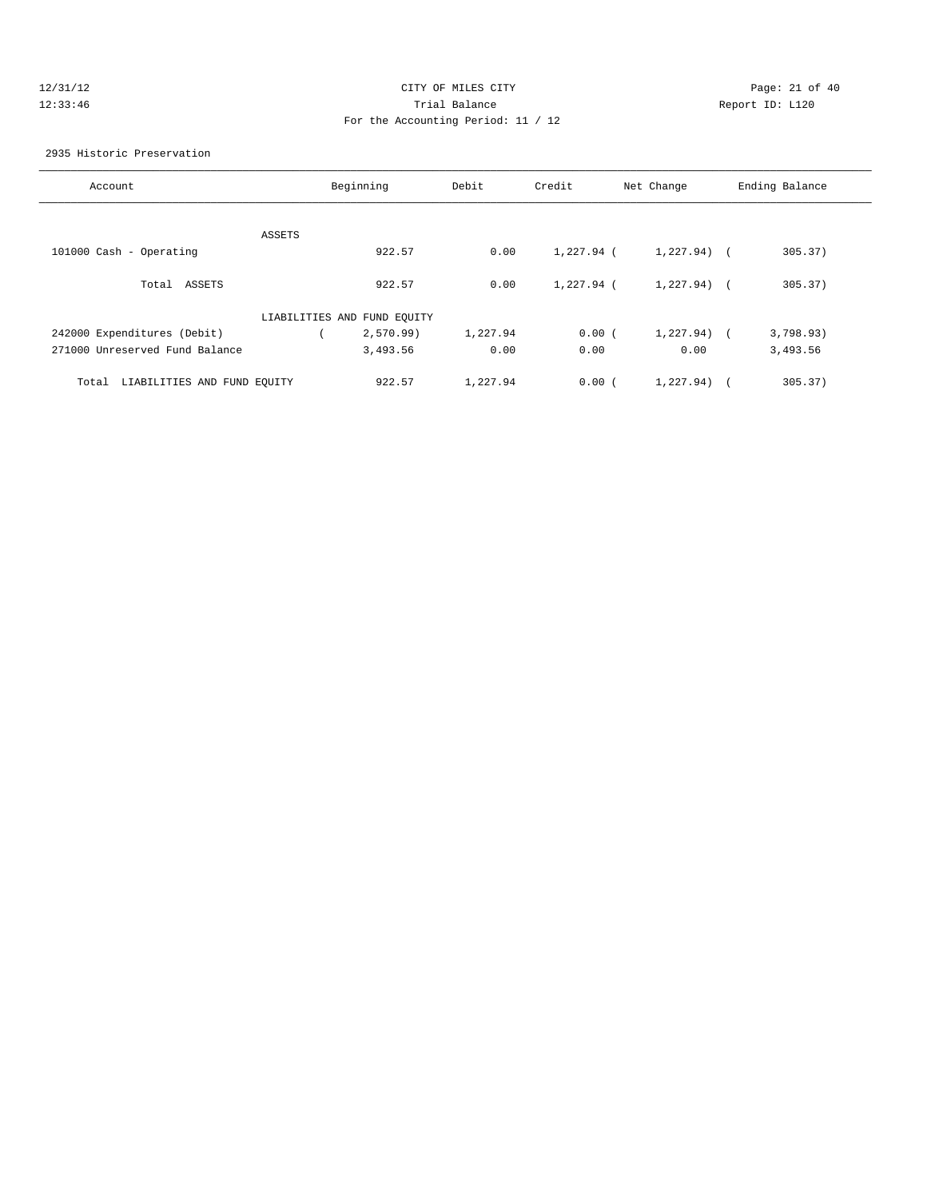# 12/31/12 Page: 21 of 40 12:33:46 Trial Balance Report ID: L120 For the Accounting Period: 11 / 12

2935 Historic Preservation

| Account                              |        | Beginning                   | Debit    | Credit       | Net Change     | Ending Balance |
|--------------------------------------|--------|-----------------------------|----------|--------------|----------------|----------------|
|                                      |        |                             |          |              |                |                |
|                                      | ASSETS |                             |          |              |                |                |
| 101000 Cash - Operating              |        | 922.57                      | 0.00     | $1.227.94$ ( | $1,227.94$ (   | 305.37)        |
| Total ASSETS                         |        | 922.57                      | 0.00     | $1,227.94$ ( | $1,227,94$ ) ( | 305.37)        |
|                                      |        | LIABILITIES AND FUND EQUITY |          |              |                |                |
| 242000 Expenditures (Debit)          |        | 2,570.99                    | 1,227.94 | 0.00(        | 1,227.94)      | 3,798.93)      |
| 271000 Unreserved Fund Balance       |        | 3,493.56                    | 0.00     | 0.00         | 0.00           | 3,493.56       |
| LIABILITIES AND FUND EQUITY<br>Total |        | 922.57                      | 1,227.94 | 0.00(        | 1,227.94)      | 305.37)        |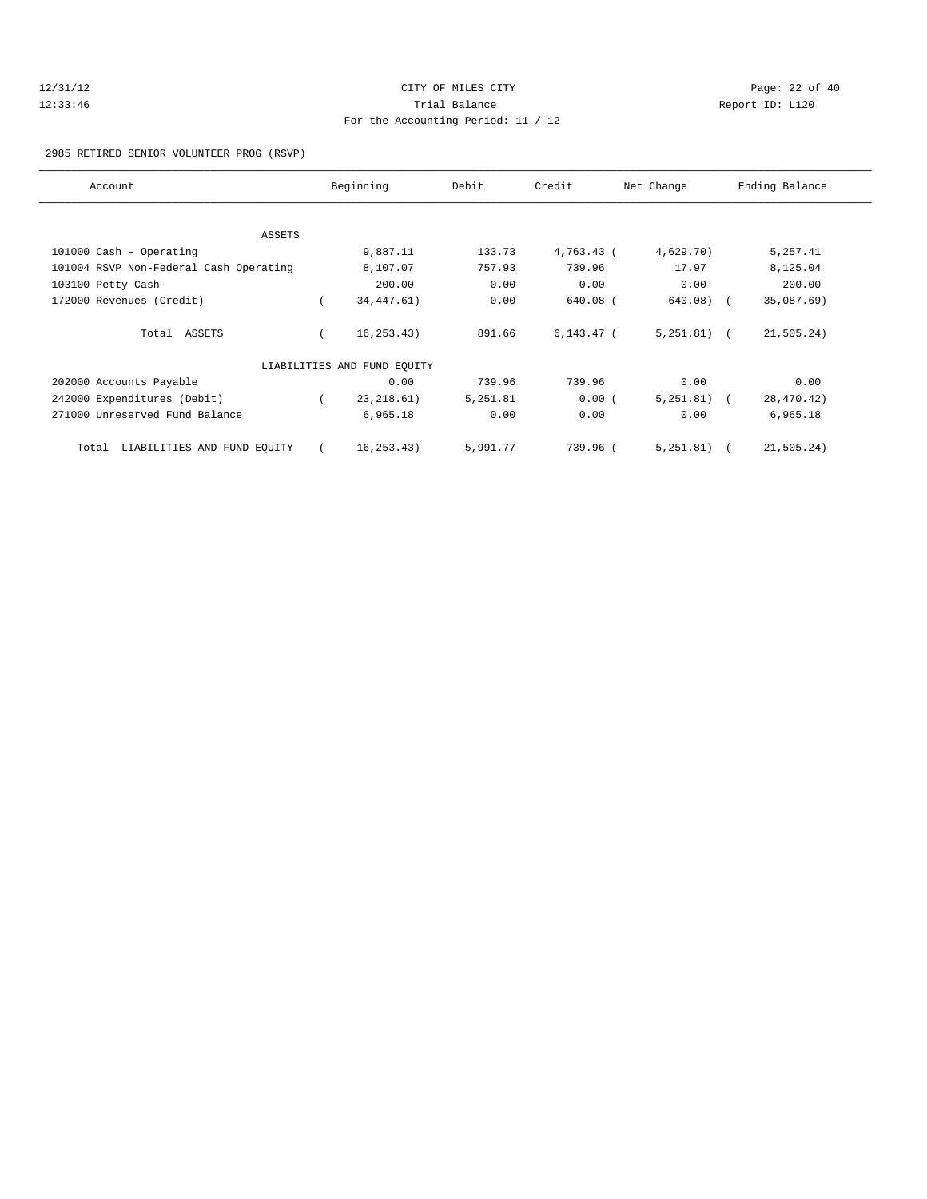# 12/31/12 Page: 22 of 40 12:33:46 Trial Balance Report ID: L120 For the Accounting Period: 11 / 12

#### 2985 RETIRED SENIOR VOLUNTEER PROG (RSVP)

| Account                                |  | Beginning                   | Debit    | Credit       | Net Change    | Ending Balance |  |
|----------------------------------------|--|-----------------------------|----------|--------------|---------------|----------------|--|
|                                        |  |                             |          |              |               |                |  |
| ASSETS                                 |  |                             |          |              |               |                |  |
| 101000 Cash - Operating                |  | 9,887.11                    | 133.73   | 4,763.43 (   | 4,629.70)     | 5,257.41       |  |
| 101004 RSVP Non-Federal Cash Operating |  | 8,107.07                    | 757.93   | 739.96       | 17.97         | 8,125.04       |  |
| 103100 Petty Cash-                     |  | 200.00                      | 0.00     | 0.00         | 0.00          | 200.00         |  |
| 172000 Revenues (Credit)               |  | 34, 447. 61)                | 0.00     | 640.08 (     | 640.08)       | 35,087.69)     |  |
| Total ASSETS                           |  | 16, 253.43)                 | 891.66   | $6,143.47$ ( | $5,251.81)$ ( | 21, 505.24)    |  |
|                                        |  | LIABILITIES AND FUND EQUITY |          |              |               |                |  |
| 202000 Accounts Payable                |  | 0.00                        | 739.96   | 739.96       | 0.00          | 0.00           |  |
| 242000 Expenditures (Debit)            |  | 23, 218.61)                 | 5,251.81 | 0.00(        | $5,251.81)$ ( | 28,470.42)     |  |
| 271000 Unreserved Fund Balance         |  | 6,965.18                    | 0.00     | 0.00         | 0.00          | 6,965.18       |  |
| LIABILITIES AND FUND EQUITY<br>Total   |  | 16, 253.43)                 | 5,991.77 | 739.96 (     | $5,251.81$ (  | 21,505.24)     |  |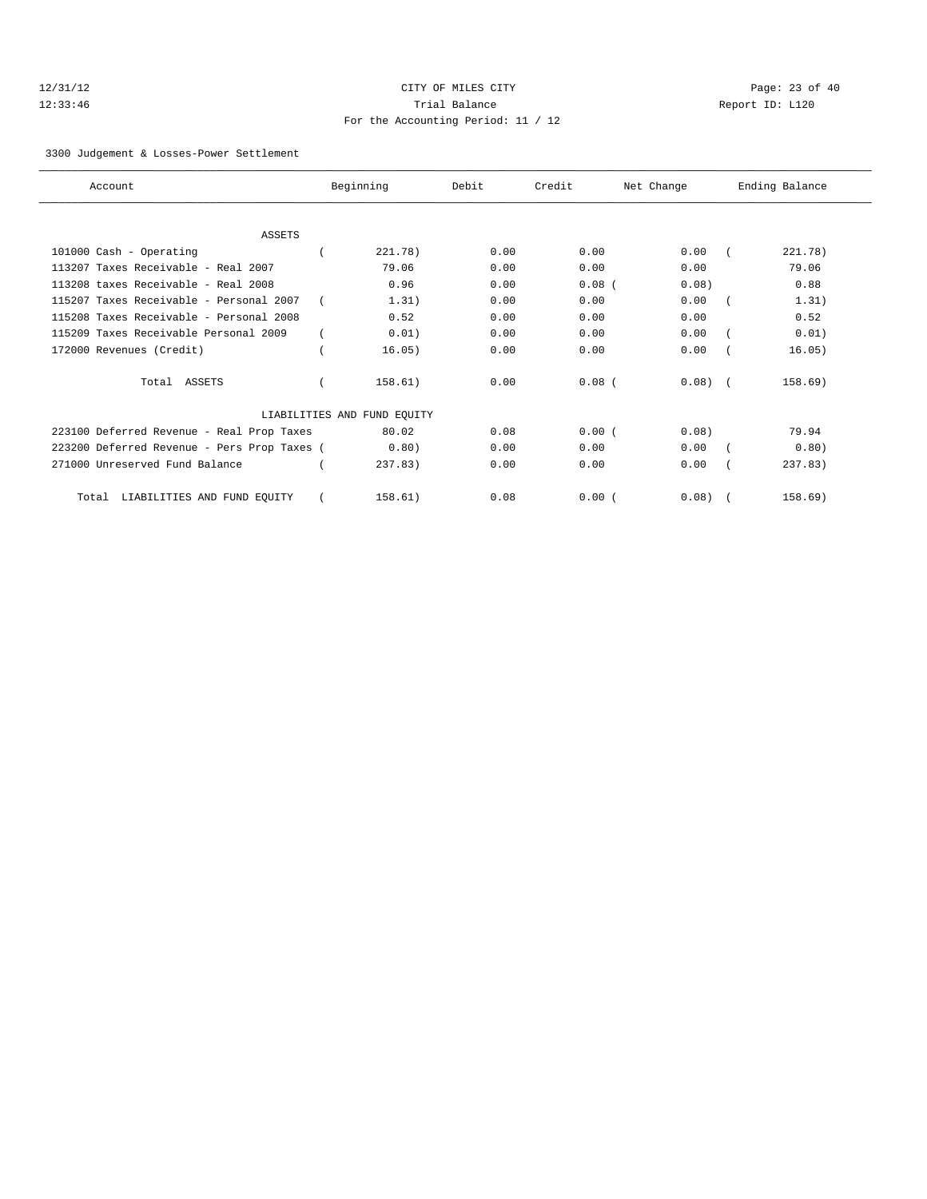# 12/31/12 Page: 23 of 40 12:33:46 Trial Balance Report ID: L120 For the Accounting Period: 11 / 12

#### 3300 Judgement & Losses-Power Settlement

| Account                                     | Beginning                   | Debit | Credit   | Net Change | Ending Balance |
|---------------------------------------------|-----------------------------|-------|----------|------------|----------------|
|                                             |                             |       |          |            |                |
| <b>ASSETS</b>                               |                             |       |          |            |                |
| 101000 Cash - Operating                     | 221.78)                     | 0.00  | 0.00     | 0.00       | 221.78)        |
| 113207 Taxes Receivable - Real 2007         | 79.06                       | 0.00  | 0.00     | 0.00       | 79.06          |
| 113208 taxes Receivable - Real 2008         | 0.96                        | 0.00  | $0.08$ ( | 0.08)      | 0.88           |
| 115207 Taxes Receivable - Personal 2007     | 1.31)                       | 0.00  | 0.00     | 0.00       | 1.31)          |
| 115208 Taxes Receivable - Personal 2008     | 0.52                        | 0.00  | 0.00     | 0.00       | 0.52           |
| 115209 Taxes Receivable Personal 2009       | 0.01)                       | 0.00  | 0.00     | 0.00       | 0.01)          |
| 172000 Revenues (Credit)                    | 16.05)                      | 0.00  | 0.00     | 0.00       | 16.05)         |
| Total ASSETS                                | 158.61)                     | 0.00  | $0.08$ ( | $0.08$ $($ | 158.69)        |
|                                             | LIABILITIES AND FUND EQUITY |       |          |            |                |
| 223100 Deferred Revenue - Real Prop Taxes   | 80.02                       | 0.08  | 0.00(    | 0.08)      | 79.94          |
| 223200 Deferred Revenue - Pers Prop Taxes ( | 0.80)                       | 0.00  | 0.00     | 0.00       | 0.80)          |
| 271000 Unreserved Fund Balance              | 237.83)                     | 0.00  | 0.00     | 0.00       | 237.83)        |
| LIABILITIES AND FUND EQUITY<br>Total        | 158.61)                     | 0.08  | 0.00(    | 0.08)      | 158.69)        |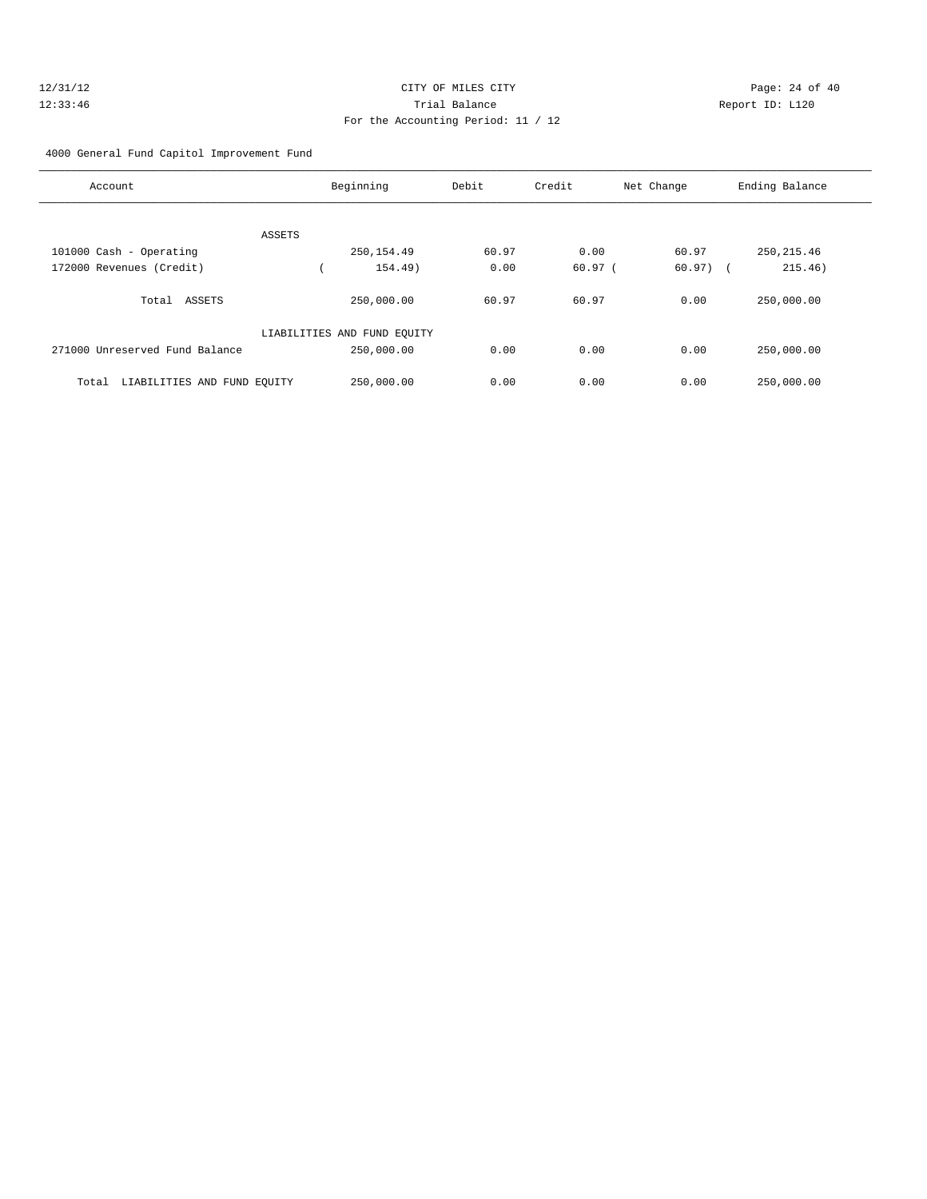#### 4000 General Fund Capitol Improvement Fund

| Account                                  | Beginning                   | Debit | Credit | Net Change | Ending Balance |
|------------------------------------------|-----------------------------|-------|--------|------------|----------------|
|                                          |                             |       |        |            |                |
| <b>ASSETS</b><br>101000 Cash - Operating | 250, 154.49                 | 60.97 | 0.00   | 60.97      | 250, 215.46    |
| 172000 Revenues (Credit)                 | 154.49)                     | 0.00  | 60.97( | $60.97)$ ( | 215.46)        |
| Total ASSETS                             | 250,000.00                  | 60.97 | 60.97  | 0.00       | 250,000.00     |
|                                          | LIABILITIES AND FUND EQUITY |       |        |            |                |
| 271000 Unreserved Fund Balance           | 250,000.00                  | 0.00  | 0.00   | 0.00       | 250,000.00     |
| LIABILITIES AND FUND EQUITY<br>Total     | 250,000.00                  | 0.00  | 0.00   | 0.00       | 250,000.00     |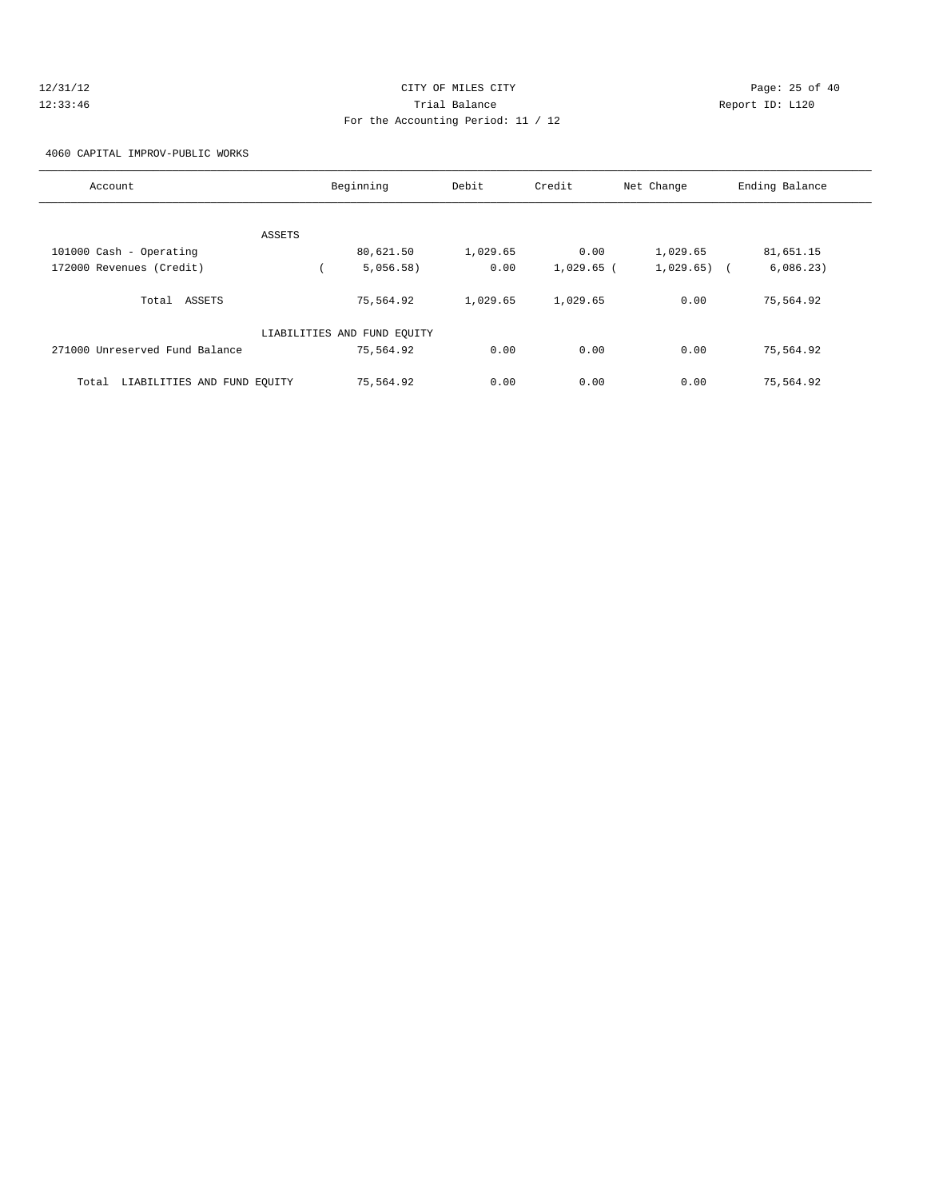# 12/31/12 Page: 25 of 40 12:33:46 Trial Balance Report ID: L120 For the Accounting Period: 11 / 12

4060 CAPITAL IMPROV-PUBLIC WORKS

| Account                              | Beginning                   | Debit    | Credit       | Net Change | Ending Balance |
|--------------------------------------|-----------------------------|----------|--------------|------------|----------------|
|                                      |                             |          |              |            |                |
| ASSETS                               |                             |          |              |            |                |
| 101000 Cash - Operating              | 80,621.50                   | 1,029.65 | 0.00         | 1,029.65   | 81,651.15      |
| 172000 Revenues (Credit)             | 5,056.58)                   | 0.00     | $1,029.65$ ( | 1,029.65)  | 6,086.23)      |
| Total ASSETS                         | 75,564.92                   | 1,029.65 | 1,029.65     | 0.00       | 75,564.92      |
|                                      | LIABILITIES AND FUND EQUITY |          |              |            |                |
| 271000 Unreserved Fund Balance       | 75,564.92                   | 0.00     | 0.00         | 0.00       | 75,564.92      |
| LIABILITIES AND FUND EQUITY<br>Total | 75,564.92                   | 0.00     | 0.00         | 0.00       | 75,564.92      |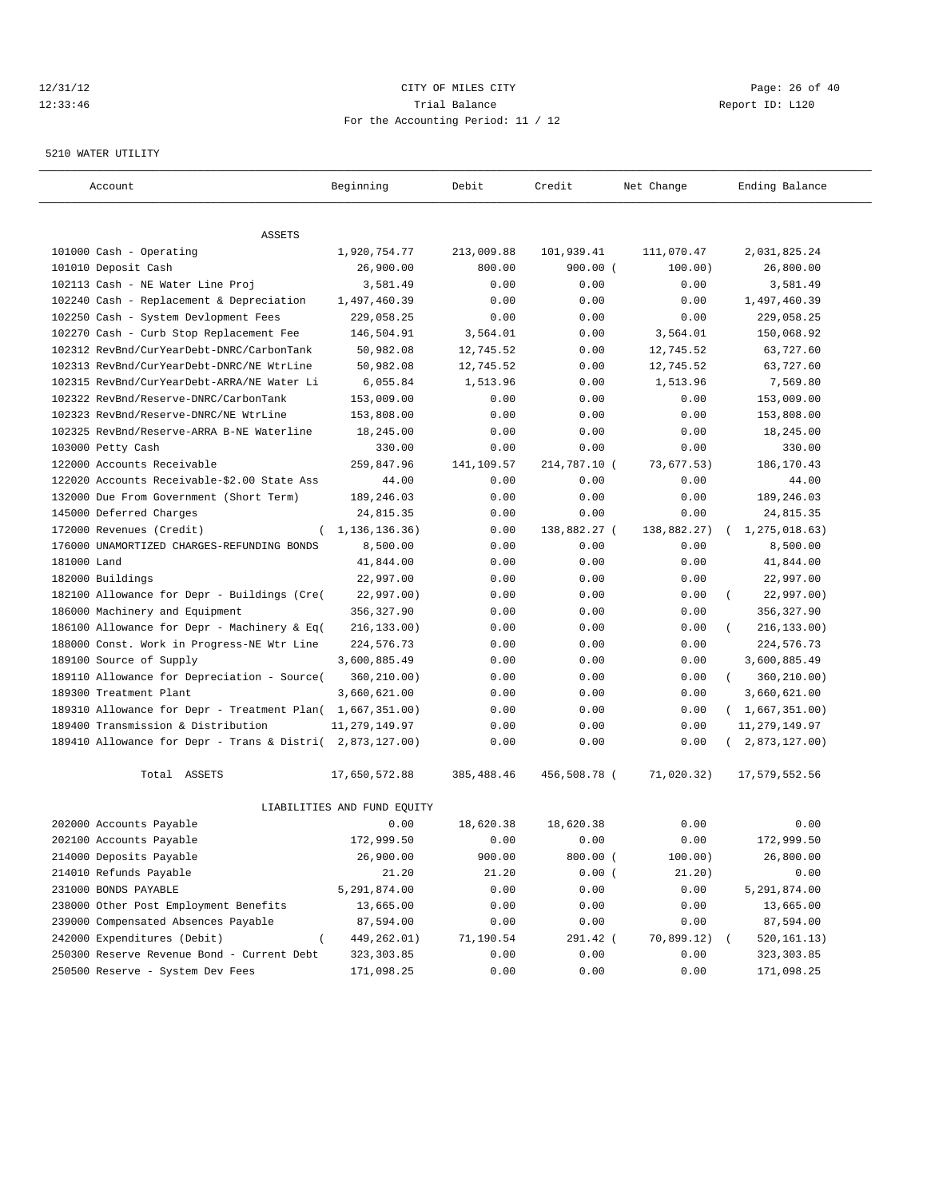#### 12/31/12 **CITY OF MILES CITY CITY CITY Page: 26 of 40** 12:33:46 Trial Balance Report ID: L120 For the Accounting Period: 11 / 12

#### 5210 WATER UTILITY

| Account                                                   | Beginning                   | Debit      | Credit       | Net Change  | Ending Balance          |
|-----------------------------------------------------------|-----------------------------|------------|--------------|-------------|-------------------------|
| ASSETS                                                    |                             |            |              |             |                         |
| 101000 Cash - Operating                                   | 1,920,754.77                | 213,009.88 | 101,939.41   | 111,070.47  | 2,031,825.24            |
| 101010 Deposit Cash                                       | 26,900.00                   | 800.00     | $900.00$ (   | 100.00)     | 26,800.00               |
| 102113 Cash - NE Water Line Proj                          | 3,581.49                    | 0.00       | 0.00         | 0.00        | 3,581.49                |
| 102240 Cash - Replacement & Depreciation                  | 1,497,460.39                | 0.00       | 0.00         | 0.00        | 1,497,460.39            |
| 102250 Cash - System Devlopment Fees                      | 229,058.25                  | 0.00       | 0.00         | 0.00        | 229,058.25              |
| 102270 Cash - Curb Stop Replacement Fee                   | 146,504.91                  | 3,564.01   | 0.00         | 3,564.01    | 150,068.92              |
| 102312 RevBnd/CurYearDebt-DNRC/CarbonTank                 | 50,982.08                   | 12,745.52  | 0.00         | 12,745.52   | 63,727.60               |
| 102313 RevBnd/CurYearDebt-DNRC/NE WtrLine                 | 50,982.08                   | 12,745.52  | 0.00         | 12,745.52   | 63,727.60               |
| 102315 RevBnd/CurYearDebt-ARRA/NE Water Li                | 6,055.84                    | 1,513.96   | 0.00         | 1,513.96    | 7,569.80                |
| 102322 RevBnd/Reserve-DNRC/CarbonTank                     | 153,009.00                  | 0.00       | 0.00         | 0.00        | 153,009.00              |
| 102323 RevBnd/Reserve-DNRC/NE WtrLine                     | 153,808.00                  | 0.00       | 0.00         | 0.00        | 153,808.00              |
| 102325 RevBnd/Reserve-ARRA B-NE Waterline                 | 18,245.00                   | 0.00       | 0.00         | 0.00        | 18,245.00               |
| 103000 Petty Cash                                         | 330.00                      | 0.00       | 0.00         | 0.00        | 330.00                  |
| 122000 Accounts Receivable                                | 259,847.96                  | 141,109.57 | 214,787.10 ( | 73,677.53)  | 186, 170.43             |
| 122020 Accounts Receivable-\$2.00 State Ass               | 44.00                       | 0.00       | 0.00         | 0.00        | 44.00                   |
| 132000 Due From Government (Short Term)                   | 189,246.03                  | 0.00       | 0.00         | 0.00        | 189,246.03              |
| 145000 Deferred Charges                                   | 24,815.35                   | 0.00       | 0.00         | 0.00        | 24,815.35               |
| 172000 Revenues (Credit)<br>$\left($                      | 1,136,136.36)               | 0.00       | 138,882.27 ( | 138,882.27) | 1,275,018.63)           |
| 176000 UNAMORTIZED CHARGES-REFUNDING BONDS                | 8,500.00                    | 0.00       | 0.00         | 0.00        | 8,500.00                |
| 181000 Land                                               | 41,844.00                   | 0.00       | 0.00         | 0.00        | 41,844.00               |
| 182000 Buildings                                          | 22,997.00                   | 0.00       | 0.00         | 0.00        | 22,997.00               |
| 182100 Allowance for Depr - Buildings (Cre(               | 22,997.00)                  | 0.00       | 0.00         | 0.00        | 22,997.00)<br>- 1       |
| 186000 Machinery and Equipment                            | 356,327.90                  | 0.00       | 0.00         | 0.00        | 356, 327.90             |
| 186100 Allowance for Depr - Machinery & Eq(               | 216, 133.00)                | 0.00       | 0.00         | 0.00        | 216, 133.00)            |
| 188000 Const. Work in Progress-NE Wtr Line                | 224,576.73                  | 0.00       | 0.00         | 0.00        | 224,576.73              |
| 189100 Source of Supply                                   | 3,600,885.49                | 0.00       | 0.00         | 0.00        | 3,600,885.49            |
| 189110 Allowance for Depreciation - Source(               | 360,210.00)                 | 0.00       | 0.00         | 0.00        | 360,210.00)<br>$\left($ |
| 189300 Treatment Plant                                    | 3,660,621.00                | 0.00       | 0.00         | 0.00        | 3,660,621.00            |
| 189310 Allowance for Depr - Treatment Plan(               | 1,667,351.00)               | 0.00       | 0.00         | 0.00        | (1,667,351.00)          |
| 189400 Transmission & Distribution                        | 11,279,149.97               | 0.00       | 0.00         | 0.00        | 11, 279, 149.97         |
| 189410 Allowance for Depr - Trans & Distri( 2,873,127.00) |                             | 0.00       | 0.00         | 0.00        | 2,873,127.00)           |
|                                                           |                             |            |              |             |                         |
| Total ASSETS                                              | 17,650,572.88               | 385,488.46 | 456,508.78 ( | 71,020.32)  | 17,579,552.56           |
|                                                           | LIABILITIES AND FUND EQUITY |            |              |             |                         |
| 202000 Accounts Payable                                   | 0.00                        | 18,620.38  | 18,620.38    | 0.00        | 0.00                    |
| 202100 Accounts Payable                                   | 172,999.50                  | 0.00       | 0.00         | 0.00        | 172,999.50              |
| 214000 Deposits Payable                                   | 26,900.00                   | 900.00     | $800.00$ (   | 100.00)     | 26,800.00               |
| 214010 Refunds Payable                                    | 21.20                       | 21.20      | 0.00(        | 21.20)      | 0.00                    |
| 231000 BONDS PAYABLE                                      | 5,291,874.00                | 0.00       | 0.00         | 0.00        | 5,291,874.00            |
| 238000 Other Post Employment Benefits                     | 13,665.00                   | 0.00       | 0.00         | 0.00        | 13,665.00               |
| 239000 Compensated Absences Payable                       | 87,594.00                   | 0.00       | 0.00         | 0.00        | 87,594.00               |
| 242000 Expenditures (Debit)                               | 449,262.01)                 | 71,190.54  | 291.42 (     | 70,899.12)  | 520,161.13)             |
| 250300 Reserve Revenue Bond - Current Debt                | 323, 303.85                 | 0.00       | 0.00         | 0.00        | 323,303.85              |
| 250500 Reserve - System Dev Fees                          | 171,098.25                  | 0.00       | 0.00         | 0.00        | 171,098.25              |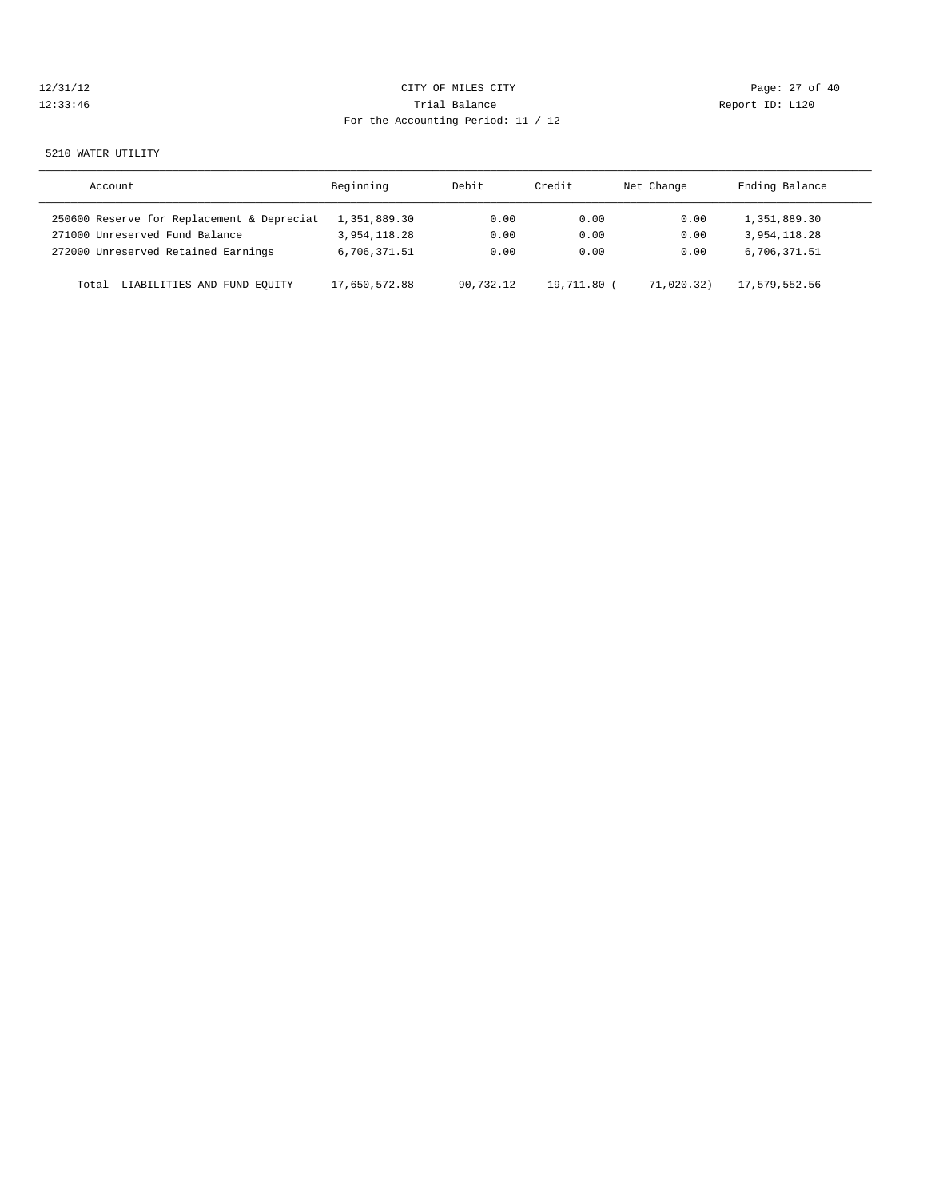| 12/31/12 |  |  |  |  |
|----------|--|--|--|--|
| 12:33:46 |  |  |  |  |

# CITY OF MILES CITY CONTROL CONTROL CONTROL CONTROL CONTROL PAGE: 27 of 40 120 Trial Balance Communications of the Report ID: L120 For the Accounting Period: 11 / 12

#### 5210 WATER UTILITY

| Account                                    | Beginning     | Debit     | Credit      | Net Change | Ending Balance |
|--------------------------------------------|---------------|-----------|-------------|------------|----------------|
| 250600 Reserve for Replacement & Depreciat | 1,351,889.30  | 0.00      | 0.00        | 0.00       | 1,351,889.30   |
| 271000 Unreserved Fund Balance             | 3,954,118.28  | 0.00      | 0.00        | 0.00       | 3,954,118.28   |
| 272000 Unreserved Retained Earnings        | 6,706,371.51  | 0.00      | 0.00        | 0.00       | 6,706,371.51   |
| LIABILITIES AND FUND EQUITY<br>Total       | 17,650,572.88 | 90.732.12 | 19,711.80 ( | 71,020.32) | 17,579,552.56  |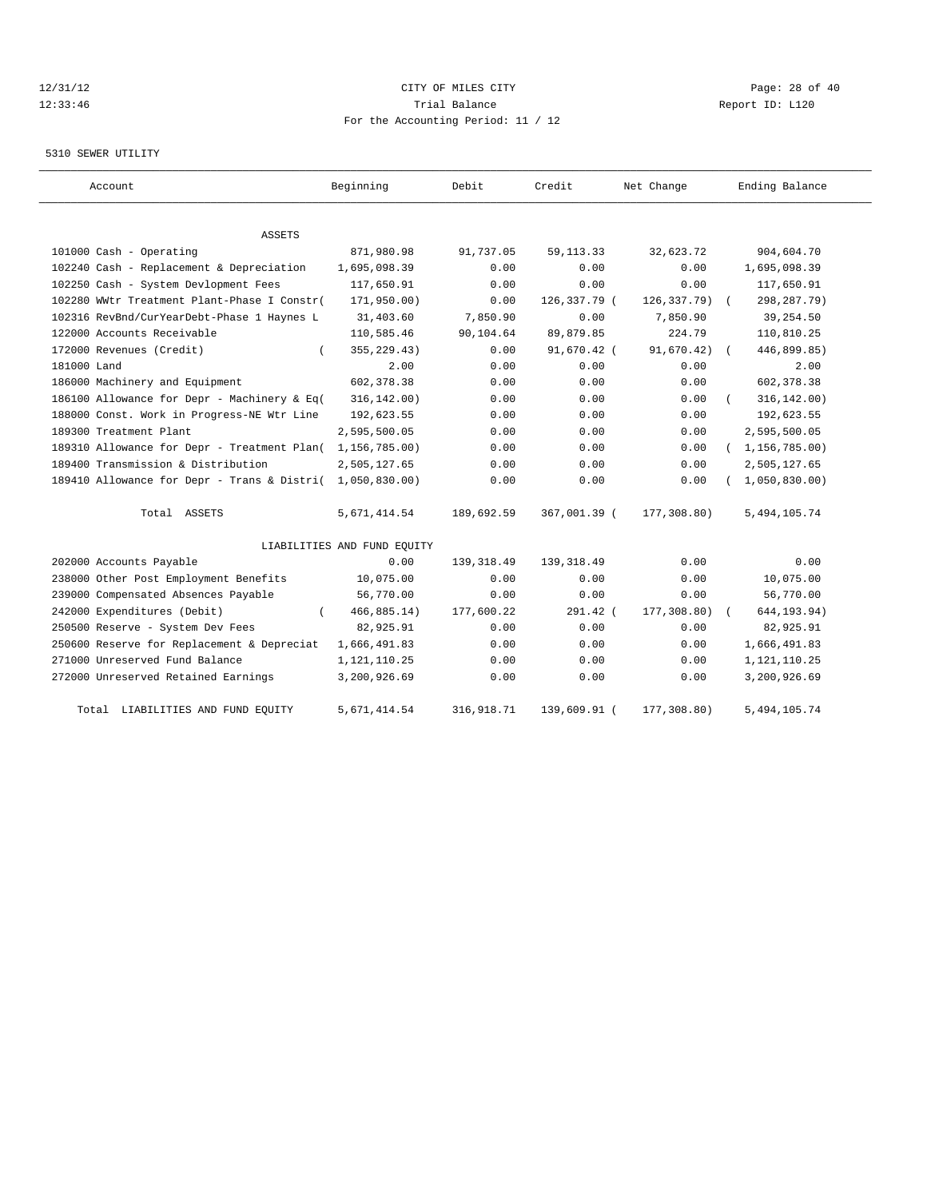# 12/31/12 Page: 28 of 40 12:33:46 Trial Balance Report ID: L120 For the Accounting Period: 11 / 12

#### 5310 SEWER UTILITY

| Account                                     | Beginning                   | Debit       | Credit       | Net Change  | Ending Balance              |
|---------------------------------------------|-----------------------------|-------------|--------------|-------------|-----------------------------|
| ASSETS                                      |                             |             |              |             |                             |
| 101000 Cash - Operating                     | 871,980.98                  | 91,737.05   | 59, 113. 33  | 32,623.72   | 904,604.70                  |
| 102240 Cash - Replacement & Depreciation    | 1,695,098.39                | 0.00        | 0.00         | 0.00        | 1,695,098.39                |
| 102250 Cash - System Devlopment Fees        | 117,650.91                  | 0.00        | 0.00         | 0.00        | 117,650.91                  |
| 102280 WWtr Treatment Plant-Phase I Constr( | 171,950.00)                 | 0.00        | 126,337.79 ( | 126,337.79) | 298, 287. 79)<br>$\sqrt{2}$ |
| 102316 RevBnd/CurYearDebt-Phase 1 Haynes L  | 31,403.60                   | 7,850.90    | 0.00         | 7,850.90    | 39,254.50                   |
| 122000 Accounts Receivable                  | 110,585.46                  | 90,104.64   | 89,879.85    | 224.79      | 110,810.25                  |
| 172000 Revenues (Credit)                    | 355, 229.43)                | 0.00        | 91,670.42 (  | 91,670.42)  | 446,899.85)<br>$\sqrt{2}$   |
| 181000 Land                                 | 2.00                        | 0.00        | 0.00         | 0.00        | 2.00                        |
| 186000 Machinery and Equipment              | 602,378.38                  | 0.00        | 0.00         | 0.00        | 602,378.38                  |
| 186100 Allowance for Depr - Machinery & Eq( | 316, 142.00)                | 0.00        | 0.00         | 0.00        | 316, 142.00)                |
| 188000 Const. Work in Progress-NE Wtr Line  | 192,623.55                  | 0.00        | 0.00         | 0.00        | 192,623.55                  |
| 189300 Treatment Plant                      | 2,595,500.05                | 0.00        | 0.00         | 0.00        | 2,595,500.05                |
| 189310 Allowance for Depr - Treatment Plan( | 1,156,785.00)               | 0.00        | 0.00         | 0.00        | (1, 156, 785.00)            |
| 189400 Transmission & Distribution          | 2,505,127.65                | 0.00        | 0.00         | 0.00        | 2,505,127.65                |
| 189410 Allowance for Depr - Trans & Distri( | 1,050,830.00                | 0.00        | 0.00         | 0.00        | 1,050,830.00                |
| Total ASSETS                                | 5,671,414.54                | 189,692.59  | 367,001.39 ( | 177,308.80) | 5,494,105.74                |
|                                             | LIABILITIES AND FUND EQUITY |             |              |             |                             |
| 202000 Accounts Payable                     | 0.00                        | 139, 318.49 | 139, 318.49  | 0.00        | 0.00                        |
| 238000 Other Post Employment Benefits       | 10,075.00                   | 0.00        | 0.00         | 0.00        | 10,075.00                   |
| 239000 Compensated Absences Payable         | 56,770.00                   | 0.00        | 0.00         | 0.00        | 56,770.00                   |
| 242000 Expenditures (Debit)                 | 466, 885.14)                | 177,600.22  | $291.42$ (   | 177,308.80) | 644, 193.94)                |
| 250500 Reserve - System Dev Fees            | 82,925.91                   | 0.00        | 0.00         | 0.00        | 82,925.91                   |
| 250600 Reserve for Replacement & Depreciat  | 1,666,491.83                | 0.00        | 0.00         | 0.00        | 1,666,491.83                |
| 271000 Unreserved Fund Balance              | 1,121,110.25                | 0.00        | 0.00         | 0.00        | 1, 121, 110.25              |
| 272000 Unreserved Retained Earnings         | 3,200,926.69                | 0.00        | 0.00         | 0.00        | 3,200,926.69                |
| Total LIABILITIES AND FUND EQUITY           | 5,671,414.54                | 316,918.71  | 139,609.91 ( | 177,308.80) | 5,494,105.74                |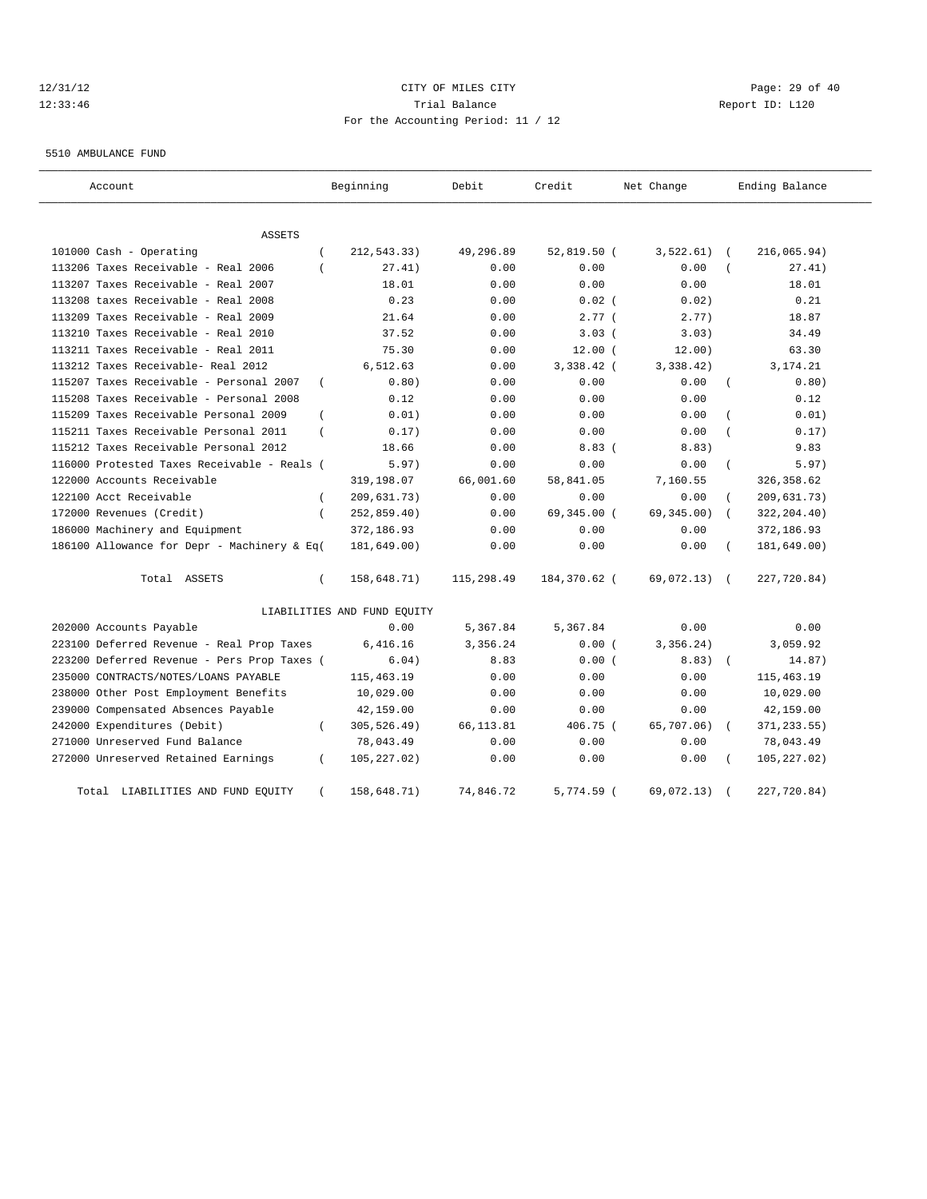# 12/31/12 Page: 29 of 40 12:33:46 Trial Balance Report ID: L120 For the Accounting Period: 11 / 12

5510 AMBULANCE FUND

| Account                                     |                | Beginning                   | Debit      | Credit        | Net Change   |                | Ending Balance |
|---------------------------------------------|----------------|-----------------------------|------------|---------------|--------------|----------------|----------------|
| <b>ASSETS</b>                               |                |                             |            |               |              |                |                |
| 101000 Cash - Operating                     |                | 212,543.33)                 | 49,296.89  | $52,819.50$ ( | 3,522.61)    |                | 216,065.94)    |
| 113206 Taxes Receivable - Real 2006         |                | 27.41)                      | 0.00       | 0.00          | 0.00         |                | 27.41)         |
| 113207 Taxes Receivable - Real 2007         |                | 18.01                       | 0.00       | 0.00          | 0.00         |                | 18.01          |
| 113208 taxes Receivable - Real 2008         |                | 0.23                        | 0.00       | $0.02$ (      | 0.02)        |                | 0.21           |
| 113209 Taxes Receivable - Real 2009         |                | 21.64                       | 0.00       | 2.77(         | 2.77)        |                | 18.87          |
| 113210 Taxes Receivable - Real 2010         |                | 37.52                       | 0.00       | 3.03(         | 3.03)        |                | 34.49          |
| 113211 Taxes Receivable - Real 2011         |                | 75.30                       | 0.00       | 12.00(        | 12.00)       |                | 63.30          |
| 113212 Taxes Receivable- Real 2012          |                | 6,512.63                    | 0.00       | 3,338.42 (    | 3,338.42)    |                | 3,174.21       |
| 115207 Taxes Receivable - Personal 2007     | $\overline{ }$ | 0.80)                       | 0.00       | 0.00          | 0.00         |                | 0.80)          |
| 115208 Taxes Receivable - Personal 2008     |                | 0.12                        | 0.00       | 0.00          | 0.00         |                | 0.12           |
| 115209 Taxes Receivable Personal 2009       |                | 0.01)                       | 0.00       | 0.00          | 0.00         |                | 0.01)          |
| 115211 Taxes Receivable Personal 2011       |                | 0.17)                       | 0.00       | 0.00          | 0.00         |                | 0.17)          |
| 115212 Taxes Receivable Personal 2012       |                | 18.66                       | 0.00       | 8.83(         | 8.83)        |                | 9.83           |
| 116000 Protested Taxes Receivable - Reals ( |                | 5.97)                       | 0.00       | 0.00          | 0.00         | $\overline{ }$ | 5.97)          |
| 122000 Accounts Receivable                  |                | 319,198.07                  | 66,001.60  | 58,841.05     | 7,160.55     |                | 326, 358.62    |
| 122100 Acct Receivable                      | $\left($       | 209,631.73)                 | 0.00       | 0.00          | 0.00         |                | 209,631.73)    |
| 172000 Revenues (Credit)                    | $\left($       | 252,859.40)                 | 0.00       | 69,345.00 (   | 69,345.00)   | $\sqrt{2}$     | 322, 204.40)   |
| 186000 Machinery and Equipment              |                | 372,186.93                  | 0.00       | 0.00          | 0.00         |                | 372,186.93     |
| 186100 Allowance for Depr - Machinery & Eq( |                | 181,649.00)                 | 0.00       | 0.00          | 0.00         |                | 181,649.00)    |
| Total ASSETS                                | $\left($       | 158,648.71)                 | 115,298.49 | 184,370.62 (  | 69,072.13) ( |                | 227,720.84)    |
|                                             |                | LIABILITIES AND FUND EQUITY |            |               |              |                |                |
| 202000 Accounts Payable                     |                | 0.00                        | 5,367.84   | 5,367.84      | 0.00         |                | 0.00           |
| 223100 Deferred Revenue - Real Prop Taxes   |                | 6,416.16                    | 3,356.24   | 0.00(         | 3,356.24)    |                | 3,059.92       |
| 223200 Deferred Revenue - Pers Prop Taxes ( |                | 6.04)                       | 8.83       | 0.00(         | 8.83)        | $\sqrt{ }$     | 14.87)         |
| 235000 CONTRACTS/NOTES/LOANS PAYABLE        |                | 115, 463.19                 | 0.00       | 0.00          | 0.00         |                | 115, 463.19    |
| 238000 Other Post Employment Benefits       |                | 10,029.00                   | 0.00       | 0.00          | 0.00         |                | 10,029.00      |
| 239000 Compensated Absences Payable         |                | 42,159.00                   | 0.00       | 0.00          | 0.00         |                | 42,159.00      |
| 242000 Expenditures (Debit)                 | - 1            | 305,526.49)                 | 66,113.81  | 406.75 (      | 65,707.06)   |                | 371, 233.55)   |
| 271000 Unreserved Fund Balance              |                | 78,043.49                   | 0.00       | 0.00          | 0.00         |                | 78,043.49      |
| 272000 Unreserved Retained Earnings         | $\left($       | 105,227.02)                 | 0.00       | 0.00          | 0.00         |                | 105, 227.02)   |
| Total<br>LIABILITIES AND FUND EQUITY        |                | 158,648.71)                 | 74,846.72  | $5,774.59$ (  | 69,072.13)   |                | 227,720.84)    |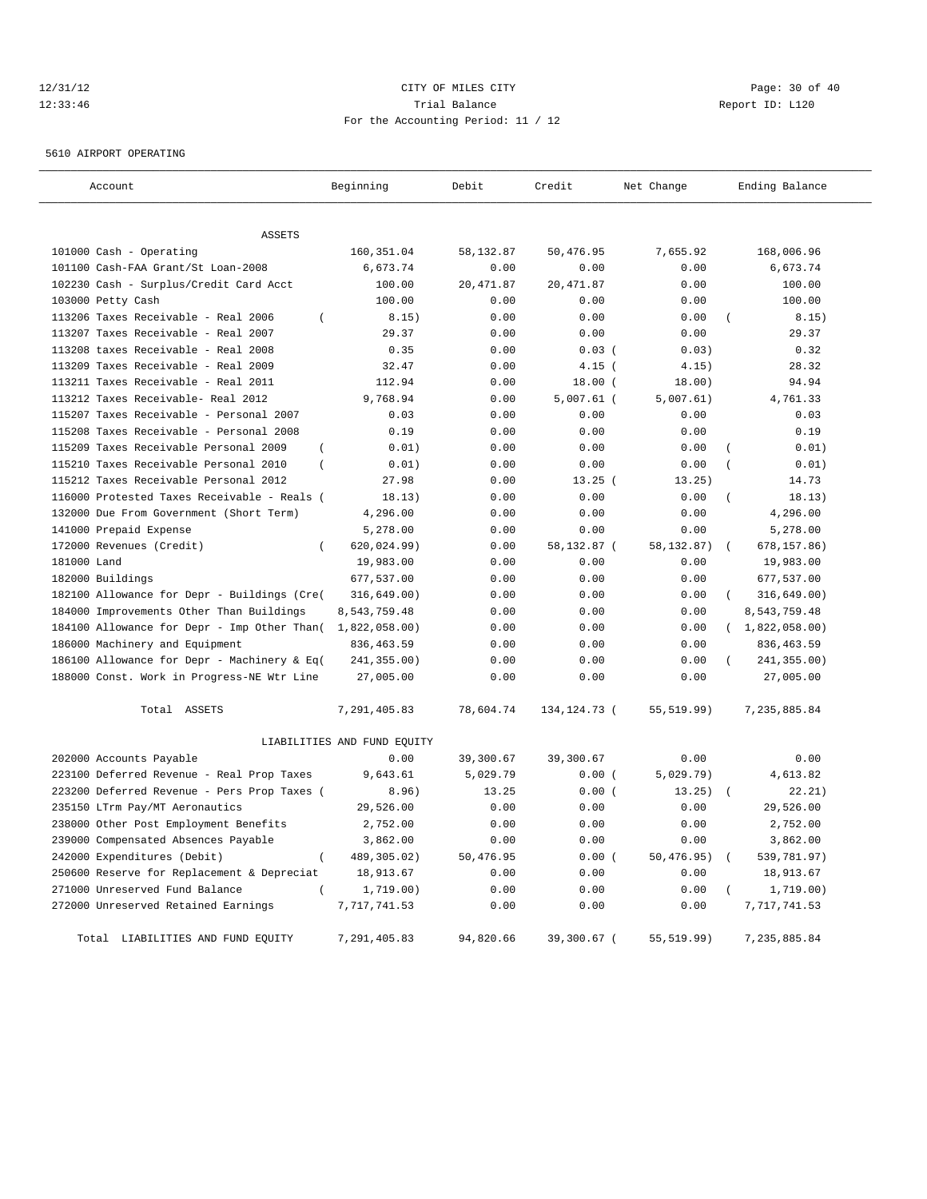# 12/31/12 Page: 30 of 40 12:33:46 Trial Balance Report ID: L120 For the Accounting Period: 11 / 12

5610 AIRPORT OPERATING

| Account                                                 | Beginning                   | Debit      | Credit         | Net Change  | Ending Balance                 |
|---------------------------------------------------------|-----------------------------|------------|----------------|-------------|--------------------------------|
|                                                         |                             |            |                |             |                                |
| <b>ASSETS</b>                                           |                             |            |                |             |                                |
| 101000 Cash - Operating                                 | 160, 351.04                 | 58,132.87  | 50,476.95      | 7,655.92    | 168,006.96                     |
| 101100 Cash-FAA Grant/St Loan-2008                      | 6,673.74                    | 0.00       | 0.00           | 0.00        | 6,673.74                       |
| 102230 Cash - Surplus/Credit Card Acct                  | 100.00                      | 20, 471.87 | 20, 471.87     | 0.00        | 100.00                         |
| 103000 Petty Cash                                       | 100.00                      | 0.00       | 0.00           | 0.00        | 100.00                         |
| 113206 Taxes Receivable - Real 2006<br>$\overline{ }$   | 8.15)                       | 0.00       | 0.00           | 0.00        | 8.15)                          |
| 113207 Taxes Receivable - Real 2007                     | 29.37                       | 0.00       | 0.00           | 0.00        | 29.37                          |
| 113208 taxes Receivable - Real 2008                     | 0.35                        | 0.00       | $0.03$ (       | 0.03)       | 0.32                           |
| 113209 Taxes Receivable - Real 2009                     | 32.47                       | 0.00       | $4.15$ (       | 4.15)       | 28.32                          |
| 113211 Taxes Receivable - Real 2011                     | 112.94                      | 0.00       | 18.00(         | 18.00)      | 94.94                          |
| 113212 Taxes Receivable- Real 2012                      | 9,768.94                    | 0.00       | $5,007.61$ (   | 5,007.61)   | 4,761.33                       |
| 115207 Taxes Receivable - Personal 2007                 | 0.03                        | 0.00       | 0.00           | 0.00        | 0.03                           |
| 115208 Taxes Receivable - Personal 2008                 | 0.19                        | 0.00       | 0.00           | 0.00        | 0.19                           |
| 115209 Taxes Receivable Personal 2009<br>$\overline{ }$ | 0.01)                       | 0.00       | 0.00           | 0.00        | 0.01)<br>$\overline{(}$        |
| 115210 Taxes Receivable Personal 2010<br>$\left($       | 0.01)                       | 0.00       | 0.00           | 0.00        | 0.01)                          |
| 115212 Taxes Receivable Personal 2012                   | 27.98                       | 0.00       | 13.25(         | 13.25)      | 14.73                          |
| 116000 Protested Taxes Receivable - Reals (             | 18.13)                      | 0.00       | 0.00           | 0.00        | 18.13)                         |
| 132000 Due From Government (Short Term)                 | 4,296.00                    | 0.00       | 0.00           | 0.00        | 4,296.00                       |
| 141000 Prepaid Expense                                  | 5,278.00                    | 0.00       | 0.00           | 0.00        | 5,278.00                       |
| 172000 Revenues (Credit)<br>$\overline{ }$              | 620, 024.99)                | 0.00       | 58,132.87 (    | 58,132.87)  | 678, 157.86)<br>$\overline{ }$ |
| 181000 Land                                             | 19,983.00                   | 0.00       | 0.00           | 0.00        | 19,983.00                      |
| 182000 Buildings                                        | 677,537.00                  | 0.00       | 0.00           | 0.00        | 677,537.00                     |
| 182100 Allowance for Depr - Buildings (Cre(             | 316, 649.00)                | 0.00       | 0.00           | 0.00        | 316, 649.00)                   |
| 184000 Improvements Other Than Buildings                | 8,543,759.48                | 0.00       | 0.00           | 0.00        | 8,543,759.48                   |
| 184100 Allowance for Depr - Imp Other Than(             | 1,822,058.00                | 0.00       | 0.00           | 0.00        | (1,822,058.00)                 |
| 186000 Machinery and Equipment                          | 836, 463.59                 | 0.00       | 0.00           | 0.00        | 836, 463.59                    |
| 186100 Allowance for Depr - Machinery & Eq(             | 241,355.00)                 | 0.00       | 0.00           | 0.00        | 241,355.00)                    |
| 188000 Const. Work in Progress-NE Wtr Line              | 27,005.00                   | 0.00       | 0.00           | 0.00        | 27,005.00                      |
| Total ASSETS                                            | 7,291,405.83                | 78,604.74  | 134, 124. 73 ( | 55, 519.99) | 7,235,885.84                   |
|                                                         | LIABILITIES AND FUND EQUITY |            |                |             |                                |
| 202000 Accounts Payable                                 | 0.00                        | 39,300.67  | 39,300.67      | 0.00        | 0.00                           |
| 223100 Deferred Revenue - Real Prop Taxes               | 9,643.61                    | 5,029.79   | 0.00(          | 5,029.79)   | 4,613.82                       |
| 223200 Deferred Revenue - Pers Prop Taxes (             | 8.96)                       | 13.25      | 0.00(          | 13.25)      | 22.21)                         |
| 235150 LTrm Pay/MT Aeronautics                          | 29,526.00                   | 0.00       | 0.00           | 0.00        | 29,526.00                      |
| 238000 Other Post Employment Benefits                   | 2,752.00                    | 0.00       | 0.00           | 0.00        | 2,752.00                       |
| 239000 Compensated Absences Payable                     | 3,862.00                    | 0.00       | 0.00           | 0.00        | 3,862.00                       |
| 242000 Expenditures (Debit)                             | 489,305.02)                 | 50,476.95  | 0.00(          | 50,476.95)  | 539,781.97)                    |
| 250600 Reserve for Replacement & Depreciat              | 18,913.67                   | 0.00       | 0.00           | 0.00        | 18,913.67                      |
| 271000 Unreserved Fund Balance<br>$\left($              | 1,719.00)                   | 0.00       | 0.00           | 0.00        | 1,719.00)                      |
| 272000 Unreserved Retained Earnings                     | 7,717,741.53                | 0.00       | 0.00           | 0.00        | 7,717,741.53                   |
| Total LIABILITIES AND FUND EQUITY                       | 7,291,405.83                | 94,820.66  | 39,300.67 (    | 55, 519.99) | 7,235,885.84                   |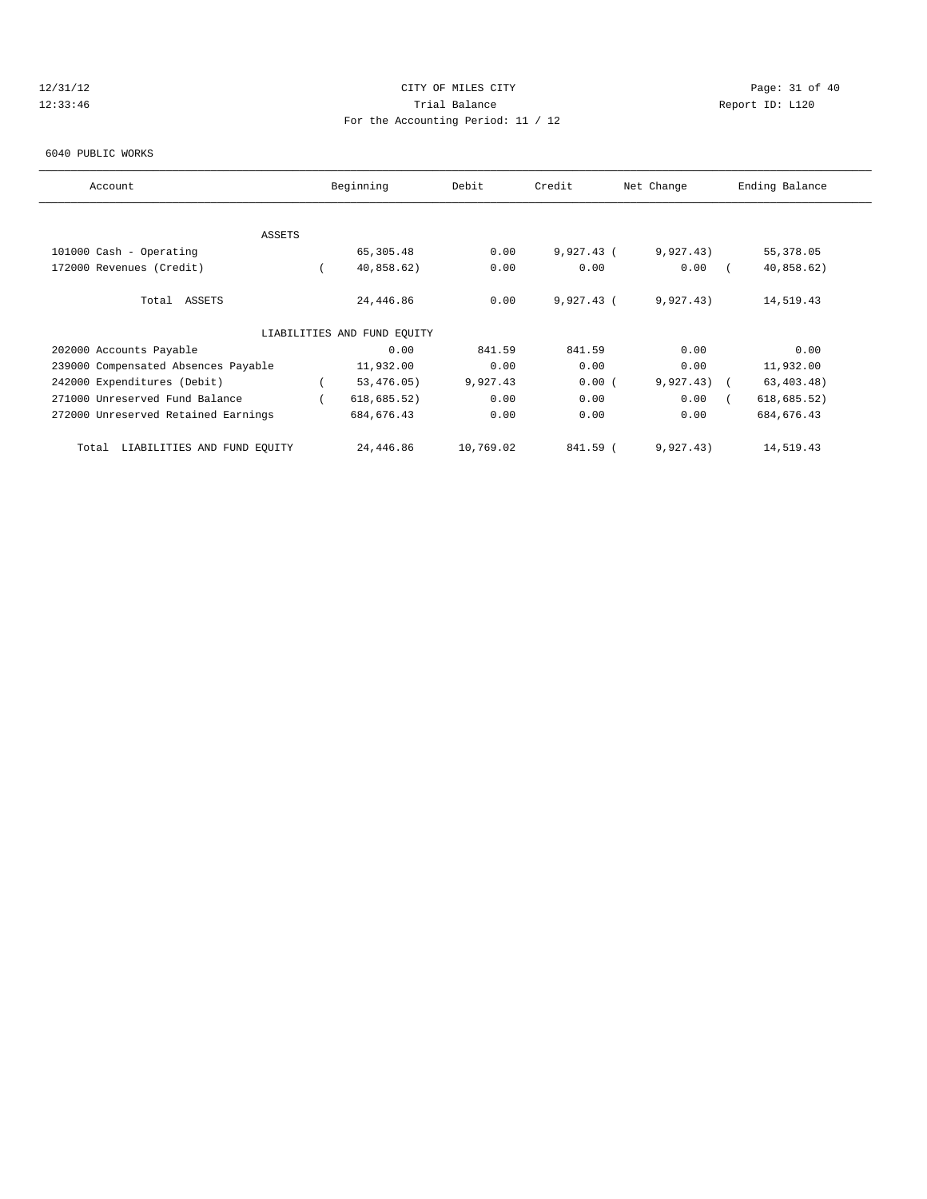# 12/31/12 Page: 31 of 40 12:33:46 Trial Balance Report ID: L120 For the Accounting Period: 11 / 12

#### 6040 PUBLIC WORKS

| Account                              | Beginning                   | Debit     | Credit       | Net Change   | Ending Balance |  |
|--------------------------------------|-----------------------------|-----------|--------------|--------------|----------------|--|
|                                      |                             |           |              |              |                |  |
| <b>ASSETS</b>                        |                             |           |              |              |                |  |
| 101000 Cash - Operating              | 65,305.48                   | 0.00      | $9,927.43$ ( | 9,927.43)    | 55,378.05      |  |
| 172000 Revenues (Credit)             | 40,858.62)                  | 0.00      | 0.00         | 0.00         | 40,858.62)     |  |
| Total ASSETS                         | 24,446.86                   | 0.00      | $9,927.43$ ( | 9,927.43)    | 14,519.43      |  |
|                                      | LIABILITIES AND FUND EQUITY |           |              |              |                |  |
| 202000 Accounts Payable              | 0.00                        | 841.59    | 841.59       | 0.00         | 0.00           |  |
| 239000 Compensated Absences Payable  | 11,932.00                   | 0.00      | 0.00         | 0.00         | 11,932.00      |  |
| 242000 Expenditures (Debit)          | 53,476.05)                  | 9,927.43  | 0.00(        | $9,927.43$ ( | 63, 403.48)    |  |
| 271000 Unreserved Fund Balance       | 618, 685.52)                | 0.00      | 0.00         | 0.00         | 618, 685.52)   |  |
| 272000 Unreserved Retained Earnings  | 684, 676.43                 | 0.00      | 0.00         | 0.00         | 684, 676.43    |  |
| LIABILITIES AND FUND EQUITY<br>Total | 24,446.86                   | 10,769.02 | 841.59 (     | 9,927.43)    | 14,519.43      |  |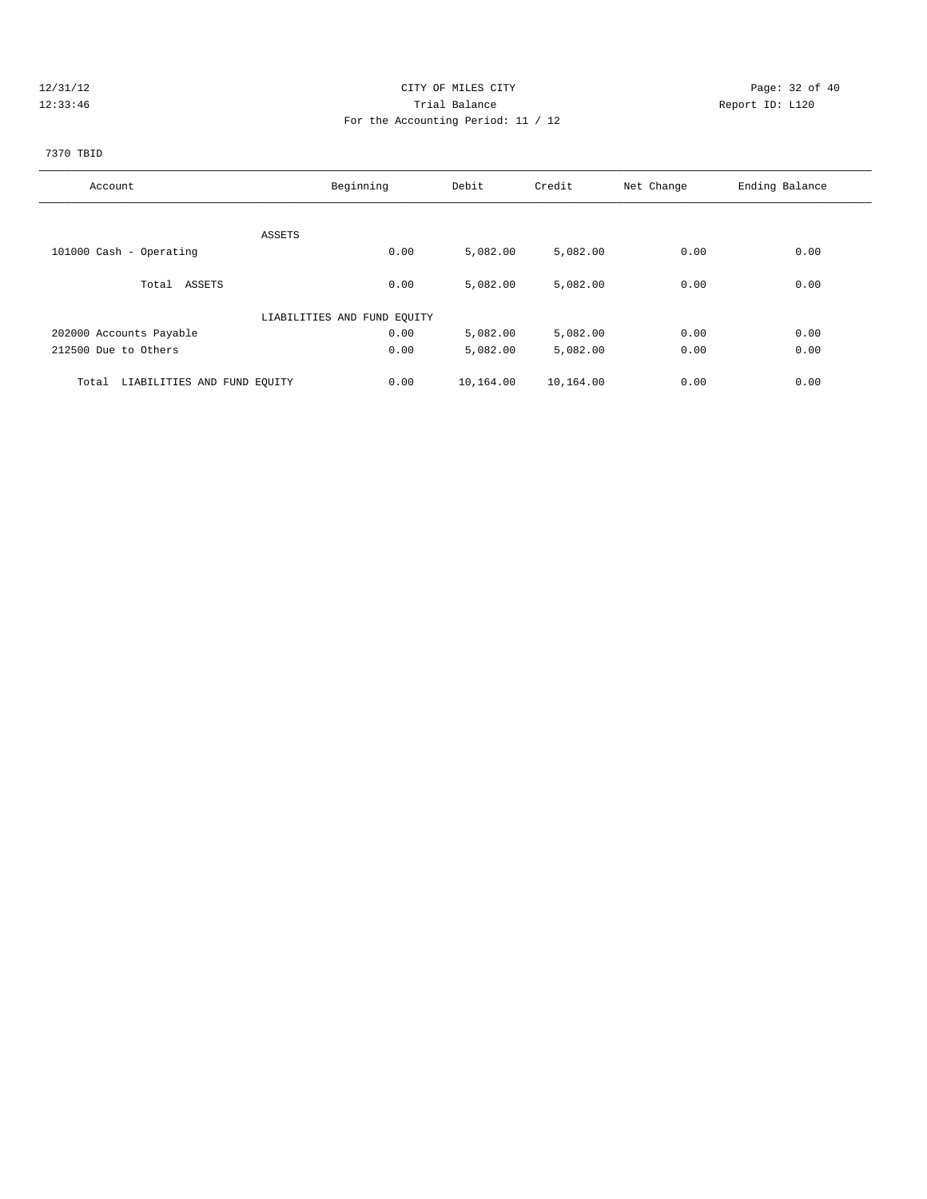# 12/31/12 Page: 32 of 40 12:33:46 Trial Balance Report ID: L120 For the Accounting Period: 11 / 12

#### 7370 TBID

| Account                              | Beginning                   | Debit     | Credit    | Net Change | Ending Balance |
|--------------------------------------|-----------------------------|-----------|-----------|------------|----------------|
|                                      |                             |           |           |            |                |
|                                      | ASSETS                      |           |           |            |                |
| 101000 Cash - Operating              | 0.00                        | 5,082.00  | 5,082.00  | 0.00       | 0.00           |
| Total ASSETS                         | 0.00                        | 5,082.00  | 5,082.00  | 0.00       | 0.00           |
|                                      | LIABILITIES AND FUND EQUITY |           |           |            |                |
| 202000 Accounts Payable              | 0.00                        | 5,082.00  | 5,082.00  | 0.00       | 0.00           |
| 212500 Due to Others                 | 0.00                        | 5,082.00  | 5,082.00  | 0.00       | 0.00           |
| LIABILITIES AND FUND EQUITY<br>Total | 0.00                        | 10,164.00 | 10,164.00 | 0.00       | 0.00           |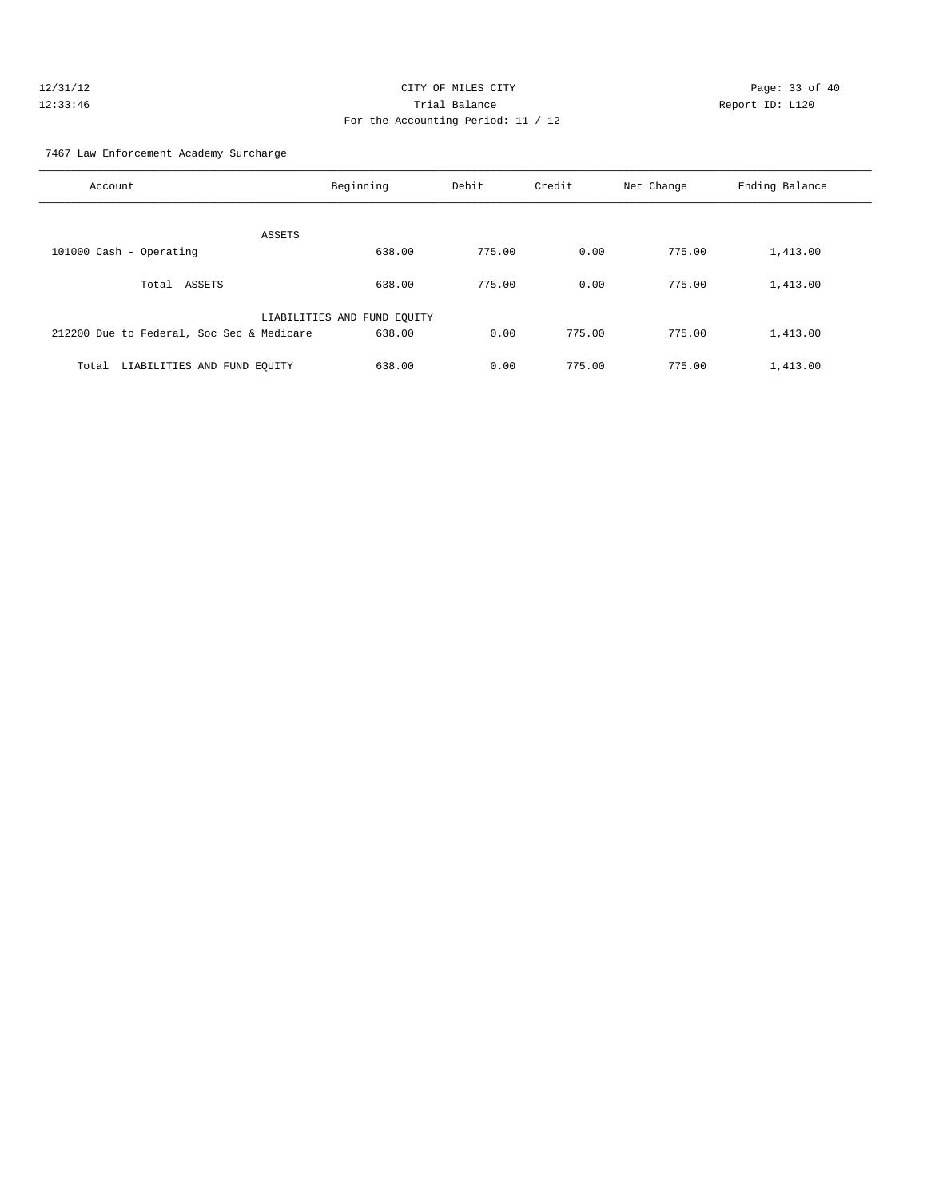#### 7467 Law Enforcement Academy Surcharge

| Account                                   | Beginning                   | Debit  | Credit | Net Change | Ending Balance |
|-------------------------------------------|-----------------------------|--------|--------|------------|----------------|
| ASSETS                                    |                             |        |        |            |                |
| 101000 Cash - Operating                   | 638.00                      | 775.00 | 0.00   | 775.00     | 1,413.00       |
| Total ASSETS                              | 638.00                      | 775.00 | 0.00   | 775.00     | 1,413.00       |
|                                           | LIABILITIES AND FUND EQUITY |        |        |            |                |
| 212200 Due to Federal, Soc Sec & Medicare | 638.00                      | 0.00   | 775.00 | 775.00     | 1,413.00       |
| LIABILITIES AND FUND EOUITY<br>Total      | 638.00                      | 0.00   | 775.00 | 775.00     | 1,413.00       |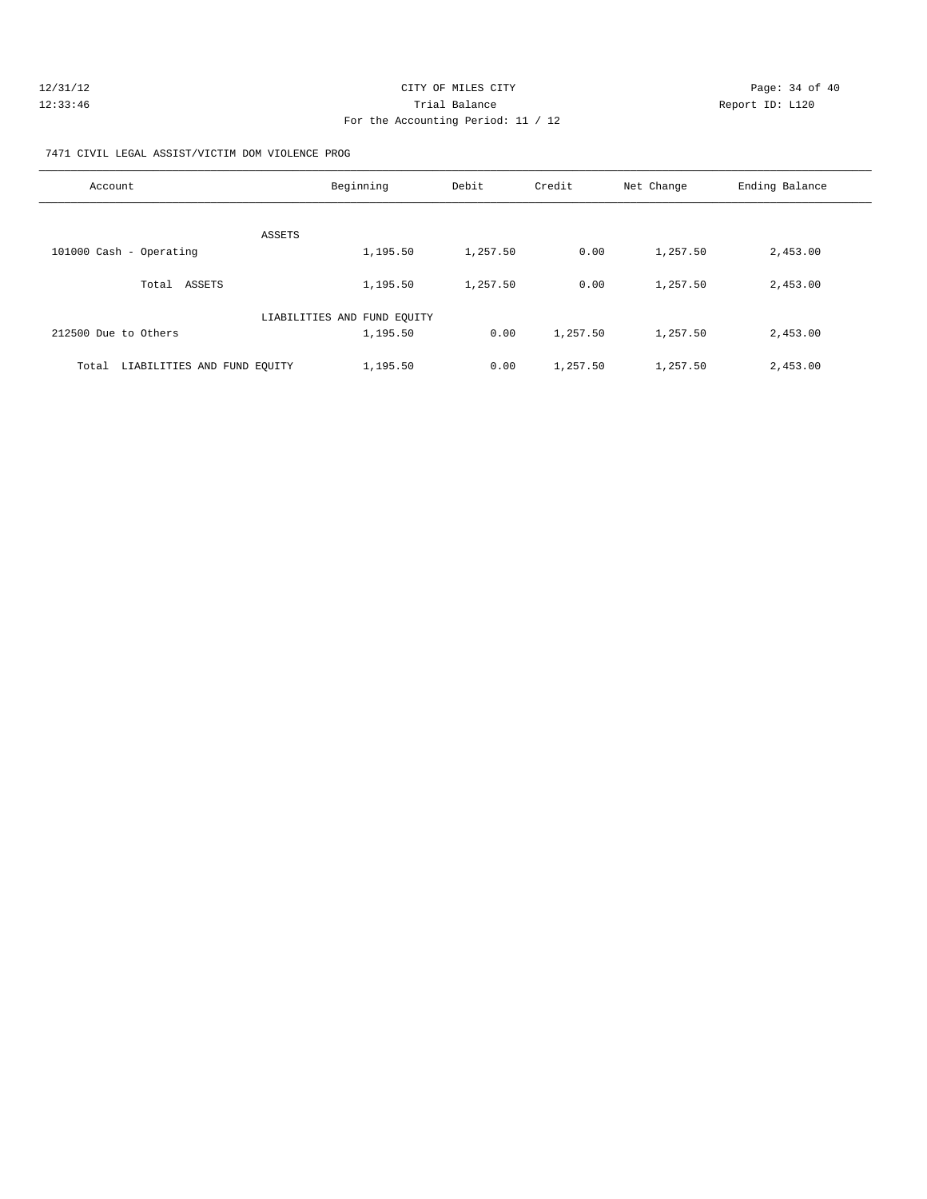| 12/31/12 | CITY OF MILES CITY                 |                 | Page: 34 of 40 |
|----------|------------------------------------|-----------------|----------------|
| 12:33:46 | Trial Balance                      | Report ID: L120 |                |
|          | For the Accounting Period: 11 / 12 |                 |                |

7471 CIVIL LEGAL ASSIST/VICTIM DOM VIOLENCE PROG

| Account                              | Beginning                   | Debit    | Credit   | Net Change | Ending Balance |
|--------------------------------------|-----------------------------|----------|----------|------------|----------------|
| ASSETS                               |                             |          |          |            |                |
| 101000 Cash - Operating              | 1,195.50                    | 1,257.50 | 0.00     | 1,257.50   | 2,453.00       |
| Total ASSETS                         | 1,195.50                    | 1,257.50 | 0.00     | 1,257.50   | 2,453.00       |
|                                      | LIABILITIES AND FUND EQUITY |          |          |            |                |
| 212500 Due to Others                 | 1,195.50                    | 0.00     | 1,257.50 | 1,257.50   | 2,453.00       |
| LIABILITIES AND FUND EQUITY<br>Total | 1,195.50                    | 0.00     | 1,257.50 | 1,257.50   | 2,453.00       |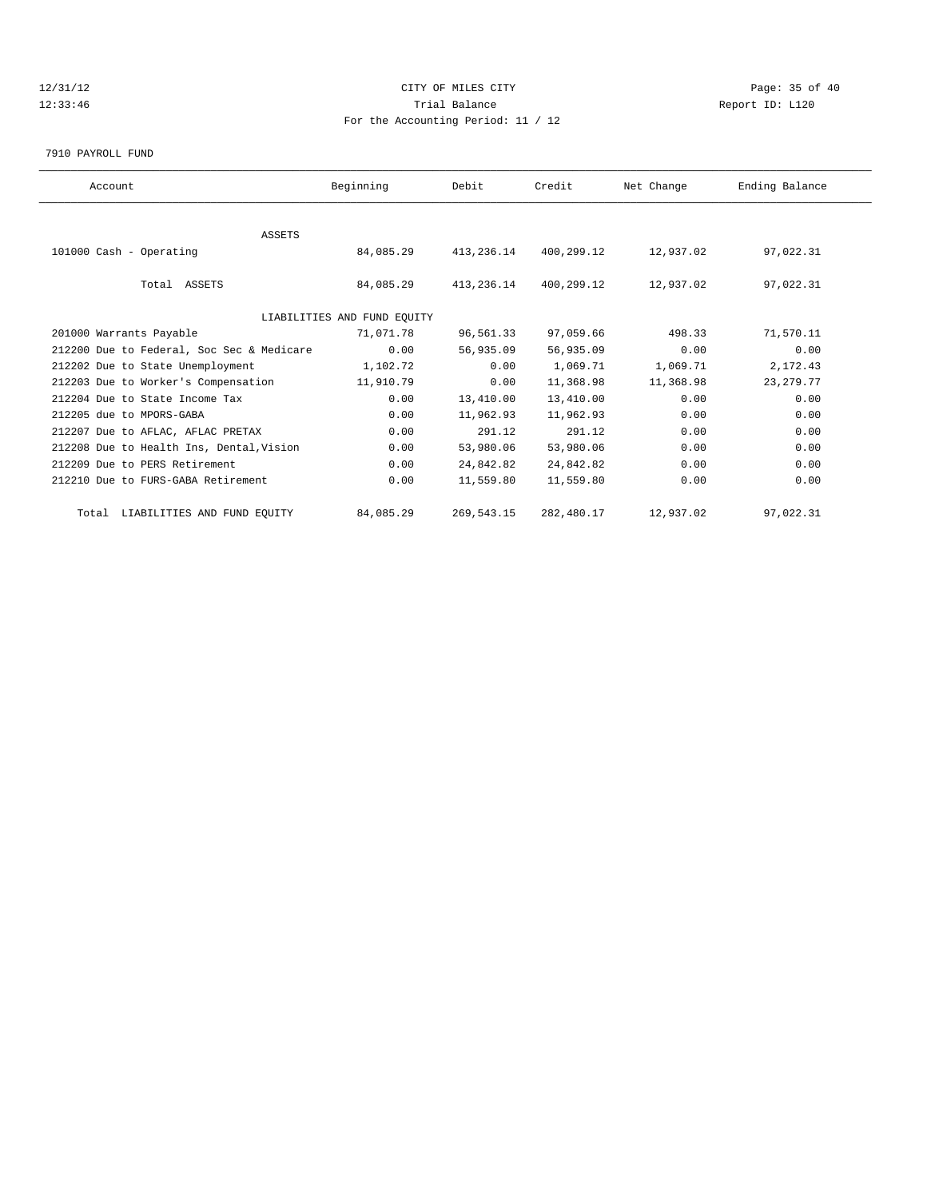# 12/31/12 Page: 35 of 40 12:33:46 Trial Balance Report ID: L120 For the Accounting Period: 11 / 12

7910 PAYROLL FUND

| Account                                   | Beginning                   | Debit      | Credit     | Net Change | Ending Balance |  |
|-------------------------------------------|-----------------------------|------------|------------|------------|----------------|--|
|                                           |                             |            |            |            |                |  |
| <b>ASSETS</b>                             |                             |            |            |            |                |  |
| 101000 Cash - Operating                   | 84,085.29                   | 413,236.14 | 400,299.12 | 12,937.02  | 97,022.31      |  |
| Total ASSETS                              | 84,085.29                   | 413,236.14 | 400,299.12 | 12,937.02  | 97,022.31      |  |
|                                           | LIABILITIES AND FUND EQUITY |            |            |            |                |  |
| 201000 Warrants Payable                   | 71,071.78                   | 96,561.33  | 97,059.66  | 498.33     | 71,570.11      |  |
| 212200 Due to Federal, Soc Sec & Medicare | 0.00                        | 56,935.09  | 56,935.09  | 0.00       | 0.00           |  |
| 212202 Due to State Unemployment          | 1,102.72                    | 0.00       | 1,069.71   | 1,069.71   | 2,172.43       |  |
| 212203 Due to Worker's Compensation       | 11,910.79                   | 0.00       | 11,368.98  | 11,368.98  | 23, 279. 77    |  |
| 212204 Due to State Income Tax            | 0.00                        | 13,410.00  | 13,410.00  | 0.00       | 0.00           |  |
| 212205 due to MPORS-GABA                  | 0.00                        | 11,962.93  | 11,962.93  | 0.00       | 0.00           |  |
| 212207 Due to AFLAC, AFLAC PRETAX         | 0.00                        | 291.12     | 291.12     | 0.00       | 0.00           |  |
| 212208 Due to Health Ins, Dental, Vision  | 0.00                        | 53,980.06  | 53,980.06  | 0.00       | 0.00           |  |
| 212209 Due to PERS Retirement             | 0.00                        | 24,842.82  | 24,842.82  | 0.00       | 0.00           |  |
| 212210 Due to FURS-GABA Retirement        | 0.00                        | 11,559.80  | 11,559.80  | 0.00       | 0.00           |  |
| Total LIABILITIES AND FUND EQUITY         | 84,085.29                   | 269,543.15 | 282,480.17 | 12,937.02  | 97,022.31      |  |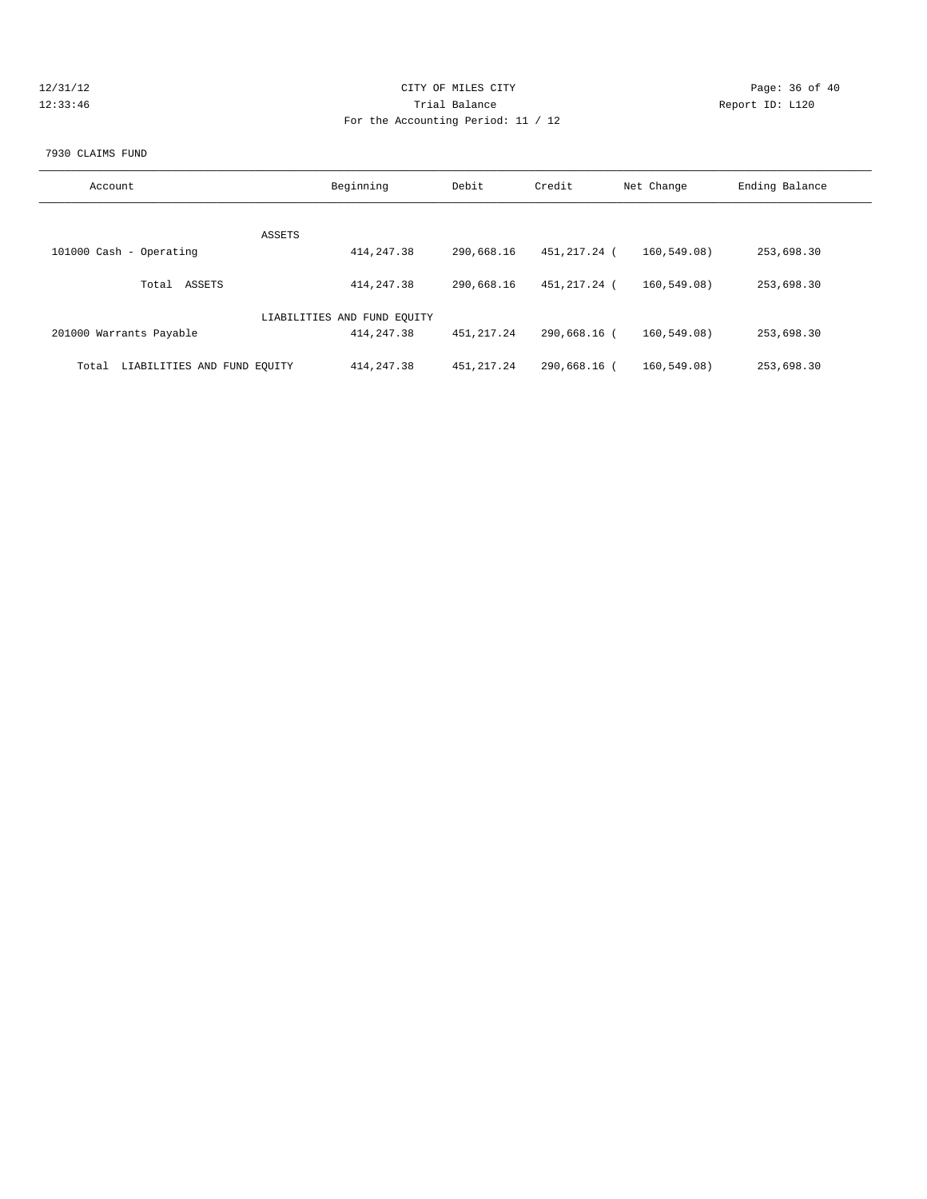| 12/31/12 |  |
|----------|--|
| 12:33:46 |  |

# CITY OF MILES CITY **Page: 36 of 40** 120 Trial Balance Communications of the Report ID: L120 For the Accounting Period: 11 / 12

#### 7930 CLAIMS FUND

| Account                              | Beginning                   | Debit        | Credit       | Net Change   | Ending Balance |
|--------------------------------------|-----------------------------|--------------|--------------|--------------|----------------|
|                                      |                             |              |              |              |                |
| 101000 Cash - Operating              | ASSETS<br>414, 247.38       | 290,668.16   | 451,217.24 ( | 160.549.08   | 253,698.30     |
| Total ASSETS                         | 414, 247.38                 | 290,668.16   | 451,217.24 ( | 160,549.08)  | 253,698.30     |
|                                      | LIABILITIES AND FUND EQUITY |              |              |              |                |
| 201000 Warrants Payable              | 414, 247.38                 | 451, 217. 24 | 290,668.16 ( | 160.549.08   | 253,698.30     |
| LIABILITIES AND FUND EQUITY<br>Total | 414, 247.38                 | 451, 217.24  | 290,668.16 ( | 160, 549.08) | 253,698.30     |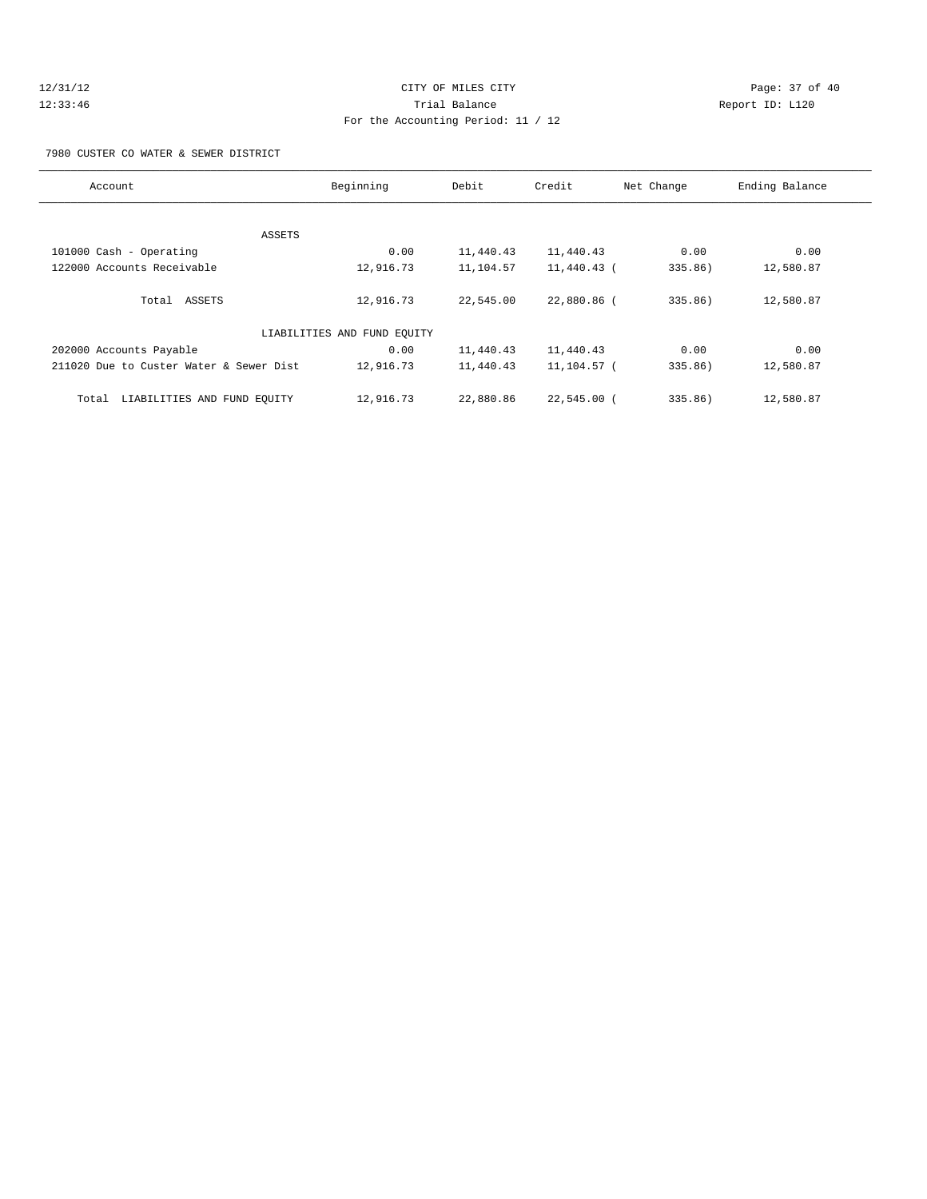# 12/31/12 Page: 37 of 40 12:33:46 Trial Balance Report ID: L120 For the Accounting Period: 11 / 12

7980 CUSTER CO WATER & SEWER DISTRICT

| Account                                 | Beginning                   | Debit     | Credit        | Net Change | Ending Balance |
|-----------------------------------------|-----------------------------|-----------|---------------|------------|----------------|
|                                         |                             |           |               |            |                |
| ASSETS                                  |                             |           |               |            |                |
| 101000 Cash - Operating                 | 0.00                        | 11,440.43 | 11,440.43     | 0.00       | 0.00           |
| 122000 Accounts Receivable              | 12,916.73                   | 11,104.57 | 11,440.43 (   | 335.86)    | 12,580.87      |
|                                         |                             |           |               |            |                |
| Total ASSETS                            | 12,916.73                   | 22,545.00 | 22,880.86 (   | 335.86)    | 12,580.87      |
|                                         |                             |           |               |            |                |
|                                         | LIABILITIES AND FUND EOUITY |           |               |            |                |
| 202000 Accounts Payable                 | 0.00                        | 11,440.43 | 11,440.43     | 0.00       | 0.00           |
| 211020 Due to Custer Water & Sewer Dist | 12,916.73                   | 11,440.43 | 11,104.57 (   | 335.86)    | 12,580.87      |
|                                         |                             |           |               |            |                |
| LIABILITIES AND FUND EOUITY<br>Total    | 12,916.73                   | 22,880.86 | $22,545.00$ ( | 335.86)    | 12,580.87      |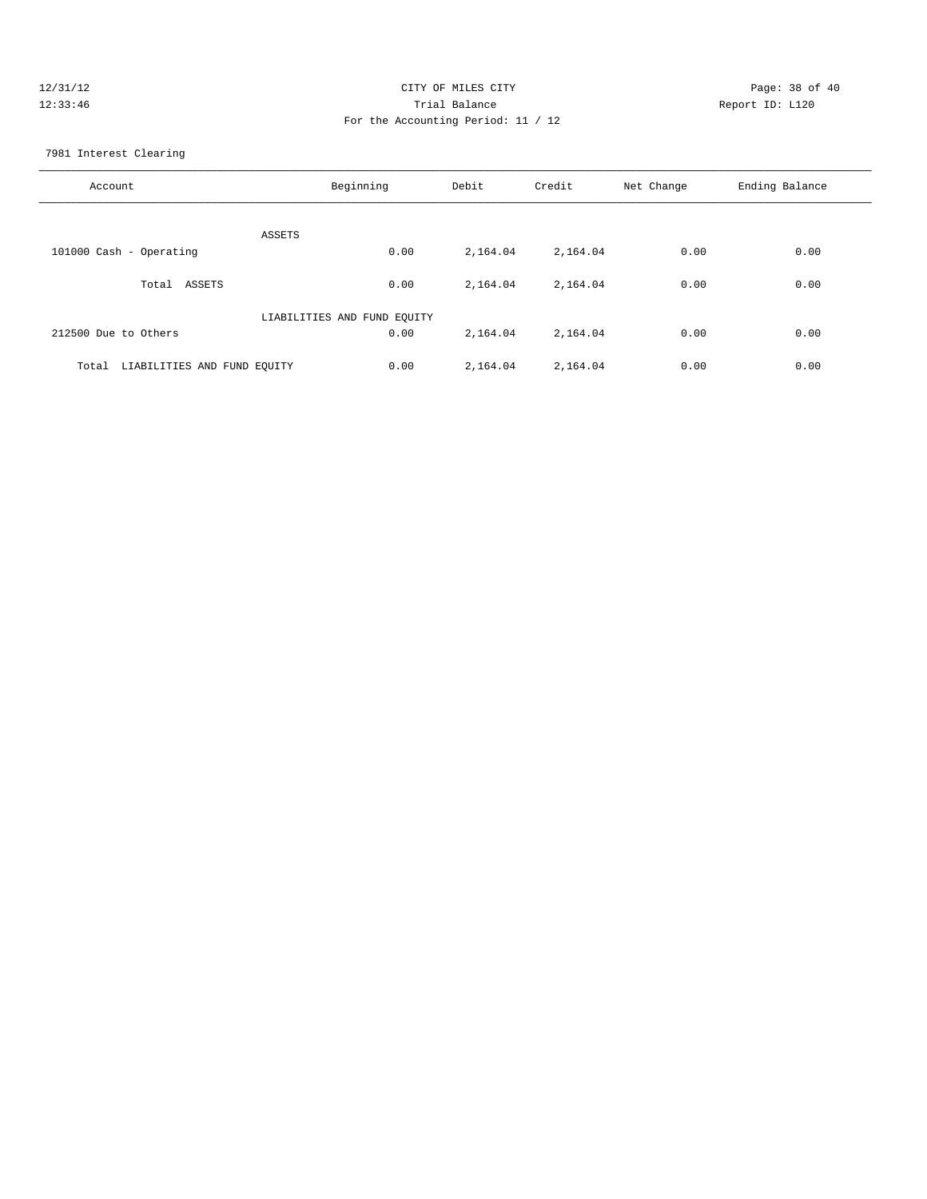| 12/31/12 | CITY OF MILES CITY                 | Page: 38 of 40  |
|----------|------------------------------------|-----------------|
| 12:33:46 | Trial Balance                      | Report ID: L120 |
|          | For the Accounting Period: 11 / 12 |                 |
|          |                                    |                 |

7981 Interest Clearing

| Account                              | Beginning                   | Debit    | Credit   | Net Change | Ending Balance |
|--------------------------------------|-----------------------------|----------|----------|------------|----------------|
| ASSETS                               |                             |          |          |            |                |
| 101000 Cash - Operating              | 0.00                        | 2,164.04 | 2,164.04 | 0.00       | 0.00           |
| ASSETS<br>Total                      | 0.00                        | 2,164.04 | 2,164.04 | 0.00       | 0.00           |
|                                      | LIABILITIES AND FUND EQUITY |          |          |            |                |
| 212500 Due to Others                 | 0.00                        | 2,164.04 | 2,164.04 | 0.00       | 0.00           |
| LIABILITIES AND FUND EQUITY<br>Total | 0.00                        | 2,164.04 | 2,164.04 | 0.00       | 0.00           |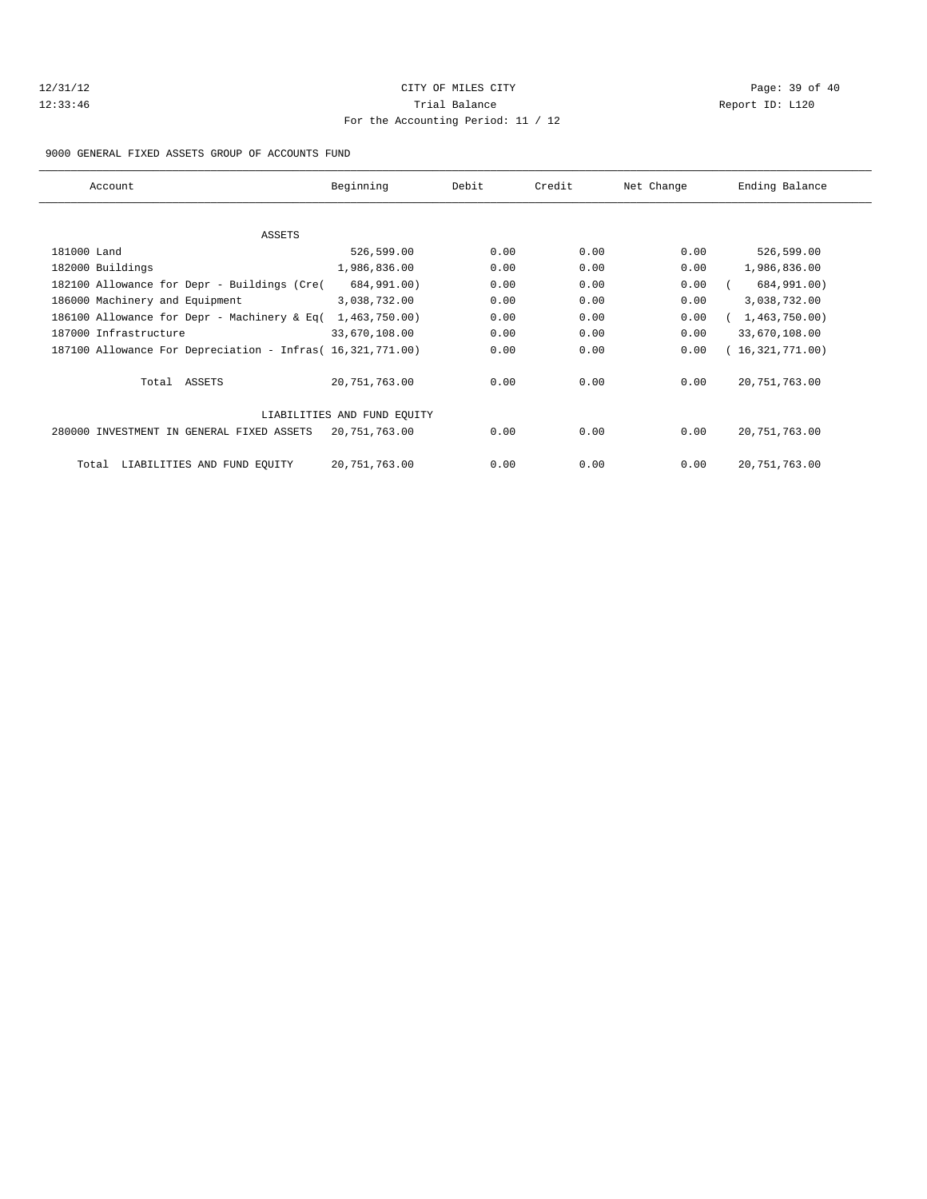# 12/31/12 Page: 39 of 40 12:33:46 Trial Balance Report ID: L120 For the Accounting Period: 11 / 12

#### 9000 GENERAL FIXED ASSETS GROUP OF ACCOUNTS FUND

| Account                                                    | Beginning                   | Debit | Credit | Net Change | Ending Balance  |
|------------------------------------------------------------|-----------------------------|-------|--------|------------|-----------------|
|                                                            |                             |       |        |            |                 |
| ASSETS                                                     |                             |       |        |            |                 |
| 181000 Land                                                | 526,599.00                  | 0.00  | 0.00   | 0.00       | 526,599.00      |
| 182000 Buildings                                           | 1,986,836.00                | 0.00  | 0.00   | 0.00       | 1,986,836.00    |
| 182100 Allowance for Depr - Buildings (Cre(                | 684,991.00)                 | 0.00  | 0.00   | 0.00       | 684,991.00)     |
| 186000 Machinery and Equipment                             | 3,038,732.00                | 0.00  | 0.00   | 0.00       | 3,038,732.00    |
| 186100 Allowance for Depr - Machinery & Eq(                | 1,463,750.00)               | 0.00  | 0.00   | 0.00       | 1,463,750.00)   |
| 187000 Infrastructure                                      | 33,670,108.00               | 0.00  | 0.00   | 0.00       | 33,670,108.00   |
| 187100 Allowance For Depreciation - Infras( 16,321,771.00) |                             | 0.00  | 0.00   | 0.00       | (16,321,771.00) |
| Total ASSETS                                               | 20,751,763.00               | 0.00  | 0.00   | 0.00       | 20, 751, 763.00 |
|                                                            | LIABILITIES AND FUND EQUITY |       |        |            |                 |
| 280000 INVESTMENT IN GENERAL FIXED ASSETS                  | 20,751,763.00               | 0.00  | 0.00   | 0.00       | 20, 751, 763.00 |
| LIABILITIES AND FUND EQUITY<br>Total                       | 20,751,763.00               | 0.00  | 0.00   | 0.00       | 20, 751, 763.00 |